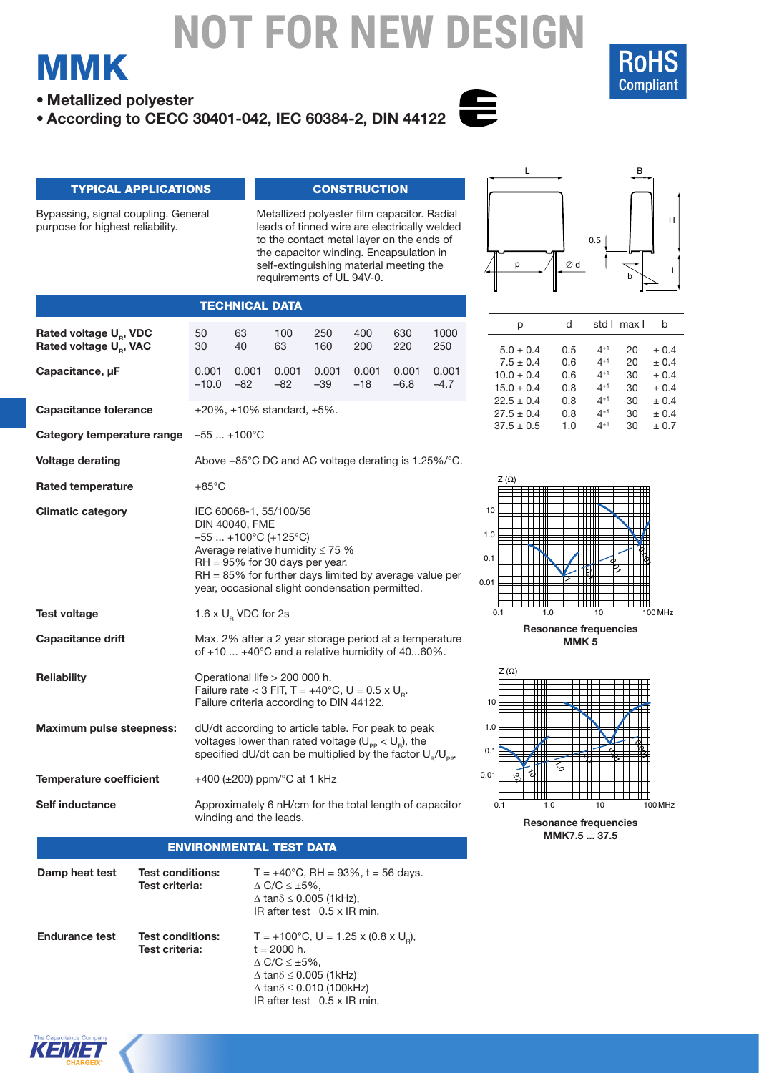

B

**• Metallized polyester**

MMK

**• According to CECC 30401-042, IEC 60384-2, DIN 44122**



L

### typical applications

Bypassing, signal coupling. General purpose for highest reliability.

**Rated voltage U<sub>R</sub>, VDC Rated voltage U<sub>p</sub>, VAC** 

**Capacitance tolerance**

**Category temperature range**

**Capacitance, µF**

**Voltage derating**

**Rated temperature**

**Climatic category**

**Test voltage**

**Reliability**

**Capacitance drift**

**Maximum pulse steepness:**

**Temperature coefficient**

**Self inductance**

#### **CONSTRUCTION**

Metallized polyester film capacitor. Radial leads of tinned wire are electrically welded to the contact metal layer on the ends of the capacitor winding. Encapsulation in self-extinguishing material meeting the requirements of UL 94V-0.

50 63 100 250 400 630 1000 30 40 63 160 200 220 250

0.001 0.001 0.001 0.001 0.001 0.001 0.001 –10.0 –82 –82 –39 –18 –6.8 –4.7

Above +85°C DC and AC voltage derating is 1.25%/°C.

RH = 85% for further days limited by average value per year, occasional slight condensation permitted.

Max. 2% after a 2 year storage period at a temperature of +10 ... +40°C and a relative humidity of 40...60%.

Failure rate < 3 FIT,  $T = +40^{\circ}$ C, U = 0.5 x U<sub>R</sub>. Failure criteria according to DIN 44122.

dU/dt according to article table. For peak to peak voltages lower than rated voltage  $(U_{\text{pp}} < U_{\text{p}})$ , the specified dU/dt can be multiplied by the factor  $U_p/U_{\text{par}}$ 

Approximately 6 nH/cm for the total length of capacitor

 $±20\%$ ,  $±10\%$  standard,  $±5\%$ .

**TECHNICAL DATA** 

IEC 60068-1, 55/100/56 DIN 40040, FME –55 ... +100°C (+125°C)

1.6  $\times$  U<sub>R</sub> VDC for 2s

Operational life > 200 000 h.

+400 (±200) ppm/°C at 1 kHz

Average relative humidity ≤ 75 % RH = 95% for 30 days per year.

–55 ... +100°C

+85°C



| p              | d   |          | std I max I | b     |
|----------------|-----|----------|-------------|-------|
| $5.0 \pm 0.4$  | 0.5 | $4^{+1}$ | 20          | ± 0.4 |
| $7.5 \pm 0.4$  | 0.6 | $4^{+1}$ | 20          | ± 0.4 |
| $10.0 \pm 0.4$ | 0.6 | $4^{+1}$ | 30          | ± 0.4 |
| $15.0 \pm 0.4$ | 0.8 | $4^{+1}$ | 30          | ± 0.4 |
| $22.5 \pm 0.4$ | 0.8 | $4^{+1}$ | 30          | ± 0.4 |
| $27.5 \pm 0.4$ | 0.8 | $4^{+1}$ | 30          | ± 0.4 |
| $37.5 \pm 0.5$ | 1.0 | $4^{+1}$ | 30          | ± 0.7 |



**Resonance frequencies MMK 5**



### Environmental test data

winding and the leads.

| Damp heat test        | <b>Test conditions:</b><br>Test criteria: | $T = +40^{\circ}$ C, RH = 93%, t = 56 days.<br>$\Delta$ C/C $\leq \pm 5\%$ ,<br>$\Delta$ tan $\delta \leq 0.005$ (1kHz),<br>IR after test 0.5 x IR min.                                                                             |
|-----------------------|-------------------------------------------|-------------------------------------------------------------------------------------------------------------------------------------------------------------------------------------------------------------------------------------|
| <b>Endurance test</b> | <b>Test conditions:</b><br>Test criteria: | $T = +100^{\circ}$ C, U = 1.25 x (0.8 x U <sub>n</sub> ),<br>$t = 2000 h$ .<br>$\Delta$ C/C $\leq \pm 5\%$ ,<br>$\Delta$ tan $\delta \leq 0.005$ (1kHz)<br>$\Delta$ tan $\delta \leq 0.010$ (100kHz)<br>IR after test 0.5 x IR min. |

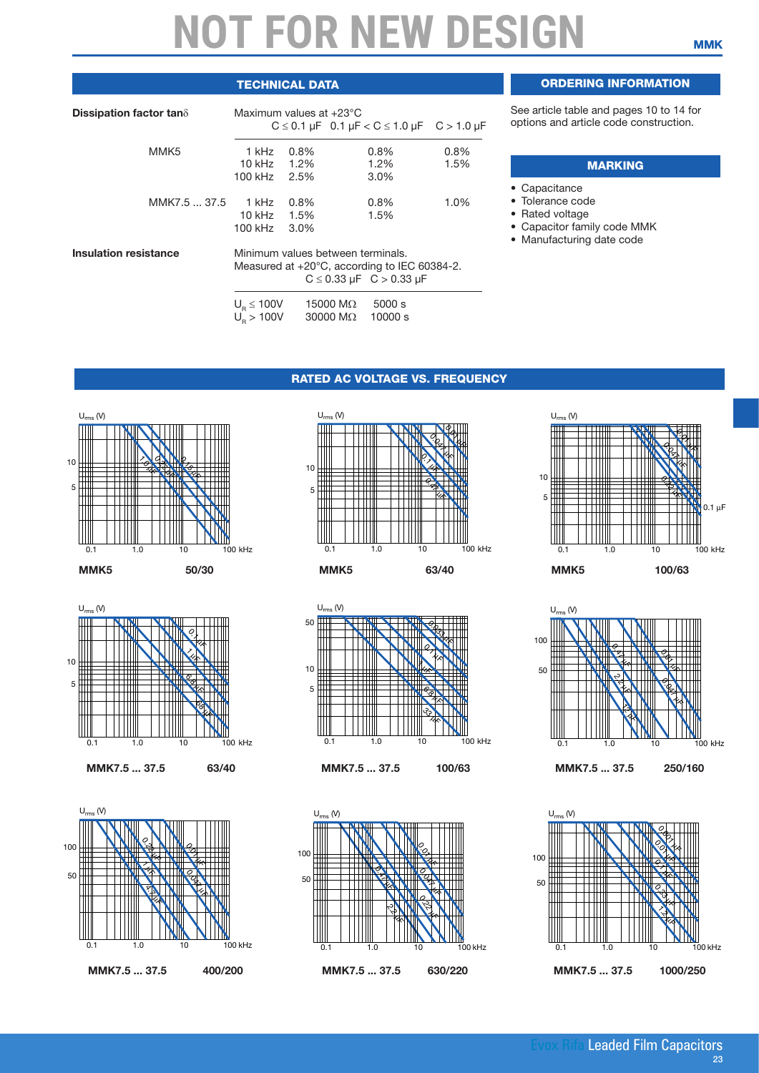### **TECHNICAL DATA**

| Dissipation factor tan $\delta$ | Maximum values at $+23^{\circ}$ C           |                         |                                     |                                                                                               | $C \le 0.1 \mu F$ 0.1 $\mu F < C \le 1.0 \mu F$ C > 1.0 $\mu F$ |
|---------------------------------|---------------------------------------------|-------------------------|-------------------------------------|-----------------------------------------------------------------------------------------------|-----------------------------------------------------------------|
| MMK5                            | 1 kHz<br>10 kHz 1.2%<br>100 kHz 2.5%        | $0.8\%$                 |                                     | $0.8\%$<br>$1.2\%$<br>3.0%                                                                    | $0.8\%$<br>1.5%                                                 |
| MMK7.5  37.5                    | 1 kHz<br>10 kHz<br>100 kHz                  | 0.8%<br>1.5%<br>$3.0\%$ |                                     | $0.8\%$<br>1.5%                                                                               | 1.0%                                                            |
| <b>Insulation resistance</b>    | Minimum values between terminals.           |                         |                                     | Measured at $+20^{\circ}$ C, according to IEC 60384-2.<br>$C \le 0.33 \mu F$ $C > 0.33 \mu F$ |                                                                 |
|                                 | $U_{\rm p} \le 100 V$<br>$U_{\rm n} > 100V$ |                         | 15000 M $\Omega$<br>30000 $M\Omega$ | 5000 s<br>10000 s                                                                             |                                                                 |

### Ordering information

See article table and pages 10 to 14 for options and article code construction.

#### **MARKING**

- Capacitance
- Tolerance code
- Rated voltage
- Capacitor family code MMK
- Manufacturing date code

#### RATED AC VOLTAGE VS. FREQUENCY

 $U_{rms}$  (V)















0.1 1.0 10 100 kHz







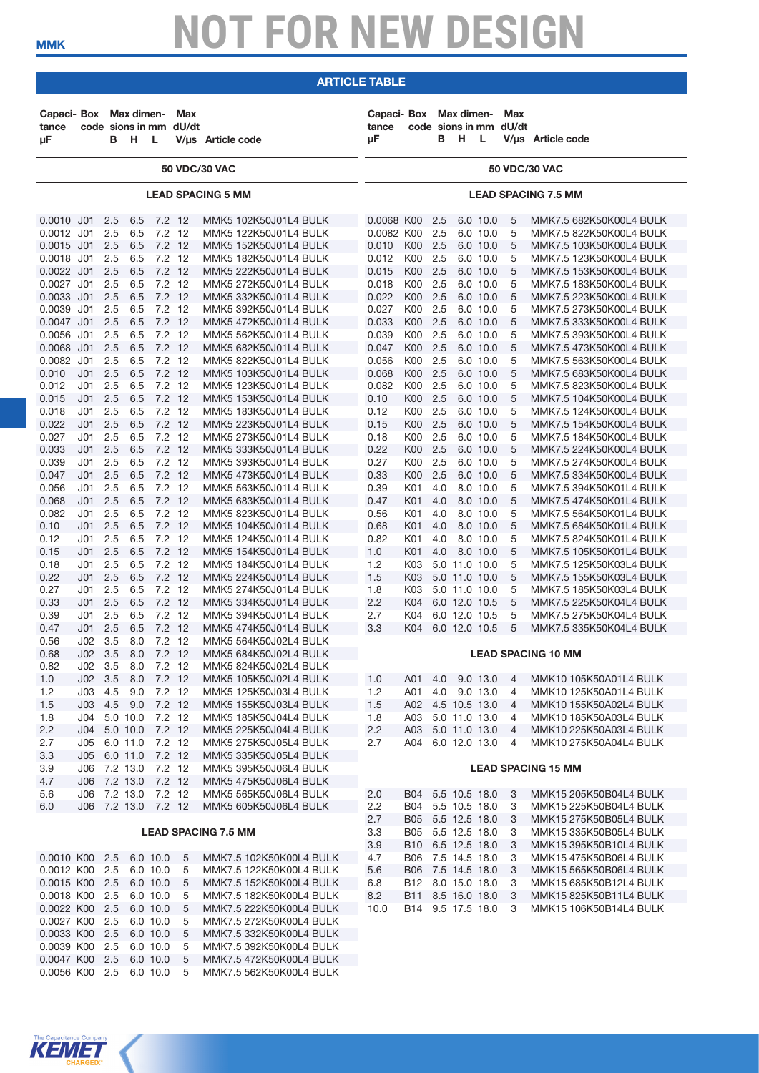#### article table **article table**

| 50 VDC/30 VAC<br>50 VDC/30 VAC<br><b>LEAD SPACING 5 MM</b><br><b>LEAD SPACING 7.5 MM</b><br>0.0010 J01<br>7.2 12<br>MMK5 102K50J01L4 BULK<br>0.0068 K00<br>2.5<br>MMK7.5 682K50K00L4 BULK<br>2.5<br>6.5<br>6.0 10.0<br>5<br>6.5<br>$7.2$ 12<br>0.0082 K00<br>2.5<br>6.0 10.0<br>5<br>0.0012 J01<br>2.5<br>MMK5 122K50J01L4 BULK<br>MMK7.5 822K50K00L4 BULK<br>7.2 12<br>0.0015 J01<br>2.5<br>6.5<br>MMK5 152K50J01L4 BULK<br>0.010<br>K00 2.5<br>6.0 10.0<br>5<br>MMK7.5 103K50K00L4 BULK<br>$7.2$ 12<br>K00<br>2.5<br>0.0018 J01<br>2.5<br>6.5<br>MMK5 182K50J01L4 BULK<br>0.012<br>6.0 10.0<br>5<br>MMK7.5 123K50K00L4 BULK<br>$7.2$ 12<br>2.5<br>5<br>0.0022 J01<br>2.5<br>6.5<br>MMK5 222K50J01L4 BULK<br>0.015<br>K <sub>00</sub><br>6.0 10.0<br>MMK7.5 153K50K00L4 BULK<br>7.2 12<br>0.0027 J01<br>2.5<br>6.5<br>K00<br>2.5<br>6.0 10.0<br>5<br>MMK7.5 183K50K00L4 BULK<br>MMK5 272K50J01L4 BULK<br>0.018<br>7.2 12<br>K00<br>2.5<br>0.0033 J01<br>2.5<br>6.5<br>MMK5 332K50J01L4 BULK<br>0.022<br>6.0 10.0<br>5<br>MMK7.5 223K50K00L4 BULK<br>2.5<br>6.5<br>$7.2$ 12<br>2.5<br>6.0 10.0<br>5<br>0.0039<br>J <sub>01</sub><br>MMK5 392K50J01L4 BULK<br>0.027<br>K <sub>00</sub><br>MMK7.5 273K50K00L4 BULK<br>7.2 12<br>K00 2.5<br>0.0047 J01<br>2.5<br>6.5<br>MMK5 472K50J01L4 BULK<br>0.033<br>6.0 10.0<br>5<br>MMK7.5 333K50K00L4 BULK<br>7.2 12<br>K00<br>2.5<br>0.0056 J01<br>2.5<br>6.5<br>MMK5 562K50J01L4 BULK<br>0.039<br>6.0 10.0<br>5<br>MMK7.5 393K50K00L4 BULK<br>$7.2$ 12<br>2.5<br>5<br>0.0068 J01<br>2.5<br>6.5<br>MMK5 682K50J01L4 BULK<br>0.047<br>K <sub>00</sub><br>6.0 10.0<br>MMK7.5 473K50K00L4 BULK<br>7.2 12<br>0.0082 J01<br>2.5<br>6.5<br>0.056<br>K00<br>2.5<br>6.0 10.0<br>5<br>MMK5 822K50J01L4 BULK<br>MMK7.5 563K50K00L4 BULK<br>7.2 12<br>2.5<br>0.010<br>J <sub>01</sub><br>2.5<br>6.5<br>MMK5 103K50J01L4 BULK<br>0.068<br>K <sub>00</sub><br>6.0 10.0<br>5<br>MMK7.5 683K50K00L4 BULK<br>2.5<br>$7.2$ 12<br>2.5<br>6.0 10.0<br>5<br>0.012<br>J <sub>01</sub><br>6.5<br>MMK5 123K50J01L4 BULK<br>0.082<br>K <sub>00</sub><br>MMK7.5 823K50K00L4 BULK<br>7.2 12<br>K00 2.5<br>6.0 10.0<br>5<br>0.015<br>J <sub>01</sub><br>2.5<br>6.5<br>MMK5 153K50J01L4 BULK<br>0.10<br>MMK7.5 104K50K00L4 BULK<br>7.2 12<br>2.5<br>0.018<br>J <sub>01</sub><br>2.5<br>6.5<br>MMK5 183K50J01L4 BULK<br>0.12<br>K00<br>6.0 10.0<br>5<br>MMK7.5 124K50K00L4 BULK<br>$7.2$ 12<br>2.5<br>5<br>0.022<br>J <sub>01</sub><br>2.5<br>6.5<br>MMK5 223K50J01L4 BULK<br>0.15<br>K <sub>0</sub><br>$6.0$ 10.0<br>MMK7.5 154K50K00L4 BULK<br>$7.2$ 12<br>2.5<br>0.027<br>2.5<br>6.5<br>0.18<br>K00<br>6.0 10.0<br>5<br>J01<br>MMK5 273K50J01L4 BULK<br>MMK7.5 184K50K00L4 BULK<br>7.2 12<br>K00 2.5<br>0.033<br>J <sub>01</sub><br>2.5<br>6.5<br>MMK5 333K50J01L4 BULK<br>0.22<br>6.0 10.0<br>5<br>MMK7.5 224K50K00L4 BULK<br>0.039<br>2.5<br>$7.2$ 12<br>2.5<br>5<br>J <sub>01</sub><br>6.5<br>MMK5 393K50J01L4 BULK<br>0.27<br>K00<br>6.0 10.0<br>MMK7.5 274K50K00L4 BULK<br>7.2 12<br>0.33<br>K00 2.5<br>6.0 10.0<br>5<br>0.047<br>J <sub>01</sub><br>2.5<br>6.5<br>MMK5 473K50J01L4 BULK<br>MMK7.5 334K50K00L4 BULK<br>$7.2$ 12<br>0.056<br>J <sub>01</sub><br>2.5<br>6.5<br>0.39<br>K01<br>4.0<br>8.0 10.0<br>5<br>MMK5 563K50J01L4 BULK<br>MMK7.5 394K50K01L4 BULK<br>$7.2$ 12<br>5<br>0.068<br>J <sub>01</sub><br>2.5<br>6.5<br>MMK5 683K50J01L4 BULK<br>0.47<br>K01<br>4.0<br>8.0 10.0<br>MMK7.5 474K50K01L4 BULK<br>$7.2$ 12<br>0.082<br>2.5<br>6.5<br>0.56<br>K01<br>4.0<br>8.0 10.0<br>5<br>J01<br>MMK5 823K50J01L4 BULK<br>MMK7.5 564K50K01L4 BULK<br>7.2 12<br>0.10<br>J <sub>01</sub><br>2.5<br>6.5<br>MMK5 104K50J01L4 BULK<br>0.68<br>K01<br>4.0<br>8.0 10.0<br>5<br>MMK7.5 684K50K01L4 BULK<br>2.5<br>$7.2$ 12<br>5<br>0.12<br>J <sub>01</sub><br>6.5<br>MMK5 124K50J01L4 BULK<br>0.82<br>K01<br>4.0<br>8.0 10.0<br>MMK7.5 824K50K01L4 BULK<br>7.2 12<br>1.0<br>4.0<br>8.0 10.0<br>0.15<br>J <sub>01</sub><br>2.5<br>6.5<br>MMK5 154K50J01L4 BULK<br>K01<br>5<br>MMK7.5 105K50K01L4 BULK<br>$7.2$ 12<br>0.18<br>J <sub>01</sub><br>2.5<br>6.5<br>1.2<br>K03<br>5.0 11.0 10.0<br>5<br>MMK5 184K50J01L4 BULK<br>MMK7.5 125K50K03L4 BULK<br>2.5<br>$7.2$ 12<br>1.5<br>5<br>0.22<br>J <sub>01</sub><br>6.5<br>MMK5 224K50J01L4 BULK<br>K03<br>5.0 11.0 10.0<br>MMK7.5 155K50K03L4 BULK<br>$7.2$ 12<br>0.27<br>2.5<br>6.5<br>1.8<br>K03<br>5.0 11.0 10.0<br>5<br>J01<br>MMK5 274K50J01L4 BULK<br>MMK7.5 185K50K03L4 BULK<br>7.2 12<br>2.2<br>0.33<br>J <sub>01</sub><br>2.5<br>6.5<br>K04<br>6.0 12.0 10.5<br>5<br>MMK7.5 225K50K04L4 BULK<br>MMK5 334K50J01L4 BULK<br>2.5<br>$7.2$ 12<br>2.7<br>6.0 12.0 10.5<br>5<br>0.39<br>J <sub>01</sub><br>6.5<br>MMK5 394K50J01L4 BULK<br>K04<br>MMK7.5 275K50K04L4 BULK<br>7.2 12<br>3.3<br>0.47<br>J <sub>01</sub><br>2.5<br>6.5<br>MMK5 474K50J01L4 BULK<br>K04<br>6.0 12.0 10.5<br>5<br>MMK7.5 335K50K04L4 BULK<br>$7.2$ 12<br>J02<br>3.5<br>8.0<br>0.56<br>MMK5 564K50J02L4 BULK<br>7.2 12<br>0.68<br>J <sub>02</sub><br>3.5<br>8.0<br>MMK5 684K50J02L4 BULK<br><b>LEAD SPACING 10 MM</b><br>0.82<br>J <sub>02</sub><br>3.5<br>8.0<br>7.2 12<br>MMK5 824K50J02L4 BULK<br>1.0 A01 4.0 9.0 13.0<br>MMK10 105K50A01L4 BULK<br>J02 3.5 8.0 7.2 12<br>1.0<br>4<br>MMK5 105K50J02L4 BULK<br>1.2<br>$J03$ 4.5<br>7.2 12<br>MMK5 125K50J03L4 BULK<br>1.2<br>A01 4.0 9.0 13.0<br>MMK10 125K50A01L4 BULK<br>9.0<br>$\overline{4}$<br>7.2 12<br>A02 4.5 10.5 13.0<br>1.5<br>J03 4.5 9.0<br>MMK5 155K50J03L4 BULK<br>1.5<br>MMK10 155K50A02L4 BULK<br>$\overline{4}$<br>J04<br>5.0 10.0<br>7.2 12<br>MMK5 185K50J04L4 BULK<br>A03 5.0 11.0 13.0<br>MMK10 185K50A03L4 BULK<br>1.8<br>1.8<br>4<br>$7.2$ 12<br>A03 5.0 11.0 13.0<br>2.2<br>J04<br>5.0 10.0<br>MMK5 225K50J04L4 BULK<br>2.2<br>MMK10 225K50A03L4 BULK<br>$\overline{4}$<br>6.0 11.0<br>7.2 12<br>MMK5 275K50J05L4 BULK<br>2.7<br>A04<br>6.0 12.0 13.0<br>MMK10 275K50A04L4 BULK<br>2.7<br>J05<br>$\overline{4}$<br>7.2 12<br>3.3<br>J05 6.0 11.0<br>MMK5 335K50J05L4 BULK<br>7.2 13.0<br>3.9<br>7.2 12<br>J06<br>MMK5 395K50J06L4 BULK<br><b>LEAD SPACING 15 MM</b><br>7.2 13.0 7.2 12<br>4.7<br>MMK5 475K50J06L4 BULK<br>J06<br>J06 7.2 13.0<br>7.2 12<br>MMK5 565K50J06L4 BULK<br>B04 5.5 10.5 18.0<br>5.6<br>2.0<br>MMK15 205K50B04L4 BULK<br>3<br>J06 7.2 13.0 7.2 12<br>MMK5 605K50J06L4 BULK<br>2.2<br>B04 5.5 10.5 18.0<br>3<br>MMK15 225K50B04L4 BULK<br>6.0<br>2.7<br>B05 5.5 12.5 18.0<br>MMK15 275K50B05L4 BULK<br>3<br>3.3<br>B05 5.5 12.5 18.0<br>MMK15 335K50B05L4 BULK<br><b>LEAD SPACING 7.5 MM</b><br>3<br>3.9<br>B10 6.5 12.5 18.0<br>MMK15 395K50B10L4 BULK<br>3<br>4.7<br>B06 7.5 14.5 18.0<br>0.0010 K00 2.5<br>6.0 10.0<br>5<br>MMK7.5 102K50K00L4 BULK<br>3<br>MMK15 475K50B06L4 BULK<br>0.0012 K00<br>2.5<br>6.0 10.0<br>5<br>MMK7.5 122K50K00L4 BULK<br>5.6<br>B06 7.5 14.5 18.0<br>MMK15 565K50B06L4 BULK<br>3<br>0.0015 K00 2.5<br>6.0 10.0<br>5<br>MMK7.5 152K50K00L4 BULK<br>6.8<br>B12 8.0 15.0 18.0<br>3<br>MMK15 685K50B12L4 BULK<br>0.0018 K00 2.5<br>6.0 10.0<br>MMK7.5 182K50K00L4 BULK<br>8.2<br>B11 8.5 16.0 18.0<br>MMK15 825K50B11L4 BULK<br>5<br>3<br>0.0022 K00 2.5<br>6.0 10.0<br>5<br>MMK7.5 222K50K00L4 BULK<br>10.0<br>B14 9.5 17.5 18.0<br>3<br>MMK15 106K50B14L4 BULK<br>0.0027 K00 2.5<br>6.0 10.0<br>5<br>MMK7.5 272K50K00L4 BULK<br>0.0033 K00 2.5<br>6.0 10.0<br>MMK7.5 332K50K00L4 BULK<br>5<br>6.0 10.0<br>0.0039 K00<br>2.5<br>5<br>MMK7.5 392K50K00L4 BULK<br>0.0047 K00 2.5<br>6.0 10.0<br>5<br>MMK7.5 472K50K00L4 BULK<br>0.0056 K00 2.5<br>6.0 10.0<br>5<br>MMK7.5 562K50K00L4 BULK | Capaci- Box Max dimen-<br>tance<br>μF |  | B H L | Max<br>code sions in mm dU/dt | V/us Article code | Capaci-Box<br>tance<br>μF |  | Max dimen-<br>B H L | <b>Max</b><br>code sions in mm dU/dt | V/us Article code |
|---------------------------------------------------------------------------------------------------------------------------------------------------------------------------------------------------------------------------------------------------------------------------------------------------------------------------------------------------------------------------------------------------------------------------------------------------------------------------------------------------------------------------------------------------------------------------------------------------------------------------------------------------------------------------------------------------------------------------------------------------------------------------------------------------------------------------------------------------------------------------------------------------------------------------------------------------------------------------------------------------------------------------------------------------------------------------------------------------------------------------------------------------------------------------------------------------------------------------------------------------------------------------------------------------------------------------------------------------------------------------------------------------------------------------------------------------------------------------------------------------------------------------------------------------------------------------------------------------------------------------------------------------------------------------------------------------------------------------------------------------------------------------------------------------------------------------------------------------------------------------------------------------------------------------------------------------------------------------------------------------------------------------------------------------------------------------------------------------------------------------------------------------------------------------------------------------------------------------------------------------------------------------------------------------------------------------------------------------------------------------------------------------------------------------------------------------------------------------------------------------------------------------------------------------------------------------------------------------------------------------------------------------------------------------------------------------------------------------------------------------------------------------------------------------------------------------------------------------------------------------------------------------------------------------------------------------------------------------------------------------------------------------------------------------------------------------------------------------------------------------------------------------------------------------------------------------------------------------------------------------------------------------------------------------------------------------------------------------------------------------------------------------------------------------------------------------------------------------------------------------------------------------------------------------------------------------------------------------------------------------------------------------------------------------------------------------------------------------------------------------------------------------------------------------------------------------------------------------------------------------------------------------------------------------------------------------------------------------------------------------------------------------------------------------------------------------------------------------------------------------------------------------------------------------------------------------------------------------------------------------------------------------------------------------------------------------------------------------------------------------------------------------------------------------------------------------------------------------------------------------------------------------------------------------------------------------------------------------------------------------------------------------------------------------------------------------------------------------------------------------------------------------------------------------------------------------------------------------------------------------------------------------------------------------------------------------------------------------------------------------------------------------------------------------------------------------------------------------------------------------------------------------------------------------------------------------------------------------------------------------------------------------------------------------------------------------------------------------------------------------------------------------------------------------------------------------------------------------------------------------------------------------------------------------------------------------------------------------------------------------------------------------------------------------------------------------------------------------------------------------------------------------------------------------------------------------------------------------------------------------------------------------------------------------------------------------------------------------------------------------------------------------------------------------------------------------------------------------------------------------------------------------------------------------------------------------------------------------------------------------------------------------------------------------------------------------------------------------------------------------------------------------------------------------------------------------------------------------------------------------------------------------------------------------------------------------------------------------------------------------------------------------------------------------------------------------------------------------------------------------------------------------------------------------------------------------------------------------------------------------------------------------------------------------------------------------------------------------------------------------------------------------------------------------------------------------------------------------------------------------------------------------------------------------------------------------------------------------------------------------------------------------------------------------------------------------------------------------------------------------------------------------------------------------------------------------------------------------------------------------------------------------------------------------------------------|---------------------------------------|--|-------|-------------------------------|-------------------|---------------------------|--|---------------------|--------------------------------------|-------------------|
|                                                                                                                                                                                                                                                                                                                                                                                                                                                                                                                                                                                                                                                                                                                                                                                                                                                                                                                                                                                                                                                                                                                                                                                                                                                                                                                                                                                                                                                                                                                                                                                                                                                                                                                                                                                                                                                                                                                                                                                                                                                                                                                                                                                                                                                                                                                                                                                                                                                                                                                                                                                                                                                                                                                                                                                                                                                                                                                                                                                                                                                                                                                                                                                                                                                                                                                                                                                                                                                                                                                                                                                                                                                                                                                                                                                                                                                                                                                                                                                                                                                                                                                                                                                                                                                                                                                                                                                                                                                                                                                                                                                                                                                                                                                                                                                                                                                                                                                                                                                                                                                                                                                                                                                                                                                                                                                                                                                                                                                                                                                                                                                                                                                                                                                                                                                                                                                                                                                                                                                                                                                                                                                                                                                                                                                                                                                                                                                                                                                                                                                                                                                                                                                                                                                                                                                                                                                                                                                                                                                                                                                                                                                                                                                                                                                                                                                                                                                                                                                                                                                                                                     |                                       |  |       |                               |                   |                           |  |                     |                                      |                   |
|                                                                                                                                                                                                                                                                                                                                                                                                                                                                                                                                                                                                                                                                                                                                                                                                                                                                                                                                                                                                                                                                                                                                                                                                                                                                                                                                                                                                                                                                                                                                                                                                                                                                                                                                                                                                                                                                                                                                                                                                                                                                                                                                                                                                                                                                                                                                                                                                                                                                                                                                                                                                                                                                                                                                                                                                                                                                                                                                                                                                                                                                                                                                                                                                                                                                                                                                                                                                                                                                                                                                                                                                                                                                                                                                                                                                                                                                                                                                                                                                                                                                                                                                                                                                                                                                                                                                                                                                                                                                                                                                                                                                                                                                                                                                                                                                                                                                                                                                                                                                                                                                                                                                                                                                                                                                                                                                                                                                                                                                                                                                                                                                                                                                                                                                                                                                                                                                                                                                                                                                                                                                                                                                                                                                                                                                                                                                                                                                                                                                                                                                                                                                                                                                                                                                                                                                                                                                                                                                                                                                                                                                                                                                                                                                                                                                                                                                                                                                                                                                                                                                                                     |                                       |  |       |                               |                   |                           |  |                     |                                      |                   |
|                                                                                                                                                                                                                                                                                                                                                                                                                                                                                                                                                                                                                                                                                                                                                                                                                                                                                                                                                                                                                                                                                                                                                                                                                                                                                                                                                                                                                                                                                                                                                                                                                                                                                                                                                                                                                                                                                                                                                                                                                                                                                                                                                                                                                                                                                                                                                                                                                                                                                                                                                                                                                                                                                                                                                                                                                                                                                                                                                                                                                                                                                                                                                                                                                                                                                                                                                                                                                                                                                                                                                                                                                                                                                                                                                                                                                                                                                                                                                                                                                                                                                                                                                                                                                                                                                                                                                                                                                                                                                                                                                                                                                                                                                                                                                                                                                                                                                                                                                                                                                                                                                                                                                                                                                                                                                                                                                                                                                                                                                                                                                                                                                                                                                                                                                                                                                                                                                                                                                                                                                                                                                                                                                                                                                                                                                                                                                                                                                                                                                                                                                                                                                                                                                                                                                                                                                                                                                                                                                                                                                                                                                                                                                                                                                                                                                                                                                                                                                                                                                                                                                                     |                                       |  |       |                               |                   |                           |  |                     |                                      |                   |
|                                                                                                                                                                                                                                                                                                                                                                                                                                                                                                                                                                                                                                                                                                                                                                                                                                                                                                                                                                                                                                                                                                                                                                                                                                                                                                                                                                                                                                                                                                                                                                                                                                                                                                                                                                                                                                                                                                                                                                                                                                                                                                                                                                                                                                                                                                                                                                                                                                                                                                                                                                                                                                                                                                                                                                                                                                                                                                                                                                                                                                                                                                                                                                                                                                                                                                                                                                                                                                                                                                                                                                                                                                                                                                                                                                                                                                                                                                                                                                                                                                                                                                                                                                                                                                                                                                                                                                                                                                                                                                                                                                                                                                                                                                                                                                                                                                                                                                                                                                                                                                                                                                                                                                                                                                                                                                                                                                                                                                                                                                                                                                                                                                                                                                                                                                                                                                                                                                                                                                                                                                                                                                                                                                                                                                                                                                                                                                                                                                                                                                                                                                                                                                                                                                                                                                                                                                                                                                                                                                                                                                                                                                                                                                                                                                                                                                                                                                                                                                                                                                                                                                     |                                       |  |       |                               |                   |                           |  |                     |                                      |                   |
|                                                                                                                                                                                                                                                                                                                                                                                                                                                                                                                                                                                                                                                                                                                                                                                                                                                                                                                                                                                                                                                                                                                                                                                                                                                                                                                                                                                                                                                                                                                                                                                                                                                                                                                                                                                                                                                                                                                                                                                                                                                                                                                                                                                                                                                                                                                                                                                                                                                                                                                                                                                                                                                                                                                                                                                                                                                                                                                                                                                                                                                                                                                                                                                                                                                                                                                                                                                                                                                                                                                                                                                                                                                                                                                                                                                                                                                                                                                                                                                                                                                                                                                                                                                                                                                                                                                                                                                                                                                                                                                                                                                                                                                                                                                                                                                                                                                                                                                                                                                                                                                                                                                                                                                                                                                                                                                                                                                                                                                                                                                                                                                                                                                                                                                                                                                                                                                                                                                                                                                                                                                                                                                                                                                                                                                                                                                                                                                                                                                                                                                                                                                                                                                                                                                                                                                                                                                                                                                                                                                                                                                                                                                                                                                                                                                                                                                                                                                                                                                                                                                                                                     |                                       |  |       |                               |                   |                           |  |                     |                                      |                   |
|                                                                                                                                                                                                                                                                                                                                                                                                                                                                                                                                                                                                                                                                                                                                                                                                                                                                                                                                                                                                                                                                                                                                                                                                                                                                                                                                                                                                                                                                                                                                                                                                                                                                                                                                                                                                                                                                                                                                                                                                                                                                                                                                                                                                                                                                                                                                                                                                                                                                                                                                                                                                                                                                                                                                                                                                                                                                                                                                                                                                                                                                                                                                                                                                                                                                                                                                                                                                                                                                                                                                                                                                                                                                                                                                                                                                                                                                                                                                                                                                                                                                                                                                                                                                                                                                                                                                                                                                                                                                                                                                                                                                                                                                                                                                                                                                                                                                                                                                                                                                                                                                                                                                                                                                                                                                                                                                                                                                                                                                                                                                                                                                                                                                                                                                                                                                                                                                                                                                                                                                                                                                                                                                                                                                                                                                                                                                                                                                                                                                                                                                                                                                                                                                                                                                                                                                                                                                                                                                                                                                                                                                                                                                                                                                                                                                                                                                                                                                                                                                                                                                                                     |                                       |  |       |                               |                   |                           |  |                     |                                      |                   |
|                                                                                                                                                                                                                                                                                                                                                                                                                                                                                                                                                                                                                                                                                                                                                                                                                                                                                                                                                                                                                                                                                                                                                                                                                                                                                                                                                                                                                                                                                                                                                                                                                                                                                                                                                                                                                                                                                                                                                                                                                                                                                                                                                                                                                                                                                                                                                                                                                                                                                                                                                                                                                                                                                                                                                                                                                                                                                                                                                                                                                                                                                                                                                                                                                                                                                                                                                                                                                                                                                                                                                                                                                                                                                                                                                                                                                                                                                                                                                                                                                                                                                                                                                                                                                                                                                                                                                                                                                                                                                                                                                                                                                                                                                                                                                                                                                                                                                                                                                                                                                                                                                                                                                                                                                                                                                                                                                                                                                                                                                                                                                                                                                                                                                                                                                                                                                                                                                                                                                                                                                                                                                                                                                                                                                                                                                                                                                                                                                                                                                                                                                                                                                                                                                                                                                                                                                                                                                                                                                                                                                                                                                                                                                                                                                                                                                                                                                                                                                                                                                                                                                                     |                                       |  |       |                               |                   |                           |  |                     |                                      |                   |
|                                                                                                                                                                                                                                                                                                                                                                                                                                                                                                                                                                                                                                                                                                                                                                                                                                                                                                                                                                                                                                                                                                                                                                                                                                                                                                                                                                                                                                                                                                                                                                                                                                                                                                                                                                                                                                                                                                                                                                                                                                                                                                                                                                                                                                                                                                                                                                                                                                                                                                                                                                                                                                                                                                                                                                                                                                                                                                                                                                                                                                                                                                                                                                                                                                                                                                                                                                                                                                                                                                                                                                                                                                                                                                                                                                                                                                                                                                                                                                                                                                                                                                                                                                                                                                                                                                                                                                                                                                                                                                                                                                                                                                                                                                                                                                                                                                                                                                                                                                                                                                                                                                                                                                                                                                                                                                                                                                                                                                                                                                                                                                                                                                                                                                                                                                                                                                                                                                                                                                                                                                                                                                                                                                                                                                                                                                                                                                                                                                                                                                                                                                                                                                                                                                                                                                                                                                                                                                                                                                                                                                                                                                                                                                                                                                                                                                                                                                                                                                                                                                                                                                     |                                       |  |       |                               |                   |                           |  |                     |                                      |                   |
|                                                                                                                                                                                                                                                                                                                                                                                                                                                                                                                                                                                                                                                                                                                                                                                                                                                                                                                                                                                                                                                                                                                                                                                                                                                                                                                                                                                                                                                                                                                                                                                                                                                                                                                                                                                                                                                                                                                                                                                                                                                                                                                                                                                                                                                                                                                                                                                                                                                                                                                                                                                                                                                                                                                                                                                                                                                                                                                                                                                                                                                                                                                                                                                                                                                                                                                                                                                                                                                                                                                                                                                                                                                                                                                                                                                                                                                                                                                                                                                                                                                                                                                                                                                                                                                                                                                                                                                                                                                                                                                                                                                                                                                                                                                                                                                                                                                                                                                                                                                                                                                                                                                                                                                                                                                                                                                                                                                                                                                                                                                                                                                                                                                                                                                                                                                                                                                                                                                                                                                                                                                                                                                                                                                                                                                                                                                                                                                                                                                                                                                                                                                                                                                                                                                                                                                                                                                                                                                                                                                                                                                                                                                                                                                                                                                                                                                                                                                                                                                                                                                                                                     |                                       |  |       |                               |                   |                           |  |                     |                                      |                   |
|                                                                                                                                                                                                                                                                                                                                                                                                                                                                                                                                                                                                                                                                                                                                                                                                                                                                                                                                                                                                                                                                                                                                                                                                                                                                                                                                                                                                                                                                                                                                                                                                                                                                                                                                                                                                                                                                                                                                                                                                                                                                                                                                                                                                                                                                                                                                                                                                                                                                                                                                                                                                                                                                                                                                                                                                                                                                                                                                                                                                                                                                                                                                                                                                                                                                                                                                                                                                                                                                                                                                                                                                                                                                                                                                                                                                                                                                                                                                                                                                                                                                                                                                                                                                                                                                                                                                                                                                                                                                                                                                                                                                                                                                                                                                                                                                                                                                                                                                                                                                                                                                                                                                                                                                                                                                                                                                                                                                                                                                                                                                                                                                                                                                                                                                                                                                                                                                                                                                                                                                                                                                                                                                                                                                                                                                                                                                                                                                                                                                                                                                                                                                                                                                                                                                                                                                                                                                                                                                                                                                                                                                                                                                                                                                                                                                                                                                                                                                                                                                                                                                                                     |                                       |  |       |                               |                   |                           |  |                     |                                      |                   |
|                                                                                                                                                                                                                                                                                                                                                                                                                                                                                                                                                                                                                                                                                                                                                                                                                                                                                                                                                                                                                                                                                                                                                                                                                                                                                                                                                                                                                                                                                                                                                                                                                                                                                                                                                                                                                                                                                                                                                                                                                                                                                                                                                                                                                                                                                                                                                                                                                                                                                                                                                                                                                                                                                                                                                                                                                                                                                                                                                                                                                                                                                                                                                                                                                                                                                                                                                                                                                                                                                                                                                                                                                                                                                                                                                                                                                                                                                                                                                                                                                                                                                                                                                                                                                                                                                                                                                                                                                                                                                                                                                                                                                                                                                                                                                                                                                                                                                                                                                                                                                                                                                                                                                                                                                                                                                                                                                                                                                                                                                                                                                                                                                                                                                                                                                                                                                                                                                                                                                                                                                                                                                                                                                                                                                                                                                                                                                                                                                                                                                                                                                                                                                                                                                                                                                                                                                                                                                                                                                                                                                                                                                                                                                                                                                                                                                                                                                                                                                                                                                                                                                                     |                                       |  |       |                               |                   |                           |  |                     |                                      |                   |
|                                                                                                                                                                                                                                                                                                                                                                                                                                                                                                                                                                                                                                                                                                                                                                                                                                                                                                                                                                                                                                                                                                                                                                                                                                                                                                                                                                                                                                                                                                                                                                                                                                                                                                                                                                                                                                                                                                                                                                                                                                                                                                                                                                                                                                                                                                                                                                                                                                                                                                                                                                                                                                                                                                                                                                                                                                                                                                                                                                                                                                                                                                                                                                                                                                                                                                                                                                                                                                                                                                                                                                                                                                                                                                                                                                                                                                                                                                                                                                                                                                                                                                                                                                                                                                                                                                                                                                                                                                                                                                                                                                                                                                                                                                                                                                                                                                                                                                                                                                                                                                                                                                                                                                                                                                                                                                                                                                                                                                                                                                                                                                                                                                                                                                                                                                                                                                                                                                                                                                                                                                                                                                                                                                                                                                                                                                                                                                                                                                                                                                                                                                                                                                                                                                                                                                                                                                                                                                                                                                                                                                                                                                                                                                                                                                                                                                                                                                                                                                                                                                                                                                     |                                       |  |       |                               |                   |                           |  |                     |                                      |                   |
|                                                                                                                                                                                                                                                                                                                                                                                                                                                                                                                                                                                                                                                                                                                                                                                                                                                                                                                                                                                                                                                                                                                                                                                                                                                                                                                                                                                                                                                                                                                                                                                                                                                                                                                                                                                                                                                                                                                                                                                                                                                                                                                                                                                                                                                                                                                                                                                                                                                                                                                                                                                                                                                                                                                                                                                                                                                                                                                                                                                                                                                                                                                                                                                                                                                                                                                                                                                                                                                                                                                                                                                                                                                                                                                                                                                                                                                                                                                                                                                                                                                                                                                                                                                                                                                                                                                                                                                                                                                                                                                                                                                                                                                                                                                                                                                                                                                                                                                                                                                                                                                                                                                                                                                                                                                                                                                                                                                                                                                                                                                                                                                                                                                                                                                                                                                                                                                                                                                                                                                                                                                                                                                                                                                                                                                                                                                                                                                                                                                                                                                                                                                                                                                                                                                                                                                                                                                                                                                                                                                                                                                                                                                                                                                                                                                                                                                                                                                                                                                                                                                                                                     |                                       |  |       |                               |                   |                           |  |                     |                                      |                   |
|                                                                                                                                                                                                                                                                                                                                                                                                                                                                                                                                                                                                                                                                                                                                                                                                                                                                                                                                                                                                                                                                                                                                                                                                                                                                                                                                                                                                                                                                                                                                                                                                                                                                                                                                                                                                                                                                                                                                                                                                                                                                                                                                                                                                                                                                                                                                                                                                                                                                                                                                                                                                                                                                                                                                                                                                                                                                                                                                                                                                                                                                                                                                                                                                                                                                                                                                                                                                                                                                                                                                                                                                                                                                                                                                                                                                                                                                                                                                                                                                                                                                                                                                                                                                                                                                                                                                                                                                                                                                                                                                                                                                                                                                                                                                                                                                                                                                                                                                                                                                                                                                                                                                                                                                                                                                                                                                                                                                                                                                                                                                                                                                                                                                                                                                                                                                                                                                                                                                                                                                                                                                                                                                                                                                                                                                                                                                                                                                                                                                                                                                                                                                                                                                                                                                                                                                                                                                                                                                                                                                                                                                                                                                                                                                                                                                                                                                                                                                                                                                                                                                                                     |                                       |  |       |                               |                   |                           |  |                     |                                      |                   |
|                                                                                                                                                                                                                                                                                                                                                                                                                                                                                                                                                                                                                                                                                                                                                                                                                                                                                                                                                                                                                                                                                                                                                                                                                                                                                                                                                                                                                                                                                                                                                                                                                                                                                                                                                                                                                                                                                                                                                                                                                                                                                                                                                                                                                                                                                                                                                                                                                                                                                                                                                                                                                                                                                                                                                                                                                                                                                                                                                                                                                                                                                                                                                                                                                                                                                                                                                                                                                                                                                                                                                                                                                                                                                                                                                                                                                                                                                                                                                                                                                                                                                                                                                                                                                                                                                                                                                                                                                                                                                                                                                                                                                                                                                                                                                                                                                                                                                                                                                                                                                                                                                                                                                                                                                                                                                                                                                                                                                                                                                                                                                                                                                                                                                                                                                                                                                                                                                                                                                                                                                                                                                                                                                                                                                                                                                                                                                                                                                                                                                                                                                                                                                                                                                                                                                                                                                                                                                                                                                                                                                                                                                                                                                                                                                                                                                                                                                                                                                                                                                                                                                                     |                                       |  |       |                               |                   |                           |  |                     |                                      |                   |
|                                                                                                                                                                                                                                                                                                                                                                                                                                                                                                                                                                                                                                                                                                                                                                                                                                                                                                                                                                                                                                                                                                                                                                                                                                                                                                                                                                                                                                                                                                                                                                                                                                                                                                                                                                                                                                                                                                                                                                                                                                                                                                                                                                                                                                                                                                                                                                                                                                                                                                                                                                                                                                                                                                                                                                                                                                                                                                                                                                                                                                                                                                                                                                                                                                                                                                                                                                                                                                                                                                                                                                                                                                                                                                                                                                                                                                                                                                                                                                                                                                                                                                                                                                                                                                                                                                                                                                                                                                                                                                                                                                                                                                                                                                                                                                                                                                                                                                                                                                                                                                                                                                                                                                                                                                                                                                                                                                                                                                                                                                                                                                                                                                                                                                                                                                                                                                                                                                                                                                                                                                                                                                                                                                                                                                                                                                                                                                                                                                                                                                                                                                                                                                                                                                                                                                                                                                                                                                                                                                                                                                                                                                                                                                                                                                                                                                                                                                                                                                                                                                                                                                     |                                       |  |       |                               |                   |                           |  |                     |                                      |                   |
|                                                                                                                                                                                                                                                                                                                                                                                                                                                                                                                                                                                                                                                                                                                                                                                                                                                                                                                                                                                                                                                                                                                                                                                                                                                                                                                                                                                                                                                                                                                                                                                                                                                                                                                                                                                                                                                                                                                                                                                                                                                                                                                                                                                                                                                                                                                                                                                                                                                                                                                                                                                                                                                                                                                                                                                                                                                                                                                                                                                                                                                                                                                                                                                                                                                                                                                                                                                                                                                                                                                                                                                                                                                                                                                                                                                                                                                                                                                                                                                                                                                                                                                                                                                                                                                                                                                                                                                                                                                                                                                                                                                                                                                                                                                                                                                                                                                                                                                                                                                                                                                                                                                                                                                                                                                                                                                                                                                                                                                                                                                                                                                                                                                                                                                                                                                                                                                                                                                                                                                                                                                                                                                                                                                                                                                                                                                                                                                                                                                                                                                                                                                                                                                                                                                                                                                                                                                                                                                                                                                                                                                                                                                                                                                                                                                                                                                                                                                                                                                                                                                                                                     |                                       |  |       |                               |                   |                           |  |                     |                                      |                   |
|                                                                                                                                                                                                                                                                                                                                                                                                                                                                                                                                                                                                                                                                                                                                                                                                                                                                                                                                                                                                                                                                                                                                                                                                                                                                                                                                                                                                                                                                                                                                                                                                                                                                                                                                                                                                                                                                                                                                                                                                                                                                                                                                                                                                                                                                                                                                                                                                                                                                                                                                                                                                                                                                                                                                                                                                                                                                                                                                                                                                                                                                                                                                                                                                                                                                                                                                                                                                                                                                                                                                                                                                                                                                                                                                                                                                                                                                                                                                                                                                                                                                                                                                                                                                                                                                                                                                                                                                                                                                                                                                                                                                                                                                                                                                                                                                                                                                                                                                                                                                                                                                                                                                                                                                                                                                                                                                                                                                                                                                                                                                                                                                                                                                                                                                                                                                                                                                                                                                                                                                                                                                                                                                                                                                                                                                                                                                                                                                                                                                                                                                                                                                                                                                                                                                                                                                                                                                                                                                                                                                                                                                                                                                                                                                                                                                                                                                                                                                                                                                                                                                                                     |                                       |  |       |                               |                   |                           |  |                     |                                      |                   |
|                                                                                                                                                                                                                                                                                                                                                                                                                                                                                                                                                                                                                                                                                                                                                                                                                                                                                                                                                                                                                                                                                                                                                                                                                                                                                                                                                                                                                                                                                                                                                                                                                                                                                                                                                                                                                                                                                                                                                                                                                                                                                                                                                                                                                                                                                                                                                                                                                                                                                                                                                                                                                                                                                                                                                                                                                                                                                                                                                                                                                                                                                                                                                                                                                                                                                                                                                                                                                                                                                                                                                                                                                                                                                                                                                                                                                                                                                                                                                                                                                                                                                                                                                                                                                                                                                                                                                                                                                                                                                                                                                                                                                                                                                                                                                                                                                                                                                                                                                                                                                                                                                                                                                                                                                                                                                                                                                                                                                                                                                                                                                                                                                                                                                                                                                                                                                                                                                                                                                                                                                                                                                                                                                                                                                                                                                                                                                                                                                                                                                                                                                                                                                                                                                                                                                                                                                                                                                                                                                                                                                                                                                                                                                                                                                                                                                                                                                                                                                                                                                                                                                                     |                                       |  |       |                               |                   |                           |  |                     |                                      |                   |
|                                                                                                                                                                                                                                                                                                                                                                                                                                                                                                                                                                                                                                                                                                                                                                                                                                                                                                                                                                                                                                                                                                                                                                                                                                                                                                                                                                                                                                                                                                                                                                                                                                                                                                                                                                                                                                                                                                                                                                                                                                                                                                                                                                                                                                                                                                                                                                                                                                                                                                                                                                                                                                                                                                                                                                                                                                                                                                                                                                                                                                                                                                                                                                                                                                                                                                                                                                                                                                                                                                                                                                                                                                                                                                                                                                                                                                                                                                                                                                                                                                                                                                                                                                                                                                                                                                                                                                                                                                                                                                                                                                                                                                                                                                                                                                                                                                                                                                                                                                                                                                                                                                                                                                                                                                                                                                                                                                                                                                                                                                                                                                                                                                                                                                                                                                                                                                                                                                                                                                                                                                                                                                                                                                                                                                                                                                                                                                                                                                                                                                                                                                                                                                                                                                                                                                                                                                                                                                                                                                                                                                                                                                                                                                                                                                                                                                                                                                                                                                                                                                                                                                     |                                       |  |       |                               |                   |                           |  |                     |                                      |                   |
|                                                                                                                                                                                                                                                                                                                                                                                                                                                                                                                                                                                                                                                                                                                                                                                                                                                                                                                                                                                                                                                                                                                                                                                                                                                                                                                                                                                                                                                                                                                                                                                                                                                                                                                                                                                                                                                                                                                                                                                                                                                                                                                                                                                                                                                                                                                                                                                                                                                                                                                                                                                                                                                                                                                                                                                                                                                                                                                                                                                                                                                                                                                                                                                                                                                                                                                                                                                                                                                                                                                                                                                                                                                                                                                                                                                                                                                                                                                                                                                                                                                                                                                                                                                                                                                                                                                                                                                                                                                                                                                                                                                                                                                                                                                                                                                                                                                                                                                                                                                                                                                                                                                                                                                                                                                                                                                                                                                                                                                                                                                                                                                                                                                                                                                                                                                                                                                                                                                                                                                                                                                                                                                                                                                                                                                                                                                                                                                                                                                                                                                                                                                                                                                                                                                                                                                                                                                                                                                                                                                                                                                                                                                                                                                                                                                                                                                                                                                                                                                                                                                                                                     |                                       |  |       |                               |                   |                           |  |                     |                                      |                   |
|                                                                                                                                                                                                                                                                                                                                                                                                                                                                                                                                                                                                                                                                                                                                                                                                                                                                                                                                                                                                                                                                                                                                                                                                                                                                                                                                                                                                                                                                                                                                                                                                                                                                                                                                                                                                                                                                                                                                                                                                                                                                                                                                                                                                                                                                                                                                                                                                                                                                                                                                                                                                                                                                                                                                                                                                                                                                                                                                                                                                                                                                                                                                                                                                                                                                                                                                                                                                                                                                                                                                                                                                                                                                                                                                                                                                                                                                                                                                                                                                                                                                                                                                                                                                                                                                                                                                                                                                                                                                                                                                                                                                                                                                                                                                                                                                                                                                                                                                                                                                                                                                                                                                                                                                                                                                                                                                                                                                                                                                                                                                                                                                                                                                                                                                                                                                                                                                                                                                                                                                                                                                                                                                                                                                                                                                                                                                                                                                                                                                                                                                                                                                                                                                                                                                                                                                                                                                                                                                                                                                                                                                                                                                                                                                                                                                                                                                                                                                                                                                                                                                                                     |                                       |  |       |                               |                   |                           |  |                     |                                      |                   |
|                                                                                                                                                                                                                                                                                                                                                                                                                                                                                                                                                                                                                                                                                                                                                                                                                                                                                                                                                                                                                                                                                                                                                                                                                                                                                                                                                                                                                                                                                                                                                                                                                                                                                                                                                                                                                                                                                                                                                                                                                                                                                                                                                                                                                                                                                                                                                                                                                                                                                                                                                                                                                                                                                                                                                                                                                                                                                                                                                                                                                                                                                                                                                                                                                                                                                                                                                                                                                                                                                                                                                                                                                                                                                                                                                                                                                                                                                                                                                                                                                                                                                                                                                                                                                                                                                                                                                                                                                                                                                                                                                                                                                                                                                                                                                                                                                                                                                                                                                                                                                                                                                                                                                                                                                                                                                                                                                                                                                                                                                                                                                                                                                                                                                                                                                                                                                                                                                                                                                                                                                                                                                                                                                                                                                                                                                                                                                                                                                                                                                                                                                                                                                                                                                                                                                                                                                                                                                                                                                                                                                                                                                                                                                                                                                                                                                                                                                                                                                                                                                                                                                                     |                                       |  |       |                               |                   |                           |  |                     |                                      |                   |
|                                                                                                                                                                                                                                                                                                                                                                                                                                                                                                                                                                                                                                                                                                                                                                                                                                                                                                                                                                                                                                                                                                                                                                                                                                                                                                                                                                                                                                                                                                                                                                                                                                                                                                                                                                                                                                                                                                                                                                                                                                                                                                                                                                                                                                                                                                                                                                                                                                                                                                                                                                                                                                                                                                                                                                                                                                                                                                                                                                                                                                                                                                                                                                                                                                                                                                                                                                                                                                                                                                                                                                                                                                                                                                                                                                                                                                                                                                                                                                                                                                                                                                                                                                                                                                                                                                                                                                                                                                                                                                                                                                                                                                                                                                                                                                                                                                                                                                                                                                                                                                                                                                                                                                                                                                                                                                                                                                                                                                                                                                                                                                                                                                                                                                                                                                                                                                                                                                                                                                                                                                                                                                                                                                                                                                                                                                                                                                                                                                                                                                                                                                                                                                                                                                                                                                                                                                                                                                                                                                                                                                                                                                                                                                                                                                                                                                                                                                                                                                                                                                                                                                     |                                       |  |       |                               |                   |                           |  |                     |                                      |                   |
|                                                                                                                                                                                                                                                                                                                                                                                                                                                                                                                                                                                                                                                                                                                                                                                                                                                                                                                                                                                                                                                                                                                                                                                                                                                                                                                                                                                                                                                                                                                                                                                                                                                                                                                                                                                                                                                                                                                                                                                                                                                                                                                                                                                                                                                                                                                                                                                                                                                                                                                                                                                                                                                                                                                                                                                                                                                                                                                                                                                                                                                                                                                                                                                                                                                                                                                                                                                                                                                                                                                                                                                                                                                                                                                                                                                                                                                                                                                                                                                                                                                                                                                                                                                                                                                                                                                                                                                                                                                                                                                                                                                                                                                                                                                                                                                                                                                                                                                                                                                                                                                                                                                                                                                                                                                                                                                                                                                                                                                                                                                                                                                                                                                                                                                                                                                                                                                                                                                                                                                                                                                                                                                                                                                                                                                                                                                                                                                                                                                                                                                                                                                                                                                                                                                                                                                                                                                                                                                                                                                                                                                                                                                                                                                                                                                                                                                                                                                                                                                                                                                                                                     |                                       |  |       |                               |                   |                           |  |                     |                                      |                   |
|                                                                                                                                                                                                                                                                                                                                                                                                                                                                                                                                                                                                                                                                                                                                                                                                                                                                                                                                                                                                                                                                                                                                                                                                                                                                                                                                                                                                                                                                                                                                                                                                                                                                                                                                                                                                                                                                                                                                                                                                                                                                                                                                                                                                                                                                                                                                                                                                                                                                                                                                                                                                                                                                                                                                                                                                                                                                                                                                                                                                                                                                                                                                                                                                                                                                                                                                                                                                                                                                                                                                                                                                                                                                                                                                                                                                                                                                                                                                                                                                                                                                                                                                                                                                                                                                                                                                                                                                                                                                                                                                                                                                                                                                                                                                                                                                                                                                                                                                                                                                                                                                                                                                                                                                                                                                                                                                                                                                                                                                                                                                                                                                                                                                                                                                                                                                                                                                                                                                                                                                                                                                                                                                                                                                                                                                                                                                                                                                                                                                                                                                                                                                                                                                                                                                                                                                                                                                                                                                                                                                                                                                                                                                                                                                                                                                                                                                                                                                                                                                                                                                                                     |                                       |  |       |                               |                   |                           |  |                     |                                      |                   |
|                                                                                                                                                                                                                                                                                                                                                                                                                                                                                                                                                                                                                                                                                                                                                                                                                                                                                                                                                                                                                                                                                                                                                                                                                                                                                                                                                                                                                                                                                                                                                                                                                                                                                                                                                                                                                                                                                                                                                                                                                                                                                                                                                                                                                                                                                                                                                                                                                                                                                                                                                                                                                                                                                                                                                                                                                                                                                                                                                                                                                                                                                                                                                                                                                                                                                                                                                                                                                                                                                                                                                                                                                                                                                                                                                                                                                                                                                                                                                                                                                                                                                                                                                                                                                                                                                                                                                                                                                                                                                                                                                                                                                                                                                                                                                                                                                                                                                                                                                                                                                                                                                                                                                                                                                                                                                                                                                                                                                                                                                                                                                                                                                                                                                                                                                                                                                                                                                                                                                                                                                                                                                                                                                                                                                                                                                                                                                                                                                                                                                                                                                                                                                                                                                                                                                                                                                                                                                                                                                                                                                                                                                                                                                                                                                                                                                                                                                                                                                                                                                                                                                                     |                                       |  |       |                               |                   |                           |  |                     |                                      |                   |
|                                                                                                                                                                                                                                                                                                                                                                                                                                                                                                                                                                                                                                                                                                                                                                                                                                                                                                                                                                                                                                                                                                                                                                                                                                                                                                                                                                                                                                                                                                                                                                                                                                                                                                                                                                                                                                                                                                                                                                                                                                                                                                                                                                                                                                                                                                                                                                                                                                                                                                                                                                                                                                                                                                                                                                                                                                                                                                                                                                                                                                                                                                                                                                                                                                                                                                                                                                                                                                                                                                                                                                                                                                                                                                                                                                                                                                                                                                                                                                                                                                                                                                                                                                                                                                                                                                                                                                                                                                                                                                                                                                                                                                                                                                                                                                                                                                                                                                                                                                                                                                                                                                                                                                                                                                                                                                                                                                                                                                                                                                                                                                                                                                                                                                                                                                                                                                                                                                                                                                                                                                                                                                                                                                                                                                                                                                                                                                                                                                                                                                                                                                                                                                                                                                                                                                                                                                                                                                                                                                                                                                                                                                                                                                                                                                                                                                                                                                                                                                                                                                                                                                     |                                       |  |       |                               |                   |                           |  |                     |                                      |                   |
|                                                                                                                                                                                                                                                                                                                                                                                                                                                                                                                                                                                                                                                                                                                                                                                                                                                                                                                                                                                                                                                                                                                                                                                                                                                                                                                                                                                                                                                                                                                                                                                                                                                                                                                                                                                                                                                                                                                                                                                                                                                                                                                                                                                                                                                                                                                                                                                                                                                                                                                                                                                                                                                                                                                                                                                                                                                                                                                                                                                                                                                                                                                                                                                                                                                                                                                                                                                                                                                                                                                                                                                                                                                                                                                                                                                                                                                                                                                                                                                                                                                                                                                                                                                                                                                                                                                                                                                                                                                                                                                                                                                                                                                                                                                                                                                                                                                                                                                                                                                                                                                                                                                                                                                                                                                                                                                                                                                                                                                                                                                                                                                                                                                                                                                                                                                                                                                                                                                                                                                                                                                                                                                                                                                                                                                                                                                                                                                                                                                                                                                                                                                                                                                                                                                                                                                                                                                                                                                                                                                                                                                                                                                                                                                                                                                                                                                                                                                                                                                                                                                                                                     |                                       |  |       |                               |                   |                           |  |                     |                                      |                   |
|                                                                                                                                                                                                                                                                                                                                                                                                                                                                                                                                                                                                                                                                                                                                                                                                                                                                                                                                                                                                                                                                                                                                                                                                                                                                                                                                                                                                                                                                                                                                                                                                                                                                                                                                                                                                                                                                                                                                                                                                                                                                                                                                                                                                                                                                                                                                                                                                                                                                                                                                                                                                                                                                                                                                                                                                                                                                                                                                                                                                                                                                                                                                                                                                                                                                                                                                                                                                                                                                                                                                                                                                                                                                                                                                                                                                                                                                                                                                                                                                                                                                                                                                                                                                                                                                                                                                                                                                                                                                                                                                                                                                                                                                                                                                                                                                                                                                                                                                                                                                                                                                                                                                                                                                                                                                                                                                                                                                                                                                                                                                                                                                                                                                                                                                                                                                                                                                                                                                                                                                                                                                                                                                                                                                                                                                                                                                                                                                                                                                                                                                                                                                                                                                                                                                                                                                                                                                                                                                                                                                                                                                                                                                                                                                                                                                                                                                                                                                                                                                                                                                                                     |                                       |  |       |                               |                   |                           |  |                     |                                      |                   |
|                                                                                                                                                                                                                                                                                                                                                                                                                                                                                                                                                                                                                                                                                                                                                                                                                                                                                                                                                                                                                                                                                                                                                                                                                                                                                                                                                                                                                                                                                                                                                                                                                                                                                                                                                                                                                                                                                                                                                                                                                                                                                                                                                                                                                                                                                                                                                                                                                                                                                                                                                                                                                                                                                                                                                                                                                                                                                                                                                                                                                                                                                                                                                                                                                                                                                                                                                                                                                                                                                                                                                                                                                                                                                                                                                                                                                                                                                                                                                                                                                                                                                                                                                                                                                                                                                                                                                                                                                                                                                                                                                                                                                                                                                                                                                                                                                                                                                                                                                                                                                                                                                                                                                                                                                                                                                                                                                                                                                                                                                                                                                                                                                                                                                                                                                                                                                                                                                                                                                                                                                                                                                                                                                                                                                                                                                                                                                                                                                                                                                                                                                                                                                                                                                                                                                                                                                                                                                                                                                                                                                                                                                                                                                                                                                                                                                                                                                                                                                                                                                                                                                                     |                                       |  |       |                               |                   |                           |  |                     |                                      |                   |
|                                                                                                                                                                                                                                                                                                                                                                                                                                                                                                                                                                                                                                                                                                                                                                                                                                                                                                                                                                                                                                                                                                                                                                                                                                                                                                                                                                                                                                                                                                                                                                                                                                                                                                                                                                                                                                                                                                                                                                                                                                                                                                                                                                                                                                                                                                                                                                                                                                                                                                                                                                                                                                                                                                                                                                                                                                                                                                                                                                                                                                                                                                                                                                                                                                                                                                                                                                                                                                                                                                                                                                                                                                                                                                                                                                                                                                                                                                                                                                                                                                                                                                                                                                                                                                                                                                                                                                                                                                                                                                                                                                                                                                                                                                                                                                                                                                                                                                                                                                                                                                                                                                                                                                                                                                                                                                                                                                                                                                                                                                                                                                                                                                                                                                                                                                                                                                                                                                                                                                                                                                                                                                                                                                                                                                                                                                                                                                                                                                                                                                                                                                                                                                                                                                                                                                                                                                                                                                                                                                                                                                                                                                                                                                                                                                                                                                                                                                                                                                                                                                                                                                     |                                       |  |       |                               |                   |                           |  |                     |                                      |                   |
|                                                                                                                                                                                                                                                                                                                                                                                                                                                                                                                                                                                                                                                                                                                                                                                                                                                                                                                                                                                                                                                                                                                                                                                                                                                                                                                                                                                                                                                                                                                                                                                                                                                                                                                                                                                                                                                                                                                                                                                                                                                                                                                                                                                                                                                                                                                                                                                                                                                                                                                                                                                                                                                                                                                                                                                                                                                                                                                                                                                                                                                                                                                                                                                                                                                                                                                                                                                                                                                                                                                                                                                                                                                                                                                                                                                                                                                                                                                                                                                                                                                                                                                                                                                                                                                                                                                                                                                                                                                                                                                                                                                                                                                                                                                                                                                                                                                                                                                                                                                                                                                                                                                                                                                                                                                                                                                                                                                                                                                                                                                                                                                                                                                                                                                                                                                                                                                                                                                                                                                                                                                                                                                                                                                                                                                                                                                                                                                                                                                                                                                                                                                                                                                                                                                                                                                                                                                                                                                                                                                                                                                                                                                                                                                                                                                                                                                                                                                                                                                                                                                                                                     |                                       |  |       |                               |                   |                           |  |                     |                                      |                   |
|                                                                                                                                                                                                                                                                                                                                                                                                                                                                                                                                                                                                                                                                                                                                                                                                                                                                                                                                                                                                                                                                                                                                                                                                                                                                                                                                                                                                                                                                                                                                                                                                                                                                                                                                                                                                                                                                                                                                                                                                                                                                                                                                                                                                                                                                                                                                                                                                                                                                                                                                                                                                                                                                                                                                                                                                                                                                                                                                                                                                                                                                                                                                                                                                                                                                                                                                                                                                                                                                                                                                                                                                                                                                                                                                                                                                                                                                                                                                                                                                                                                                                                                                                                                                                                                                                                                                                                                                                                                                                                                                                                                                                                                                                                                                                                                                                                                                                                                                                                                                                                                                                                                                                                                                                                                                                                                                                                                                                                                                                                                                                                                                                                                                                                                                                                                                                                                                                                                                                                                                                                                                                                                                                                                                                                                                                                                                                                                                                                                                                                                                                                                                                                                                                                                                                                                                                                                                                                                                                                                                                                                                                                                                                                                                                                                                                                                                                                                                                                                                                                                                                                     |                                       |  |       |                               |                   |                           |  |                     |                                      |                   |
|                                                                                                                                                                                                                                                                                                                                                                                                                                                                                                                                                                                                                                                                                                                                                                                                                                                                                                                                                                                                                                                                                                                                                                                                                                                                                                                                                                                                                                                                                                                                                                                                                                                                                                                                                                                                                                                                                                                                                                                                                                                                                                                                                                                                                                                                                                                                                                                                                                                                                                                                                                                                                                                                                                                                                                                                                                                                                                                                                                                                                                                                                                                                                                                                                                                                                                                                                                                                                                                                                                                                                                                                                                                                                                                                                                                                                                                                                                                                                                                                                                                                                                                                                                                                                                                                                                                                                                                                                                                                                                                                                                                                                                                                                                                                                                                                                                                                                                                                                                                                                                                                                                                                                                                                                                                                                                                                                                                                                                                                                                                                                                                                                                                                                                                                                                                                                                                                                                                                                                                                                                                                                                                                                                                                                                                                                                                                                                                                                                                                                                                                                                                                                                                                                                                                                                                                                                                                                                                                                                                                                                                                                                                                                                                                                                                                                                                                                                                                                                                                                                                                                                     |                                       |  |       |                               |                   |                           |  |                     |                                      |                   |
|                                                                                                                                                                                                                                                                                                                                                                                                                                                                                                                                                                                                                                                                                                                                                                                                                                                                                                                                                                                                                                                                                                                                                                                                                                                                                                                                                                                                                                                                                                                                                                                                                                                                                                                                                                                                                                                                                                                                                                                                                                                                                                                                                                                                                                                                                                                                                                                                                                                                                                                                                                                                                                                                                                                                                                                                                                                                                                                                                                                                                                                                                                                                                                                                                                                                                                                                                                                                                                                                                                                                                                                                                                                                                                                                                                                                                                                                                                                                                                                                                                                                                                                                                                                                                                                                                                                                                                                                                                                                                                                                                                                                                                                                                                                                                                                                                                                                                                                                                                                                                                                                                                                                                                                                                                                                                                                                                                                                                                                                                                                                                                                                                                                                                                                                                                                                                                                                                                                                                                                                                                                                                                                                                                                                                                                                                                                                                                                                                                                                                                                                                                                                                                                                                                                                                                                                                                                                                                                                                                                                                                                                                                                                                                                                                                                                                                                                                                                                                                                                                                                                                                     |                                       |  |       |                               |                   |                           |  |                     |                                      |                   |
|                                                                                                                                                                                                                                                                                                                                                                                                                                                                                                                                                                                                                                                                                                                                                                                                                                                                                                                                                                                                                                                                                                                                                                                                                                                                                                                                                                                                                                                                                                                                                                                                                                                                                                                                                                                                                                                                                                                                                                                                                                                                                                                                                                                                                                                                                                                                                                                                                                                                                                                                                                                                                                                                                                                                                                                                                                                                                                                                                                                                                                                                                                                                                                                                                                                                                                                                                                                                                                                                                                                                                                                                                                                                                                                                                                                                                                                                                                                                                                                                                                                                                                                                                                                                                                                                                                                                                                                                                                                                                                                                                                                                                                                                                                                                                                                                                                                                                                                                                                                                                                                                                                                                                                                                                                                                                                                                                                                                                                                                                                                                                                                                                                                                                                                                                                                                                                                                                                                                                                                                                                                                                                                                                                                                                                                                                                                                                                                                                                                                                                                                                                                                                                                                                                                                                                                                                                                                                                                                                                                                                                                                                                                                                                                                                                                                                                                                                                                                                                                                                                                                                                     |                                       |  |       |                               |                   |                           |  |                     |                                      |                   |
|                                                                                                                                                                                                                                                                                                                                                                                                                                                                                                                                                                                                                                                                                                                                                                                                                                                                                                                                                                                                                                                                                                                                                                                                                                                                                                                                                                                                                                                                                                                                                                                                                                                                                                                                                                                                                                                                                                                                                                                                                                                                                                                                                                                                                                                                                                                                                                                                                                                                                                                                                                                                                                                                                                                                                                                                                                                                                                                                                                                                                                                                                                                                                                                                                                                                                                                                                                                                                                                                                                                                                                                                                                                                                                                                                                                                                                                                                                                                                                                                                                                                                                                                                                                                                                                                                                                                                                                                                                                                                                                                                                                                                                                                                                                                                                                                                                                                                                                                                                                                                                                                                                                                                                                                                                                                                                                                                                                                                                                                                                                                                                                                                                                                                                                                                                                                                                                                                                                                                                                                                                                                                                                                                                                                                                                                                                                                                                                                                                                                                                                                                                                                                                                                                                                                                                                                                                                                                                                                                                                                                                                                                                                                                                                                                                                                                                                                                                                                                                                                                                                                                                     |                                       |  |       |                               |                   |                           |  |                     |                                      |                   |
|                                                                                                                                                                                                                                                                                                                                                                                                                                                                                                                                                                                                                                                                                                                                                                                                                                                                                                                                                                                                                                                                                                                                                                                                                                                                                                                                                                                                                                                                                                                                                                                                                                                                                                                                                                                                                                                                                                                                                                                                                                                                                                                                                                                                                                                                                                                                                                                                                                                                                                                                                                                                                                                                                                                                                                                                                                                                                                                                                                                                                                                                                                                                                                                                                                                                                                                                                                                                                                                                                                                                                                                                                                                                                                                                                                                                                                                                                                                                                                                                                                                                                                                                                                                                                                                                                                                                                                                                                                                                                                                                                                                                                                                                                                                                                                                                                                                                                                                                                                                                                                                                                                                                                                                                                                                                                                                                                                                                                                                                                                                                                                                                                                                                                                                                                                                                                                                                                                                                                                                                                                                                                                                                                                                                                                                                                                                                                                                                                                                                                                                                                                                                                                                                                                                                                                                                                                                                                                                                                                                                                                                                                                                                                                                                                                                                                                                                                                                                                                                                                                                                                                     |                                       |  |       |                               |                   |                           |  |                     |                                      |                   |
|                                                                                                                                                                                                                                                                                                                                                                                                                                                                                                                                                                                                                                                                                                                                                                                                                                                                                                                                                                                                                                                                                                                                                                                                                                                                                                                                                                                                                                                                                                                                                                                                                                                                                                                                                                                                                                                                                                                                                                                                                                                                                                                                                                                                                                                                                                                                                                                                                                                                                                                                                                                                                                                                                                                                                                                                                                                                                                                                                                                                                                                                                                                                                                                                                                                                                                                                                                                                                                                                                                                                                                                                                                                                                                                                                                                                                                                                                                                                                                                                                                                                                                                                                                                                                                                                                                                                                                                                                                                                                                                                                                                                                                                                                                                                                                                                                                                                                                                                                                                                                                                                                                                                                                                                                                                                                                                                                                                                                                                                                                                                                                                                                                                                                                                                                                                                                                                                                                                                                                                                                                                                                                                                                                                                                                                                                                                                                                                                                                                                                                                                                                                                                                                                                                                                                                                                                                                                                                                                                                                                                                                                                                                                                                                                                                                                                                                                                                                                                                                                                                                                                                     |                                       |  |       |                               |                   |                           |  |                     |                                      |                   |
|                                                                                                                                                                                                                                                                                                                                                                                                                                                                                                                                                                                                                                                                                                                                                                                                                                                                                                                                                                                                                                                                                                                                                                                                                                                                                                                                                                                                                                                                                                                                                                                                                                                                                                                                                                                                                                                                                                                                                                                                                                                                                                                                                                                                                                                                                                                                                                                                                                                                                                                                                                                                                                                                                                                                                                                                                                                                                                                                                                                                                                                                                                                                                                                                                                                                                                                                                                                                                                                                                                                                                                                                                                                                                                                                                                                                                                                                                                                                                                                                                                                                                                                                                                                                                                                                                                                                                                                                                                                                                                                                                                                                                                                                                                                                                                                                                                                                                                                                                                                                                                                                                                                                                                                                                                                                                                                                                                                                                                                                                                                                                                                                                                                                                                                                                                                                                                                                                                                                                                                                                                                                                                                                                                                                                                                                                                                                                                                                                                                                                                                                                                                                                                                                                                                                                                                                                                                                                                                                                                                                                                                                                                                                                                                                                                                                                                                                                                                                                                                                                                                                                                     |                                       |  |       |                               |                   |                           |  |                     |                                      |                   |
|                                                                                                                                                                                                                                                                                                                                                                                                                                                                                                                                                                                                                                                                                                                                                                                                                                                                                                                                                                                                                                                                                                                                                                                                                                                                                                                                                                                                                                                                                                                                                                                                                                                                                                                                                                                                                                                                                                                                                                                                                                                                                                                                                                                                                                                                                                                                                                                                                                                                                                                                                                                                                                                                                                                                                                                                                                                                                                                                                                                                                                                                                                                                                                                                                                                                                                                                                                                                                                                                                                                                                                                                                                                                                                                                                                                                                                                                                                                                                                                                                                                                                                                                                                                                                                                                                                                                                                                                                                                                                                                                                                                                                                                                                                                                                                                                                                                                                                                                                                                                                                                                                                                                                                                                                                                                                                                                                                                                                                                                                                                                                                                                                                                                                                                                                                                                                                                                                                                                                                                                                                                                                                                                                                                                                                                                                                                                                                                                                                                                                                                                                                                                                                                                                                                                                                                                                                                                                                                                                                                                                                                                                                                                                                                                                                                                                                                                                                                                                                                                                                                                                                     |                                       |  |       |                               |                   |                           |  |                     |                                      |                   |
|                                                                                                                                                                                                                                                                                                                                                                                                                                                                                                                                                                                                                                                                                                                                                                                                                                                                                                                                                                                                                                                                                                                                                                                                                                                                                                                                                                                                                                                                                                                                                                                                                                                                                                                                                                                                                                                                                                                                                                                                                                                                                                                                                                                                                                                                                                                                                                                                                                                                                                                                                                                                                                                                                                                                                                                                                                                                                                                                                                                                                                                                                                                                                                                                                                                                                                                                                                                                                                                                                                                                                                                                                                                                                                                                                                                                                                                                                                                                                                                                                                                                                                                                                                                                                                                                                                                                                                                                                                                                                                                                                                                                                                                                                                                                                                                                                                                                                                                                                                                                                                                                                                                                                                                                                                                                                                                                                                                                                                                                                                                                                                                                                                                                                                                                                                                                                                                                                                                                                                                                                                                                                                                                                                                                                                                                                                                                                                                                                                                                                                                                                                                                                                                                                                                                                                                                                                                                                                                                                                                                                                                                                                                                                                                                                                                                                                                                                                                                                                                                                                                                                                     |                                       |  |       |                               |                   |                           |  |                     |                                      |                   |
|                                                                                                                                                                                                                                                                                                                                                                                                                                                                                                                                                                                                                                                                                                                                                                                                                                                                                                                                                                                                                                                                                                                                                                                                                                                                                                                                                                                                                                                                                                                                                                                                                                                                                                                                                                                                                                                                                                                                                                                                                                                                                                                                                                                                                                                                                                                                                                                                                                                                                                                                                                                                                                                                                                                                                                                                                                                                                                                                                                                                                                                                                                                                                                                                                                                                                                                                                                                                                                                                                                                                                                                                                                                                                                                                                                                                                                                                                                                                                                                                                                                                                                                                                                                                                                                                                                                                                                                                                                                                                                                                                                                                                                                                                                                                                                                                                                                                                                                                                                                                                                                                                                                                                                                                                                                                                                                                                                                                                                                                                                                                                                                                                                                                                                                                                                                                                                                                                                                                                                                                                                                                                                                                                                                                                                                                                                                                                                                                                                                                                                                                                                                                                                                                                                                                                                                                                                                                                                                                                                                                                                                                                                                                                                                                                                                                                                                                                                                                                                                                                                                                                                     |                                       |  |       |                               |                   |                           |  |                     |                                      |                   |
|                                                                                                                                                                                                                                                                                                                                                                                                                                                                                                                                                                                                                                                                                                                                                                                                                                                                                                                                                                                                                                                                                                                                                                                                                                                                                                                                                                                                                                                                                                                                                                                                                                                                                                                                                                                                                                                                                                                                                                                                                                                                                                                                                                                                                                                                                                                                                                                                                                                                                                                                                                                                                                                                                                                                                                                                                                                                                                                                                                                                                                                                                                                                                                                                                                                                                                                                                                                                                                                                                                                                                                                                                                                                                                                                                                                                                                                                                                                                                                                                                                                                                                                                                                                                                                                                                                                                                                                                                                                                                                                                                                                                                                                                                                                                                                                                                                                                                                                                                                                                                                                                                                                                                                                                                                                                                                                                                                                                                                                                                                                                                                                                                                                                                                                                                                                                                                                                                                                                                                                                                                                                                                                                                                                                                                                                                                                                                                                                                                                                                                                                                                                                                                                                                                                                                                                                                                                                                                                                                                                                                                                                                                                                                                                                                                                                                                                                                                                                                                                                                                                                                                     |                                       |  |       |                               |                   |                           |  |                     |                                      |                   |
|                                                                                                                                                                                                                                                                                                                                                                                                                                                                                                                                                                                                                                                                                                                                                                                                                                                                                                                                                                                                                                                                                                                                                                                                                                                                                                                                                                                                                                                                                                                                                                                                                                                                                                                                                                                                                                                                                                                                                                                                                                                                                                                                                                                                                                                                                                                                                                                                                                                                                                                                                                                                                                                                                                                                                                                                                                                                                                                                                                                                                                                                                                                                                                                                                                                                                                                                                                                                                                                                                                                                                                                                                                                                                                                                                                                                                                                                                                                                                                                                                                                                                                                                                                                                                                                                                                                                                                                                                                                                                                                                                                                                                                                                                                                                                                                                                                                                                                                                                                                                                                                                                                                                                                                                                                                                                                                                                                                                                                                                                                                                                                                                                                                                                                                                                                                                                                                                                                                                                                                                                                                                                                                                                                                                                                                                                                                                                                                                                                                                                                                                                                                                                                                                                                                                                                                                                                                                                                                                                                                                                                                                                                                                                                                                                                                                                                                                                                                                                                                                                                                                                                     |                                       |  |       |                               |                   |                           |  |                     |                                      |                   |
|                                                                                                                                                                                                                                                                                                                                                                                                                                                                                                                                                                                                                                                                                                                                                                                                                                                                                                                                                                                                                                                                                                                                                                                                                                                                                                                                                                                                                                                                                                                                                                                                                                                                                                                                                                                                                                                                                                                                                                                                                                                                                                                                                                                                                                                                                                                                                                                                                                                                                                                                                                                                                                                                                                                                                                                                                                                                                                                                                                                                                                                                                                                                                                                                                                                                                                                                                                                                                                                                                                                                                                                                                                                                                                                                                                                                                                                                                                                                                                                                                                                                                                                                                                                                                                                                                                                                                                                                                                                                                                                                                                                                                                                                                                                                                                                                                                                                                                                                                                                                                                                                                                                                                                                                                                                                                                                                                                                                                                                                                                                                                                                                                                                                                                                                                                                                                                                                                                                                                                                                                                                                                                                                                                                                                                                                                                                                                                                                                                                                                                                                                                                                                                                                                                                                                                                                                                                                                                                                                                                                                                                                                                                                                                                                                                                                                                                                                                                                                                                                                                                                                                     |                                       |  |       |                               |                   |                           |  |                     |                                      |                   |
|                                                                                                                                                                                                                                                                                                                                                                                                                                                                                                                                                                                                                                                                                                                                                                                                                                                                                                                                                                                                                                                                                                                                                                                                                                                                                                                                                                                                                                                                                                                                                                                                                                                                                                                                                                                                                                                                                                                                                                                                                                                                                                                                                                                                                                                                                                                                                                                                                                                                                                                                                                                                                                                                                                                                                                                                                                                                                                                                                                                                                                                                                                                                                                                                                                                                                                                                                                                                                                                                                                                                                                                                                                                                                                                                                                                                                                                                                                                                                                                                                                                                                                                                                                                                                                                                                                                                                                                                                                                                                                                                                                                                                                                                                                                                                                                                                                                                                                                                                                                                                                                                                                                                                                                                                                                                                                                                                                                                                                                                                                                                                                                                                                                                                                                                                                                                                                                                                                                                                                                                                                                                                                                                                                                                                                                                                                                                                                                                                                                                                                                                                                                                                                                                                                                                                                                                                                                                                                                                                                                                                                                                                                                                                                                                                                                                                                                                                                                                                                                                                                                                                                     |                                       |  |       |                               |                   |                           |  |                     |                                      |                   |
|                                                                                                                                                                                                                                                                                                                                                                                                                                                                                                                                                                                                                                                                                                                                                                                                                                                                                                                                                                                                                                                                                                                                                                                                                                                                                                                                                                                                                                                                                                                                                                                                                                                                                                                                                                                                                                                                                                                                                                                                                                                                                                                                                                                                                                                                                                                                                                                                                                                                                                                                                                                                                                                                                                                                                                                                                                                                                                                                                                                                                                                                                                                                                                                                                                                                                                                                                                                                                                                                                                                                                                                                                                                                                                                                                                                                                                                                                                                                                                                                                                                                                                                                                                                                                                                                                                                                                                                                                                                                                                                                                                                                                                                                                                                                                                                                                                                                                                                                                                                                                                                                                                                                                                                                                                                                                                                                                                                                                                                                                                                                                                                                                                                                                                                                                                                                                                                                                                                                                                                                                                                                                                                                                                                                                                                                                                                                                                                                                                                                                                                                                                                                                                                                                                                                                                                                                                                                                                                                                                                                                                                                                                                                                                                                                                                                                                                                                                                                                                                                                                                                                                     |                                       |  |       |                               |                   |                           |  |                     |                                      |                   |
|                                                                                                                                                                                                                                                                                                                                                                                                                                                                                                                                                                                                                                                                                                                                                                                                                                                                                                                                                                                                                                                                                                                                                                                                                                                                                                                                                                                                                                                                                                                                                                                                                                                                                                                                                                                                                                                                                                                                                                                                                                                                                                                                                                                                                                                                                                                                                                                                                                                                                                                                                                                                                                                                                                                                                                                                                                                                                                                                                                                                                                                                                                                                                                                                                                                                                                                                                                                                                                                                                                                                                                                                                                                                                                                                                                                                                                                                                                                                                                                                                                                                                                                                                                                                                                                                                                                                                                                                                                                                                                                                                                                                                                                                                                                                                                                                                                                                                                                                                                                                                                                                                                                                                                                                                                                                                                                                                                                                                                                                                                                                                                                                                                                                                                                                                                                                                                                                                                                                                                                                                                                                                                                                                                                                                                                                                                                                                                                                                                                                                                                                                                                                                                                                                                                                                                                                                                                                                                                                                                                                                                                                                                                                                                                                                                                                                                                                                                                                                                                                                                                                                                     |                                       |  |       |                               |                   |                           |  |                     |                                      |                   |
|                                                                                                                                                                                                                                                                                                                                                                                                                                                                                                                                                                                                                                                                                                                                                                                                                                                                                                                                                                                                                                                                                                                                                                                                                                                                                                                                                                                                                                                                                                                                                                                                                                                                                                                                                                                                                                                                                                                                                                                                                                                                                                                                                                                                                                                                                                                                                                                                                                                                                                                                                                                                                                                                                                                                                                                                                                                                                                                                                                                                                                                                                                                                                                                                                                                                                                                                                                                                                                                                                                                                                                                                                                                                                                                                                                                                                                                                                                                                                                                                                                                                                                                                                                                                                                                                                                                                                                                                                                                                                                                                                                                                                                                                                                                                                                                                                                                                                                                                                                                                                                                                                                                                                                                                                                                                                                                                                                                                                                                                                                                                                                                                                                                                                                                                                                                                                                                                                                                                                                                                                                                                                                                                                                                                                                                                                                                                                                                                                                                                                                                                                                                                                                                                                                                                                                                                                                                                                                                                                                                                                                                                                                                                                                                                                                                                                                                                                                                                                                                                                                                                                                     |                                       |  |       |                               |                   |                           |  |                     |                                      |                   |
|                                                                                                                                                                                                                                                                                                                                                                                                                                                                                                                                                                                                                                                                                                                                                                                                                                                                                                                                                                                                                                                                                                                                                                                                                                                                                                                                                                                                                                                                                                                                                                                                                                                                                                                                                                                                                                                                                                                                                                                                                                                                                                                                                                                                                                                                                                                                                                                                                                                                                                                                                                                                                                                                                                                                                                                                                                                                                                                                                                                                                                                                                                                                                                                                                                                                                                                                                                                                                                                                                                                                                                                                                                                                                                                                                                                                                                                                                                                                                                                                                                                                                                                                                                                                                                                                                                                                                                                                                                                                                                                                                                                                                                                                                                                                                                                                                                                                                                                                                                                                                                                                                                                                                                                                                                                                                                                                                                                                                                                                                                                                                                                                                                                                                                                                                                                                                                                                                                                                                                                                                                                                                                                                                                                                                                                                                                                                                                                                                                                                                                                                                                                                                                                                                                                                                                                                                                                                                                                                                                                                                                                                                                                                                                                                                                                                                                                                                                                                                                                                                                                                                                     |                                       |  |       |                               |                   |                           |  |                     |                                      |                   |
|                                                                                                                                                                                                                                                                                                                                                                                                                                                                                                                                                                                                                                                                                                                                                                                                                                                                                                                                                                                                                                                                                                                                                                                                                                                                                                                                                                                                                                                                                                                                                                                                                                                                                                                                                                                                                                                                                                                                                                                                                                                                                                                                                                                                                                                                                                                                                                                                                                                                                                                                                                                                                                                                                                                                                                                                                                                                                                                                                                                                                                                                                                                                                                                                                                                                                                                                                                                                                                                                                                                                                                                                                                                                                                                                                                                                                                                                                                                                                                                                                                                                                                                                                                                                                                                                                                                                                                                                                                                                                                                                                                                                                                                                                                                                                                                                                                                                                                                                                                                                                                                                                                                                                                                                                                                                                                                                                                                                                                                                                                                                                                                                                                                                                                                                                                                                                                                                                                                                                                                                                                                                                                                                                                                                                                                                                                                                                                                                                                                                                                                                                                                                                                                                                                                                                                                                                                                                                                                                                                                                                                                                                                                                                                                                                                                                                                                                                                                                                                                                                                                                                                     |                                       |  |       |                               |                   |                           |  |                     |                                      |                   |
|                                                                                                                                                                                                                                                                                                                                                                                                                                                                                                                                                                                                                                                                                                                                                                                                                                                                                                                                                                                                                                                                                                                                                                                                                                                                                                                                                                                                                                                                                                                                                                                                                                                                                                                                                                                                                                                                                                                                                                                                                                                                                                                                                                                                                                                                                                                                                                                                                                                                                                                                                                                                                                                                                                                                                                                                                                                                                                                                                                                                                                                                                                                                                                                                                                                                                                                                                                                                                                                                                                                                                                                                                                                                                                                                                                                                                                                                                                                                                                                                                                                                                                                                                                                                                                                                                                                                                                                                                                                                                                                                                                                                                                                                                                                                                                                                                                                                                                                                                                                                                                                                                                                                                                                                                                                                                                                                                                                                                                                                                                                                                                                                                                                                                                                                                                                                                                                                                                                                                                                                                                                                                                                                                                                                                                                                                                                                                                                                                                                                                                                                                                                                                                                                                                                                                                                                                                                                                                                                                                                                                                                                                                                                                                                                                                                                                                                                                                                                                                                                                                                                                                     |                                       |  |       |                               |                   |                           |  |                     |                                      |                   |
|                                                                                                                                                                                                                                                                                                                                                                                                                                                                                                                                                                                                                                                                                                                                                                                                                                                                                                                                                                                                                                                                                                                                                                                                                                                                                                                                                                                                                                                                                                                                                                                                                                                                                                                                                                                                                                                                                                                                                                                                                                                                                                                                                                                                                                                                                                                                                                                                                                                                                                                                                                                                                                                                                                                                                                                                                                                                                                                                                                                                                                                                                                                                                                                                                                                                                                                                                                                                                                                                                                                                                                                                                                                                                                                                                                                                                                                                                                                                                                                                                                                                                                                                                                                                                                                                                                                                                                                                                                                                                                                                                                                                                                                                                                                                                                                                                                                                                                                                                                                                                                                                                                                                                                                                                                                                                                                                                                                                                                                                                                                                                                                                                                                                                                                                                                                                                                                                                                                                                                                                                                                                                                                                                                                                                                                                                                                                                                                                                                                                                                                                                                                                                                                                                                                                                                                                                                                                                                                                                                                                                                                                                                                                                                                                                                                                                                                                                                                                                                                                                                                                                                     |                                       |  |       |                               |                   |                           |  |                     |                                      |                   |



The Capacitance Company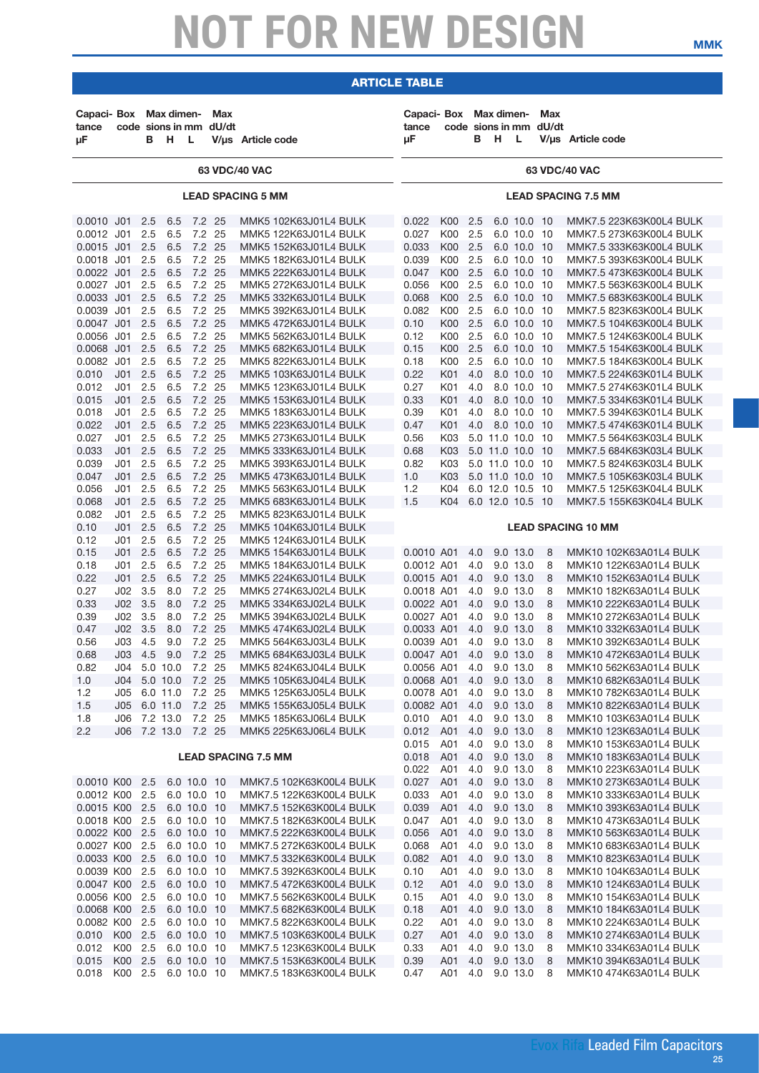| Capaci- Box Max dimen-<br>tance<br>μF                                              |                                                                                   | в                                             | code sions in mm dU/dt<br>н                   | - Li                                                                    | Max | V/µs Article code                                                                                                                                                           | Capaci- Box Max dimen-<br>tance<br>иF                              |                                        | в                                      | -н                                                                                                                | - L                                                                              | Max<br>code sions in mm dU/dt | V/µs Article code                                                                                                                                              |
|------------------------------------------------------------------------------------|-----------------------------------------------------------------------------------|-----------------------------------------------|-----------------------------------------------|-------------------------------------------------------------------------|-----|-----------------------------------------------------------------------------------------------------------------------------------------------------------------------------|--------------------------------------------------------------------|----------------------------------------|----------------------------------------|-------------------------------------------------------------------------------------------------------------------|----------------------------------------------------------------------------------|-------------------------------|----------------------------------------------------------------------------------------------------------------------------------------------------------------|
|                                                                                    |                                                                                   |                                               |                                               |                                                                         |     | 63 VDC/40 VAC                                                                                                                                                               |                                                                    |                                        |                                        |                                                                                                                   |                                                                                  |                               | 63 VDC/40 VAC                                                                                                                                                  |
|                                                                                    |                                                                                   |                                               |                                               |                                                                         |     | <b>LEAD SPACING 5 MM</b>                                                                                                                                                    |                                                                    |                                        |                                        |                                                                                                                   |                                                                                  |                               | <b>LEAD SPACING 7.5 MM</b>                                                                                                                                     |
| 0.0010 J01<br>0.0012 J01<br>0.0015 J01<br>0.0018 J01<br>0.0022 J01                 |                                                                                   | 2.5<br>2.5<br>2.5<br>2.5<br>2.5               | 6.5<br>6.5<br>6.5<br>6.5<br>6.5               | 7.2 25<br>7.2 25<br>7.2 25<br>7.2 25<br>7.2 25                          |     | MMK5 102K63J01L4 BULK<br>MMK5 122K63J01L4 BULK<br>MMK5 152K63J01L4 BULK<br>MMK5 182K63J01L4 BULK<br>MMK5 222K63J01L4 BULK                                                   | 0.022<br>0.027<br>0.033<br>0.039<br>0.047                          | K00<br>K00<br>K00<br>K00<br><b>K00</b> | 2.5<br>2.5<br>2.5<br>2.5<br>2.5        |                                                                                                                   | 6.0 10.0 10<br>6.0 10.0 10<br>6.0 10.0<br>6.0 10.0<br>6.0 10.0 10                | 10<br>10                      | MMK7.5 223K63K00L4 BULK<br>MMK7.5 273K63K00L4 BULK<br>MMK7.5 333K63K00L4 BULK<br>MMK7.5 393K63K00L4 BULK<br>MMK7.5 473K63K00L4 BULK                            |
| 0.0027 J01<br>0.0033 J01<br>0.0039 J01<br>0.0047 J01<br>0.0056 J01<br>0.0068 J01   |                                                                                   | 2.5<br>2.5<br>2.5<br>2.5<br>2.5<br>2.5        | 6.5<br>6.5<br>6.5<br>6.5<br>6.5<br>6.5        | 7.2 25<br>7.2 25<br>7.2 25<br>7.2 25<br>7.2 25<br>7.2 25                |     | MMK5 272K63J01L4 BULK<br>MMK5 332K63J01L4 BULK<br>MMK5 392K63J01L4 BULK<br>MMK5 472K63J01L4 BULK<br>MMK5 562K63J01L4 BULK<br>MMK5 682K63J01L4 BULK                          | 0.056<br>0.068<br>0.082<br>0.10<br>0.12<br>0.15                    | K00<br>K00<br>K00<br>K00<br>K00<br>K00 | 2.5<br>2.5<br>2.5<br>2.5<br>2.5<br>2.5 |                                                                                                                   | 6.0 10.0 10<br>6.0 10.0<br>6.0 10.0 10<br>6.0 10.0<br>6.0 10.0<br>6.0 10.0 10    | 10<br>10<br>10                | MMK7.5 563K63K00L4 BULK<br>MMK7.5 683K63K00L4 BULK<br>MMK7.5 823K63K00L4 BULK<br>MMK7.5 104K63K00L4 BULK<br>MMK7.5 124K63K00L4 BULK<br>MMK7.5 154K63K00L4 BULK |
| 0.0082 J01<br>0.010<br>0.012<br>0.015<br>0.018<br>0.022                            | J <sub>01</sub><br>J01<br>J <sub>01</sub><br>J <sub>01</sub><br>J01               | 2.5<br>2.5<br>2.5<br>2.5<br>2.5<br>2.5        | 6.5<br>6.5<br>6.5<br>6.5<br>6.5<br>6.5        | 7.2 25<br>7.2 25<br>7.2 25<br>7.2 25<br>7.2 25<br>7.2 25                |     | MMK5 822K63J01L4 BULK<br>MMK5 103K63J01L4 BULK<br>MMK5 123K63J01L4 BULK<br>MMK5 153K63J01L4 BULK<br>MMK5 183K63J01L4 BULK<br>MMK5 223K63J01L4 BULK                          | 0.18<br>0.22<br>0.27<br>0.33<br>0.39<br>0.47                       | K00<br>K01<br>K01<br>K01<br>K01<br>K01 | 2.5<br>4.0<br>4.0<br>4.0<br>4.0<br>4.0 |                                                                                                                   | 6.0 10.0 10<br>8.0 10.0<br>8.0 10.0 10<br>8.0 10.0 10<br>8.0 10.0<br>8.0 10.0 10 | 10<br>10                      | MMK7.5 184K63K00L4 BULK<br>MMK7.5 224K63K01L4 BULK<br>MMK7.5 274K63K01L4 BULK<br>MMK7.5 334K63K01L4 BULK<br>MMK7.5 394K63K01L4 BULK<br>MMK7.5 474K63K01L4 BULK |
| 0.027<br>0.033<br>0.039<br>0.047<br>0.056<br>0.068<br>0.082                        | J01<br>J <sub>01</sub><br>J01<br>J <sub>01</sub><br>J01<br>J01<br>J <sub>01</sub> | 2.5<br>2.5<br>2.5<br>2.5<br>2.5<br>2.5<br>2.5 | 6.5<br>6.5<br>6.5<br>6.5<br>6.5<br>6.5<br>6.5 | 7.2 25<br>7.2 25<br>7.2 25<br>7.2 25<br>7.2 25<br>7.2 25<br>7.2 25      |     | MMK5 273K63J01L4 BULK<br>MMK5 333K63J01L4 BULK<br>MMK5 393K63J01L4 BULK<br>MMK5 473K63J01L4 BULK<br>MMK5 563K63J01L4 BULK<br>MMK5 683K63J01L4 BULK<br>MMK5 823K63J01L4 BULK | 0.56<br>0.68<br>0.82<br>1.0<br>1.2<br>1.5                          | K03<br>K03<br>K03<br>K03<br>K04<br>K04 |                                        | 5.0 11.0 10.0 10<br>5.0 11.0 10.0<br>5.0 11.0 10.0 10<br>5.0 11.0 10.0 10<br>6.0 12.0 10.5 10<br>6.0 12.0 10.5 10 |                                                                                  | 10                            | MMK7.5 564K63K03L4 BULK<br>MMK7.5 684K63K03L4 BULK<br>MMK7.5 824K63K03L4 BULK<br>MMK7.5 105K63K03L4 BULK<br>MMK7.5 125K63K04L4 BULK<br>MMK7.5 155K63K04L4 BULK |
| 0.10<br>0.12                                                                       | J01<br>J01                                                                        | 2.5<br>2.5                                    | 6.5<br>6.5                                    | 7.2 25<br>7.2 25                                                        |     | MMK5 104K63J01L4 BULK<br>MMK5 124K63J01L4 BULK                                                                                                                              |                                                                    |                                        |                                        |                                                                                                                   |                                                                                  |                               | <b>LEAD SPACING 10 MM</b>                                                                                                                                      |
| 0.15<br>0.18<br>0.22<br>0.27                                                       | J <sub>01</sub><br>J01<br>J01<br>J02                                              | 2.5<br>2.5<br>2.5<br>3.5                      | 6.5<br>6.5<br>6.5<br>8.0                      | 7.2 25<br>7.2 25<br>7.2 25<br>7.2 25                                    |     | MMK5 154K63J01L4 BULK<br>MMK5 184K63J01L4 BULK<br>MMK5 224K63J01L4 BULK<br>MMK5 274K63J02L4 BULK                                                                            | 0.0010 A01<br>0.0012 A01<br>0.0015 A01<br>0.0018 A01               |                                        | 4.0<br>4.0<br>4.0<br>4.0               |                                                                                                                   | 9.0 13.0<br>9.0 13.0<br>9.0 13.0<br>9.0 13.0                                     | 8<br>8<br>8<br>8              | MMK10 102K63A01L4 BULK<br>MMK10 122K63A01L4 BULK<br>MMK10 152K63A01L4 BULK<br>MMK10 182K63A01L4 BULK                                                           |
| 0.33<br>0.39<br>0.47<br>0.56<br>0.68                                               | J02<br>J02<br>J02<br>J03<br>JO3                                                   | 3.5<br>3.5<br>3.5<br>4.5<br>4.5               | 8.0<br>8.0<br>8.0<br>9.0<br>9.0               | 7.2 25<br>7.2 25<br>7.2 25<br>7.2 25<br>7.2 25                          |     | MMK5 334K63J02L4 BULK<br>MMK5 394K63J02L4 BULK<br>MMK5 474K63J02L4 BULK<br>MMK5 564K63J03L4 BULK<br>MMK5 684K63J03L4 BULK                                                   | 0.0022 A01<br>0.0027 A01<br>0.0033 A01<br>0.0039 A01<br>0.0047 A01 |                                        | 4.0<br>4.0<br>4.0<br>4.0<br>4.0        |                                                                                                                   | 9.0 13.0<br>9.0 13.0<br>9.0 13.0<br>9.0 13.0<br>9.0 13.0                         | 8<br>8<br>8<br>8<br>8         | MMK10 222K63A01L4 BULK<br>MMK10 272K63A01L4 BULK<br>MMK10 332K63A01L4 BULK<br>MMK10 392K63A01L4 BULK<br>MMK10 472K63A01L4 BULK                                 |
| 0.82<br>1.0<br>1.2<br>1.5                                                          | J04<br>J04<br>J05<br>J05                                                          |                                               | 5.0 10.0<br>5.0 10.0<br>6.0 11.0<br>6.0 11.0  | 7.2 25<br>7.2 25<br>7.2 25<br>7.2 25                                    |     | MMK5 824K63J04L4 BULK<br>MMK5 105K63J04L4 BULK<br>MMK5 125K63J05L4 BULK<br>MMK5 155K63J05L4 BULK                                                                            | 0.0056 A01<br>0.0068 A01<br>0.0078 A01<br>0.0082 A01               |                                        | 4.0<br>4.0<br>4.0<br>4.0               |                                                                                                                   | 9.0 13.0<br>9.0 13.0<br>9.0 13.0<br>9.0 13.0                                     | 8<br>8<br>8<br>8              | MMK10 562K63A01L4 BULK<br>MMK10 682K63A01L4 BULK<br>MMK10 782K63A01L4 BULK<br>MMK10 822K63A01L4 BULK                                                           |
| 1.8<br>2.2                                                                         | J06                                                                               |                                               | 7.2 13.0<br>J06 7.2 13.0 7.2 25               | 7.2 25                                                                  |     | MMK5 185K63J06L4 BULK<br>MMK5 225K63J06L4 BULK<br><b>LEAD SPACING 7.5 MM</b>                                                                                                | 0.010<br>0.012<br>0.015<br>0.018<br>0.022                          | A01<br>A01<br>A01<br>A01<br>A01        | 4.0<br>4.0<br>4.0<br>4.0<br>4.0        |                                                                                                                   | 9.0 13.0<br>9.0 13.0<br>9.0 13.0<br>9.0 13.0<br>9.0 13.0                         | 8<br>8<br>8<br>8<br>8         | MMK10 103K63A01L4 BULK<br>MMK10 123K63A01L4 BULK<br>MMK10 153K63A01L4 BULK<br>MMK10 183K63A01L4 BULK<br>MMK10 223K63A01L4 BULK                                 |
| 0.0010 K00 2.5<br>0.0012 K00<br>0.0015 K00<br>0.0018 K00<br>0.0022 K00 2.5         |                                                                                   | 2.5<br>2.5<br>2.5                             |                                               | 6.0 10.0 10<br>6.0 10.0 10<br>6.0 10.0 10<br>6.0 10.0 10<br>6.0 10.0 10 |     | MMK7.5 102K63K00L4 BULK<br>MMK7.5 122K63K00L4 BULK<br>MMK7.5 152K63K00L4 BULK<br>MMK7.5 182K63K00L4 BULK<br>MMK7.5 222K63K00L4 BULK                                         | 0.027<br>0.033<br>0.039<br>0.047<br>0.056                          | A01<br>A01<br>A01<br>A01<br>A01        | 4.0<br>4.0<br>4.0<br>4.0<br>4.0        |                                                                                                                   | 9.0 13.0<br>9.0 13.0<br>9.0 13.0<br>9.0 13.0<br>9.0 13.0                         | 8<br>8<br>8<br>8<br>8         | MMK10 273K63A01L4 BULK<br>MMK10 333K63A01L4 BULK<br>MMK10 393K63A01L4 BULK<br>MMK10 473K63A01L4 BULK<br>MMK10 563K63A01L4 BULK                                 |
| 0.0027 K00 2.5<br>0.0033 K00 2.5<br>0.0039 K00 2.5<br>0.0047 K00 2.5<br>0.0056 K00 |                                                                                   | 2.5                                           |                                               | 6.0 10.0 10<br>6.0 10.0 10<br>6.0 10.0 10<br>6.0 10.0 10<br>6.0 10.0 10 |     | MMK7.5 272K63K00L4 BULK<br>MMK7.5 332K63K00L4 BULK<br>MMK7.5 392K63K00L4 BULK<br>MMK7.5 472K63K00L4 BULK<br>MMK7.5 562K63K00L4 BULK                                         | 0.068<br>0.082<br>0.10<br>0.12                                     | A01<br>A01<br>A01<br>A01<br>A01        | 4.0<br>4.0<br>4.0<br>4.0<br>4.0        |                                                                                                                   | 9.0 13.0<br>9.0 13.0<br>9.0 13.0<br>9.0 13.0<br>9.0 13.0                         | 8<br>8<br>8<br>8<br>8         | MMK10 683K63A01L4 BULK<br>MMK10 823K63A01L4 BULK<br>MMK10 104K63A01L4 BULK<br>MMK10 124K63A01L4 BULK<br>MMK10 154K63A01L4 BULK                                 |
| 0.0068 K00 2.5<br>0.0082 K00 2.5<br>0.010<br>0.012                                 | K00 2.5<br>K00 2.5                                                                |                                               |                                               | 6.0 10.0 10<br>6.0 10.0 10<br>6.0 10.0 10<br>6.0 10.0 10                |     | MMK7.5 682K63K00L4 BULK<br>MMK7.5 822K63K00L4 BULK<br>MMK7.5 103K63K00L4 BULK<br>MMK7.5 123K63K00L4 BULK                                                                    | 0.15<br>0.18<br>0.22<br>0.27<br>0.33                               | A01<br>A01<br>A01<br>A01               | 4.0<br>4.0<br>4.0<br>4.0               |                                                                                                                   | 9.0 13.0<br>9.0 13.0<br>9.0 13.0<br>9.0 13.0                                     | 8<br>8<br>8<br>8              | MMK10 184K63A01L4 BULK<br>MMK10 224K63A01L4 BULK<br>MMK10 274K63A01L4 BULK<br>MMK10 334K63A01L4 BULK                                                           |
| 0.015<br>0.018                                                                     | K00 2.5<br>K00 2.5                                                                |                                               |                                               | 6.0 10.0 10<br>6.0 10.0 10                                              |     | MMK7.5 153K63K00L4 BULK<br>MMK7.5 183K63K00L4 BULK                                                                                                                          | 0.39<br>0.47                                                       | A01<br>A01                             | 4.0<br>4.0                             |                                                                                                                   | 9.0 13.0<br>9.0 13.0                                                             | 8<br>8                        | MMK10 394K63A01L4 BULK<br>MMK10 474K63A01L4 BULK                                                                                                               |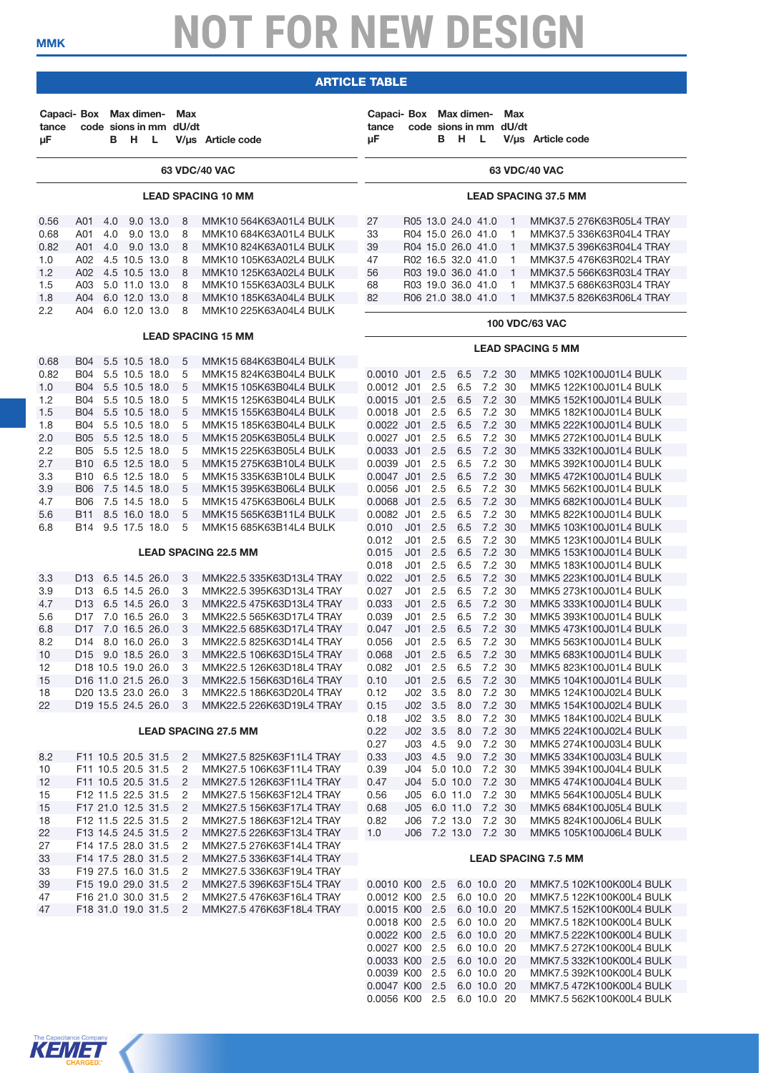### article table

| Capaci- Box Max dimen-<br>tance<br>μF |                                 | в   | H L           |          | Max<br>code sions in mm dU/dt | V/us Article code                                | Capaci- Box Max dimen-<br>tance<br>μF        |                        |            | code sions in mm dU/dt<br>B H L |                      | <b>Max</b>   | V/us Article code                                |
|---------------------------------------|---------------------------------|-----|---------------|----------|-------------------------------|--------------------------------------------------|----------------------------------------------|------------------------|------------|---------------------------------|----------------------|--------------|--------------------------------------------------|
|                                       |                                 |     |               |          |                               | 63 VDC/40 VAC                                    |                                              |                        |            |                                 |                      |              | 63 VDC/40 VAC                                    |
|                                       |                                 |     |               |          |                               | <b>LEAD SPACING 10 MM</b>                        |                                              |                        |            |                                 |                      |              | <b>LEAD SPACING 37.5 MM</b>                      |
| 0.56                                  | A01                             | 4.0 |               | 9.0 13.0 | 8                             | MMK10 564K63A01L4 BULK                           | 27                                           |                        |            | R05 13.0 24.0 41.0              |                      | 1            | MMK37.5 276K63R05L4 TRAY                         |
| 0.68                                  | A01                             | 4.0 |               | 9.0 13.0 | 8                             | MMK10 684K63A01L4 BULK                           | 33                                           |                        |            | R04 15.0 26.0 41.0              |                      | $\mathbf{1}$ | MMK37.5 336K63R04L4 TRAY                         |
| 0.82                                  | A01                             | 4.0 | 9.0 13.0      |          | 8                             | MMK10 824K63A01L4 BULK                           | 39                                           |                        |            | R04 15.0 26.0 41.0              |                      | $\mathbf{1}$ | MMK37.5 396K63R04L4 TRAY                         |
| 1.0                                   | A02                             |     | 4.5 10.5 13.0 |          | 8                             | MMK10 105K63A02L4 BULK                           | 47                                           |                        |            | R02 16.5 32.0 41.0              |                      | $\mathbf{1}$ | MMK37.5 476K63R02L4 TRAY                         |
| 1.2                                   | A02                             |     | 4.5 10.5 13.0 |          | 8                             | MMK10 125K63A02L4 BULK                           | 56                                           |                        |            | R03 19.0 36.0 41.0              |                      | $\mathbf{1}$ | MMK37.5 566K63R03L4 TRAY                         |
| 1.5                                   | A03                             |     | 5.0 11.0 13.0 |          | 8                             | MMK10 155K63A03L4 BULK                           | 68                                           |                        |            | R03 19.0 36.0 41.0              |                      | $\mathbf{1}$ | MMK37.5 686K63R03L4 TRAY                         |
| 1.8                                   | A04                             |     | 6.0 12.0 13.0 |          | 8                             | MMK10 185K63A04L4 BULK                           | 82                                           |                        |            | R06 21.0 38.0 41.0              |                      | $\mathbf{1}$ | MMK37.5 826K63R06L4 TRAY                         |
| 2.2                                   | A04 6.0 12.0 13.0               |     |               |          | 8                             | MMK10 225K63A04L4 BULK                           |                                              |                        |            |                                 |                      |              |                                                  |
|                                       |                                 |     |               |          |                               | <b>LEAD SPACING 15 MM</b>                        |                                              |                        |            |                                 |                      |              | <b>100 VDC/63 VAC</b>                            |
|                                       |                                 |     |               |          |                               |                                                  |                                              |                        |            |                                 |                      |              | <b>LEAD SPACING 5 MM</b>                         |
| 0.68                                  | B04 5.5 10.5 18.0<br><b>B04</b> |     |               |          | 5<br>5                        | MMK15 684K63B04L4 BULK                           |                                              |                        |            |                                 |                      |              |                                                  |
| 0.82<br>1.0                           | B04 5.5 10.5 18.0               |     | 5.5 10.5 18.0 |          | 5                             | MMK15 824K63B04L4 BULK<br>MMK15 105K63B04L4 BULK | $0.0010$ J01<br>0.0012 J01                   |                        | 2.5<br>2.5 | 6.5<br>6.5                      | 7.2 30<br>7.2 30     |              | MMK5 102K100J01L4 BULK<br>MMK5 122K100J01L4 BULK |
| 1.2                                   | B04                             |     | 5.5 10.5 18.0 |          | 5                             | MMK15 125K63B04L4 BULK                           | 0.0015 J01 2.5                               |                        |            | 6.5                             | 7.2 30               |              | MMK5 152K100J01L4 BULK                           |
| 1.5                                   | B04 5.5 10.5 18.0               |     |               |          | 5                             | MMK15 155K63B04L4 BULK                           | 0.0018 J01                                   |                        | 2.5        | 6.5                             | 7.2 30               |              | MMK5 182K100J01L4 BULK                           |
| 1.8                                   | B04 5.5 10.5 18.0               |     |               |          | 5                             | MMK15 185K63B04L4 BULK                           | 0.0022 J01                                   |                        | 2.5        | 6.5                             | 7.2 30               |              | MMK5 222K100J01L4 BULK                           |
| 2.0                                   | <b>B05</b>                      |     | 5.5 12.5 18.0 |          | 5                             | MMK15 205K63B05L4 BULK                           | 0.0027 J01                                   |                        | 2.5        | 6.5                             | 7.2 30               |              | MMK5 272K100J01L4 BULK                           |
| 2.2                                   | B05                             |     | 5.5 12.5 18.0 |          | 5                             | MMK15 225K63B05L4 BULK                           | 0.0033 J01                                   |                        | 2.5        | 6.5                             | 7.2 30               |              | MMK5 332K100J01L4 BULK                           |
| 2.7                                   | <b>B10</b>                      |     | 6.5 12.5 18.0 |          | 5                             | MMK15 275K63B10L4 BULK                           | 0.0039 J01                                   |                        | 2.5        | 6.5                             | 7.2 30               |              | MMK5 392K100J01L4 BULK                           |
| 3.3                                   | B <sub>10</sub> 6.5 12.5 18.0   |     |               |          | 5                             | MMK15 335K63B10L4 BULK                           | 0.0047 J01 2.5                               |                        |            | 6.5                             | 7.2 30               |              | MMK5 472K100J01L4 BULK                           |
| 3.9                                   | <b>B06</b>                      |     | 7.5 14.5 18.0 |          | 5                             | MMK15 395K63B06L4 BULK                           | 0.0056 J01                                   |                        | 2.5        | 6.5                             | 7.2 30               |              | MMK5 562K100J01L4 BULK                           |
| 4.7                                   | B06                             |     | 7.5 14.5 18.0 |          | 5                             | MMK15 475K63B06L4 BULK                           | 0.0068 J01                                   |                        | 2.5        | 6.5                             | 7.2 30               |              | MMK5 682K100J01L4 BULK                           |
| 5.6                                   | B11                             |     | 8.5 16.0 18.0 |          | 5                             | MMK15 565K63B11L4 BULK                           | 0.0082 J01                                   |                        | 2.5        | 6.5                             | 7.2 30               |              | MMK5 822K100J01L4 BULK                           |
| 6.8                                   | B14 9.5 17.5 18.0               |     |               |          | 5                             | MMK15 685K63B14L4 BULK                           | 0.010                                        | J01                    | 2.5        | 6.5                             | 7.2 30               |              | MMK5 103K100J01L4 BULK                           |
|                                       |                                 |     |               |          |                               |                                                  | 0.012                                        | J01                    | 2.5        | 6.5                             | 7.2 30               |              | MMK5 123K100J01L4 BULK                           |
|                                       |                                 |     |               |          |                               | <b>LEAD SPACING 22.5 MM</b>                      | 0.015                                        | $J01$ 2.5              |            | 6.5                             | 7.2 30               |              | MMK5 153K100J01L4 BULK                           |
| 3.3                                   | D <sub>13</sub> 6.5 14.5 26.0   |     |               |          | 3                             | MMK22.5 335K63D13L4 TRAY                         | 0.018<br>0.022                               | J01<br>J <sub>01</sub> | 2.5<br>2.5 | 6.5<br>6.5                      | 7.2 30<br>7.2 30     |              | MMK5 183K100J01L4 BULK<br>MMK5 223K100J01L4 BULK |
| 3.9                                   | D13 6.5 14.5 26.0               |     |               |          | 3                             | MMK22.5 395K63D13L4 TRAY                         | 0.027                                        | J01                    | 2.5        | 6.5                             | 7.2 30               |              | MMK5 273K100J01L4 BULK                           |
| 4.7                                   | D13 6.5 14.5 26.0               |     |               |          | 3                             | MMK22.5 475K63D13L4 TRAY                         | 0.033                                        | J <sub>01</sub>        | 2.5        | 6.5                             | 7.2 30               |              | MMK5 333K100J01L4 BULK                           |
| 5.6                                   | D <sub>17</sub> 7.0 16.5 26.0   |     |               |          | 3                             | MMK22.5 565K63D17L4 TRAY                         | 0.039                                        | J01                    | 2.5        | 6.5                             | 7.2 30               |              | MMK5 393K100J01L4 BULK                           |
| 6.8                                   | D17 7.0 16.5 26.0               |     |               |          | 3                             | MMK22.5 685K63D17L4 TRAY                         | 0.047                                        | J <sub>01</sub>        | 2.5        | 6.5                             | 7.2 30               |              | MMK5 473K100J01L4 BULK                           |
| 8.2                                   | D14 8.0 16.0 26.0               |     |               |          | 3                             | MMK22.5 825K63D14L4 TRAY                         | 0.056                                        | J01                    | 2.5        | 6.5                             | 7.2 30               |              | MMK5 563K100J01L4 BULK                           |
| 10                                    | D15                             |     | 9.0 18.5 26.0 |          | 3                             | MMK22.5 106K63D15L4 TRAY                         | 0.068                                        | J <sub>01</sub>        | 2.5        | 6.5                             | 7.2 30               |              | MMK5 683K100J01L4 BULK                           |
| 12                                    | D <sub>18</sub> 10.5 19.0 26.0  |     |               |          | 3                             | MMK22.5 126K63D18L4 TRAY                         | 0.082                                        | J01                    | 2.5        | 6.5                             | 7.2 30               |              | MMK5 823K100J01L4 BULK                           |
| 15                                    | D <sub>16</sub> 11.0 21.5 26.0  |     |               |          | 3                             | MMK22.5 156K63D16L4 TRAY                         | 0.10                                         |                        |            | $J01$ 2.5 6.5                   | 7.2 30               |              | MMK5 104K100J01L4 BULK                           |
| 18                                    | D20 13.5 23.0 26.0              |     |               |          | 3                             | MMK22.5 186K63D20L4 TRAY                         | 0.12                                         | $JO2 \quad 3.5$        |            | 8.0                             | 7.2 30               |              | MMK5 124K100J02L4 BULK                           |
| 22                                    | D19 15.5 24.5 26.0              |     |               |          | 3                             | MMK22.5 226K63D19L4 TRAY                         | 0.15                                         | $JO2$ 3.5              |            | 8.0                             | 7.2 30               |              | MMK5 154K100J02L4 BULK                           |
|                                       |                                 |     |               |          |                               |                                                  | 0.18                                         | $JO2 \quad 3.5$        |            |                                 | 8.0 7.2 30           |              | MMK5 184K100J02L4 BULK                           |
|                                       |                                 |     |               |          |                               | <b>LEAD SPACING 27.5 MM</b>                      | 0.22                                         |                        |            | $JO2$ 3.5 8.0                   | 7.2 30<br>9.0 7.2 30 |              | MMK5 224K100J02L4 BULK                           |
|                                       | F11 10.5 20.5 31.5              |     |               |          | $\overline{2}$                | MMK27.5 825K63F11L4 TRAY                         | 0.27<br>0.33                                 | $J03$ 4.5              |            | J03 4.5 9.0                     | 7.2 30               |              | MMK5 274K100J03L4 BULK<br>MMK5 334K100J03L4 BULK |
| 8.2<br>10                             | F11 10.5 20.5 31.5              |     |               |          | $\overline{c}$                | MMK27.5 106K63F11L4 TRAY                         | 0.39                                         |                        |            | J04 5.0 10.0                    | 7.2 30               |              | MMK5 394K100J04L4 BULK                           |
| 12                                    | F11 10.5 20.5 31.5              |     |               |          | $\overline{c}$                | MMK27.5 126K63F11L4 TRAY                         | 0.47                                         |                        |            | J04 5.0 10.0 7.2 30             |                      |              | MMK5 474K100J04L4 BULK                           |
| 15                                    | F12 11.5 22.5 31.5              |     |               |          | 2                             | MMK27.5 156K63F12L4 TRAY                         | 0.56                                         |                        |            | J05 6.0 11.0 7.2 30             |                      |              | MMK5 564K100J05L4 BULK                           |
| 15                                    | F17 21.0 12.5 31.5              |     |               |          | $\overline{c}$                | MMK27.5 156K63F17L4 TRAY                         | 0.68                                         |                        |            | J05 6.0 11.0 7.2 30             |                      |              | MMK5 684K100J05L4 BULK                           |
| 18                                    | F12 11.5 22.5 31.5              |     |               |          | $\overline{c}$                | MMK27.5 186K63F12L4 TRAY                         | 0.82                                         |                        |            | J06 7.2 13.0 7.2 30             |                      |              | MMK5 824K100J06L4 BULK                           |
| 22                                    | F13 14.5 24.5 31.5              |     |               |          | 2                             | MMK27.5 226K63F13L4 TRAY                         | 1.0                                          |                        |            | J06 7.2 13.0 7.2 30             |                      |              | MMK5 105K100J06L4 BULK                           |
| 27                                    | F14 17.5 28.0 31.5              |     |               |          | $\overline{c}$                | MMK27.5 276K63F14L4 TRAY                         |                                              |                        |            |                                 |                      |              |                                                  |
| 33                                    | F14 17.5 28.0 31.5              |     |               |          | $\overline{2}$                | MMK27.5 336K63F14L4 TRAY                         |                                              |                        |            |                                 |                      |              | <b>LEAD SPACING 7.5 MM</b>                       |
| 33                                    | F19 27.5 16.0 31.5              |     |               |          | 2                             | MMK27.5 336K63F19L4 TRAY                         |                                              |                        |            |                                 |                      |              |                                                  |
| 39                                    | F15 19.0 29.0 31.5              |     |               |          | 2                             | MMK27.5 396K63F15L4 TRAY                         | 0.0010 K00 2.5 6.0 10.0 20                   |                        |            |                                 |                      |              | MMK7.5 102K100K00L4 BULK                         |
| 47                                    | F16 21.0 30.0 31.5              |     |               |          | 2                             | MMK27.5 476K63F16L4 TRAY                         | 0.0012 K00 2.5                               |                        |            |                                 | 6.0 10.0 20          |              | MMK7.5 122K100K00L4 BULK                         |
| 47                                    | F18 31.0 19.0 31.5              |     |               |          | 2                             | MMK27.5 476K63F18L4 TRAY                         | 0.0015 K00 2.5                               |                        |            |                                 | 6.0 10.0 20          |              | MMK7.5 152K100K00L4 BULK                         |
|                                       |                                 |     |               |          |                               |                                                  | 0.0018 K00 2.5                               |                        |            |                                 | 6.0 10.0 20          |              | MMK7.5 182K100K00L4 BULK                         |
|                                       |                                 |     |               |          |                               |                                                  | 0.0022 K00 2.5                               |                        |            |                                 | 6.0 10.0 20          |              | MMK7.5 222K100K00L4 BULK                         |
|                                       |                                 |     |               |          |                               |                                                  | 0.0027 K00 2.5<br>0.0033 K00 2.5 6.0 10.0 20 |                        |            |                                 | 6.0 10.0 20          |              | MMK7.5 272K100K00L4 BULK                         |
|                                       |                                 |     |               |          |                               |                                                  |                                              |                        |            |                                 |                      |              | MMK7.5 332K100K00L4 BULK                         |

0.0039 K00 2.5 6.0 10.0 20 MMK7.5 392K100K00L4 BULK 0.0047 K00 2.5 6.0 10.0 20 MMK7.5 472K100K00L4 BULK 0.0056 K00 2.5 6.0 10.0 20 MMK7.5 562K100K00L4 BULK

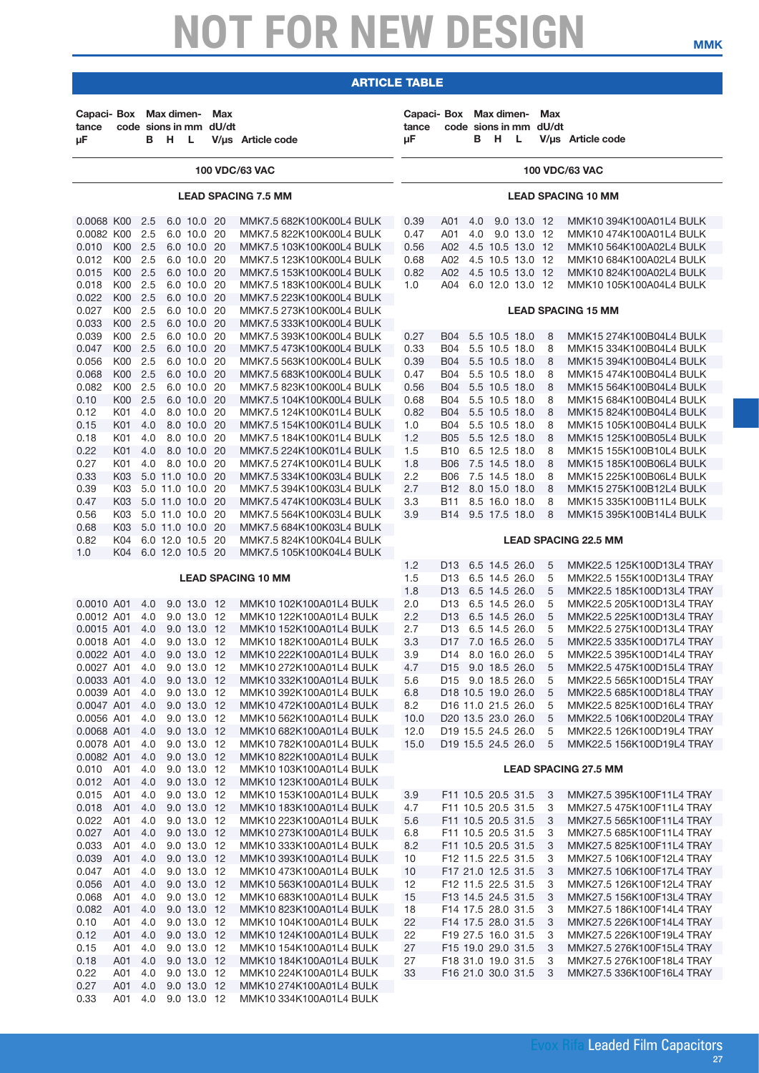| Capaci- Box Max dimen-<br>tance<br>μF                                                                                                                                                                          |                                                                                                                                                                                | в                                                                                       | н                                                                                                | - L                                                                                                                                                                                                                                                                                                      | Max<br>code sions in mm dU/dt | V/us Article code                                                                                                                                                                                                                                                                                                                                                                                                                                                                                                                                                            | Capaci- Box Max dimen-<br>tance<br>uF                                                                                           |                                                                                                                                                                                                                                                                       | в          | н                                                                                                                                                                                                                                  | L                          | Max<br>code sions in mm dU/dt                                      | V/us Article code                                                                                                                                                                                                                                                                                                                                                                                                                                                                                    |
|----------------------------------------------------------------------------------------------------------------------------------------------------------------------------------------------------------------|--------------------------------------------------------------------------------------------------------------------------------------------------------------------------------|-----------------------------------------------------------------------------------------|--------------------------------------------------------------------------------------------------|----------------------------------------------------------------------------------------------------------------------------------------------------------------------------------------------------------------------------------------------------------------------------------------------------------|-------------------------------|------------------------------------------------------------------------------------------------------------------------------------------------------------------------------------------------------------------------------------------------------------------------------------------------------------------------------------------------------------------------------------------------------------------------------------------------------------------------------------------------------------------------------------------------------------------------------|---------------------------------------------------------------------------------------------------------------------------------|-----------------------------------------------------------------------------------------------------------------------------------------------------------------------------------------------------------------------------------------------------------------------|------------|------------------------------------------------------------------------------------------------------------------------------------------------------------------------------------------------------------------------------------|----------------------------|--------------------------------------------------------------------|------------------------------------------------------------------------------------------------------------------------------------------------------------------------------------------------------------------------------------------------------------------------------------------------------------------------------------------------------------------------------------------------------------------------------------------------------------------------------------------------------|
|                                                                                                                                                                                                                |                                                                                                                                                                                |                                                                                         |                                                                                                  |                                                                                                                                                                                                                                                                                                          |                               | <b>100 VDC/63 VAC</b>                                                                                                                                                                                                                                                                                                                                                                                                                                                                                                                                                        |                                                                                                                                 |                                                                                                                                                                                                                                                                       |            |                                                                                                                                                                                                                                    |                            |                                                                    | <b>100 VDC/63 VAC</b>                                                                                                                                                                                                                                                                                                                                                                                                                                                                                |
|                                                                                                                                                                                                                |                                                                                                                                                                                |                                                                                         |                                                                                                  |                                                                                                                                                                                                                                                                                                          |                               | <b>LEAD SPACING 7.5 MM</b>                                                                                                                                                                                                                                                                                                                                                                                                                                                                                                                                                   |                                                                                                                                 |                                                                                                                                                                                                                                                                       |            |                                                                                                                                                                                                                                    |                            |                                                                    | <b>LEAD SPACING 10 MM</b>                                                                                                                                                                                                                                                                                                                                                                                                                                                                            |
| 0.0068 K00<br>0.0082 K00<br>0.010<br>0.012<br>0.015<br>0.018<br>0.022<br>0.027<br>0.033<br>0.039<br>0.047<br>0.056<br>0.068<br>0.082<br>0.10<br>0.12<br>0.15<br>0.18<br>0.22<br>0.27                           | K00 2.5<br>K00<br>K00 2.5<br>K00 2.5<br>K <sub>00</sub><br>K00 2.5<br>K00 2.5<br>K00<br>K00 2.5<br>K00<br>K <sub>00</sub><br>K00<br>K00 2.5<br>K01<br>K01<br>K01<br>K01<br>K01 | 2.5<br>2.5<br>2.5<br>2.5<br>2.5<br>2.5<br>2.5<br>2.5<br>4.0<br>4.0<br>4.0<br>4.0<br>4.0 |                                                                                                  | 6.0 10.0 20<br>6.0 10.0 20<br>6.0 10.0 20<br>6.0 10.0 20<br>6.0 10.0 20<br>6.0 10.0 20<br>6.0 10.0 20<br>6.0 10.0 20<br>6.0 10.0 20<br>6.0 10.0 20<br>6.0 10.0 20<br>6.0 10.0 20<br>6.0 10.0 20<br>6.0 10.0 20<br>6.0 10.0 20<br>8.0 10.0 20<br>8.0 10.0 20<br>8.0 10.0 20<br>8.0 10.0 20<br>8.0 10.0 20 |                               | MMK7.5 682K100K00L4 BULK<br>MMK7.5 822K100K00L4 BULK<br>MMK7.5 103K100K00L4 BULK<br>MMK7.5 123K100K00L4 BULK<br>MMK7.5 153K100K00L4 BULK<br>MMK7.5 183K100K00L4 BULK<br>MMK7.5 223K100K00L4 BULK<br>MMK7.5 273K100K00L4 BULK<br>MMK7.5 333K100K00L4 BULK<br>MMK7.5 393K100K00L4 BULK<br>MMK7.5 473K100K00L4 BULK<br>MMK7.5 563K100K00L4 BULK<br>MMK7.5 683K100K00L4 BULK<br>MMK7.5 823K100K00L4 BULK<br>MMK7.5 104K100K00L4 BULK<br>MMK7.5 124K100K01L4 BULK<br>MMK7.5 154K100K01L4 BULK<br>MMK7.5 184K100K01L4 BULK<br>MMK7.5 224K100K01L4 BULK<br>MMK7.5 274K100K01L4 BULK | 0.39<br>0.47<br>0.56<br>0.68<br>0.82<br>1.0<br>0.27<br>0.33<br>0.39<br>0.47<br>0.56<br>0.68<br>0.82<br>1.0<br>1.2<br>1.5<br>1.8 | A01<br>A01<br>A02<br>A02<br>A02 4.5 10.5 13.0 12<br>A04<br><b>B04</b><br><b>B04</b><br>B04<br><b>B04</b><br>B04 5.5 10.5 18.0<br>B04<br><b>B04</b><br><b>B04</b><br><b>B05</b><br><b>B10</b><br><b>B06</b>                                                            | 4.0<br>4.0 | 4.5 10.5 13.0 12<br>4.5 10.5 13.0 12<br>6.0 12.0 13.0 12<br>5.5 10.5 18.0<br>5.5 10.5 18.0<br>5.5 10.5 18.0<br>5.5 10.5 18.0<br>5.5 10.5 18.0<br>5.5 10.5 18.0<br>5.5 10.5 18.0<br>5.5 12.5 18.0<br>6.5 12.5 18.0<br>7.5 14.5 18.0 | 9.0 13.0 12<br>9.0 13.0 12 | 8<br>8<br>8<br>8<br>8<br>8<br>8<br>8<br>8<br>8<br>8                | MMK10 394K100A01L4 BULK<br>MMK10 474K100A01L4 BULK<br>MMK10 564K100A02L4 BULK<br>MMK10 684K100A02L4 BULK<br>MMK10 824K100A02L4 BULK<br>MMK10 105K100A04L4 BULK<br><b>LEAD SPACING 15 MM</b><br>MMK15 274K100B04L4 BULK<br>MMK15 334K100B04L4 BULK<br>MMK15 394K100B04L4 BULK<br>MMK15 474K100B04L4 BULK<br>MMK15 564K100B04L4 BULK<br>MMK15 684K100B04L4 BULK<br>MMK15 824K100B04L4 BULK<br>MMK15 105K100B04L4 BULK<br>MMK15 125K100B05L4 BULK<br>MMK15 155K100B10L4 BULK<br>MMK15 185K100B06L4 BULK |
| 0.33<br>0.39<br>0.47<br>0.56<br>0.68<br>0.82<br>1.0                                                                                                                                                            | K03 5.0 11.0 10.0 20<br>K03<br>K03<br>K03 5.0 11.0 10.0 20<br>K03<br>K04<br>K04                                                                                                |                                                                                         | 5.0 11.0 10.0 20<br>5.0 11.0 10.0 20<br>5.0 11.0 10.0 20<br>6.0 12.0 10.5 20<br>6.0 12.0 10.5 20 |                                                                                                                                                                                                                                                                                                          |                               | MMK7.5 334K100K03L4 BULK<br>MMK7.5 394K100K03L4 BULK<br>MMK7.5 474K100K03L4 BULK<br>MMK7.5 564K100K03L4 BULK<br>MMK7.5 684K100K03L4 BULK<br>MMK7.5 824K100K04L4 BULK<br>MMK7.5 105K100K04L4 BULK                                                                                                                                                                                                                                                                                                                                                                             | 2.2<br>2.7<br>3.3<br>3.9<br>1.2                                                                                                 | <b>B06</b><br>B12 8.0 15.0 18.0<br>B11<br>B14<br>D13                                                                                                                                                                                                                  |            | 7.5 14.5 18.0<br>8.5 16.0 18.0<br>9.5 17.5 18.0<br>6.5 14.5 26.0                                                                                                                                                                   |                            | 8<br>8<br>8<br>8<br>5                                              | MMK15 225K100B06L4 BULK<br>MMK15 275K100B12L4 BULK<br>MMK15 335K100B11L4 BULK<br>MMK15 395K100B14L4 BULK<br><b>LEAD SPACING 22.5 MM</b><br>MMK22.5 125K100D13L4 TRAY                                                                                                                                                                                                                                                                                                                                 |
| 0.0010 A01<br>0.0012 A01<br>0.0015 A01<br>0.0018 A01<br>0.0022 A01<br>0.0027 A01<br>0.0033 A01 4.0 9.0 13.0 12<br>0.0039 A01<br>0.0047 A01 4.0<br>0.0056 A01<br>0.0068 A01 4.0<br>0.0078 A01 4.0<br>0.0082 A01 |                                                                                                                                                                                | 4.0<br>4.0<br>4.0<br>4.0<br>4.0<br>4.0<br>4.0<br>-4.0<br>4.0                            |                                                                                                  | 9.0 13.0 12<br>9.0 13.0 12<br>9.0 13.0 12<br>9.0 13.0 12<br>9.0 13.0 12<br>9.0 13.0 12<br>9.0 13.0 12<br>9.0 13.0 12<br>9.0 13.0 12<br>9.0 13.0 12<br>9.0 13.0 12<br>9.0 13.0 12                                                                                                                         |                               | <b>LEAD SPACING 10 MM</b><br>MMK10 102K100A01L4 BULK<br>MMK10 122K100A01L4 BULK<br>MMK10 152K100A01L4 BULK<br>MMK10 182K100A01L4 BULK<br>MMK10 222K100A01L4 BULK<br>MMK10 272K100A01L4 BULK<br>MMK10 332K100A01L4 BULK<br>MMK10 392K100A01L4 BULK<br>MMK10 472K100A01L4 BULK<br>MMK10 562K100A01L4 BULK<br>MMK10 682K100A01L4 BULK<br>MMK10 782K100A01L4 BULK<br>MMK10 822K100A01L4 BULK                                                                                                                                                                                     | 1.5<br>1.8<br>2.0<br>2.2<br>2.7<br>3.3<br>3.9<br>4.7<br>5.6<br>6.8<br>8.2<br>10.0<br>12.0<br>15.0                               | D13<br>D13 6.5 14.5 26.0<br>D <sub>13</sub><br>D13 6.5 14.5 26.0<br>D13<br>D <sub>17</sub><br>D <sub>14</sub><br>D15 9.0 18.5 26.0<br>D15 9.0 18.5 26.0<br>D18 10.5 19.0 26.0<br>D16 11.0 21.5 26.0<br>D20 13.5 23.0 26.0<br>D19 15.5 24.5 26.0<br>D19 15.5 24.5 26.0 |            | 6.5 14.5 26.0<br>6.5 14.5 26.0<br>6.5 14.5 26.0<br>7.0 16.5 26.0<br>8.0 16.0 26.0                                                                                                                                                  |                            | 5<br>5<br>5<br>5<br>5<br>5<br>5<br>5<br>5<br>5<br>5<br>5<br>5<br>5 | MMK22.5 155K100D13L4 TRAY<br>MMK22.5 185K100D13L4 TRAY<br>MMK22.5 205K100D13L4 TRAY<br>MMK22.5 225K100D13L4 TRAY<br>MMK22.5 275K100D13L4 TRAY<br>MMK22.5 335K100D17L4 TRAY<br>MMK22.5 395K100D14L4 TRAY<br>MMK22.5 475K100D15L4 TRAY<br>MMK22.5 565K100D15L4 TRAY<br>MMK22.5 685K100D18L4 TRAY<br>MMK22.5 825K100D16L4 TRAY<br>MMK22.5 106K100D20L4 TRAY<br>MMK22.5 126K100D19L4 TRAY<br>MMK22.5 156K100D19L4 TRAY                                                                                   |
| 0.010 A01<br>0.012<br>0.015<br>0.018 A01 4.0<br>0.022                                                                                                                                                          | A01 4.0<br>A01<br>A01 4.0                                                                                                                                                      | 4.0<br>-4.0                                                                             |                                                                                                  | 9.0 13.0 12<br>9.0 13.0 12<br>9.0 13.0 12<br>9.0 13.0 12<br>9.0 13.0 12                                                                                                                                                                                                                                  |                               | MMK10 103K100A01L4 BULK<br>MMK10 123K100A01L4 BULK<br>MMK10 153K100A01L4 BULK<br>MMK10 183K100A01L4 BULK<br>MMK10 223K100A01L4 BULK                                                                                                                                                                                                                                                                                                                                                                                                                                          | 3.9<br>4.7<br>5.6                                                                                                               | F11 10.5 20.5 31.5<br>F11 10.5 20.5 31.5<br>F11 10.5 20.5 31.5                                                                                                                                                                                                        |            |                                                                                                                                                                                                                                    |                            | 3<br>3<br>3                                                        | <b>LEAD SPACING 27.5 MM</b><br>MMK27.5 395K100F11L4 TRAY<br>MMK27.5 475K100F11L4 TRAY<br>MMK27.5 565K100F11L4 TRAY                                                                                                                                                                                                                                                                                                                                                                                   |
| 0.027<br>0.033<br>0.039<br>0.047<br>0.056<br>0.068<br>0.082                                                                                                                                                    | A01<br>A01<br>A01 4.0<br>A01<br>A01<br>A01 4.0<br>A01 4.0                                                                                                                      | 4.0<br>4.0<br>4.0<br>4.0                                                                |                                                                                                  | 9.0 13.0 12<br>9.0 13.0 12<br>9.0 13.0 12<br>9.0 13.0 12<br>9.0 13.0 12<br>9.0 13.0 12<br>9.0 13.0 12                                                                                                                                                                                                    |                               | MMK10 273K100A01L4 BULK<br>MMK10 333K100A01L4 BULK<br>MMK10 393K100A01L4 BULK<br>MMK10 473K100A01L4 BULK<br>MMK10 563K100A01L4 BULK<br>MMK10 683K100A01L4 BULK<br>MMK10 823K100A01L4 BULK                                                                                                                                                                                                                                                                                                                                                                                    | 6.8<br>8.2<br>10<br>10<br>12<br>15<br>18                                                                                        | F11 10.5 20.5 31.5<br>F11 10.5 20.5 31.5<br>F12 11.5 22.5 31.5<br>F17 21.0 12.5 31.5<br>F12 11.5 22.5 31.5<br>F13 14.5 24.5 31.5<br>F14 17.5 28.0 31.5                                                                                                                |            |                                                                                                                                                                                                                                    |                            | 3<br>3<br>3<br>3<br>3<br>3<br>3                                    | MMK27.5 685K100F11L4 TRAY<br>MMK27.5 825K100F11L4 TRAY<br>MMK27.5 106K100F12L4 TRAY<br>MMK27.5 106K100F17L4 TRAY<br>MMK27.5 126K100F12L4 TRAY<br>MMK27.5 156K100F13L4 TRAY<br>MMK27.5 186K100F14L4 TRAY                                                                                                                                                                                                                                                                                              |
| 0.10<br>0.12<br>0.15<br>0.18<br>0.22<br>0.27<br>0.33                                                                                                                                                           | A01<br>A01 4.0<br>A01 4.0<br>A01 4.0<br>A01 4.0<br>A01 4.0 9.0 13.0 12<br>A01 4.0 9.0 13.0 12                                                                                  | 4.0                                                                                     |                                                                                                  | 9.0 13.0 12<br>9.0 13.0 12<br>9.0 13.0 12<br>9.0 13.0 12<br>9.0 13.0 12                                                                                                                                                                                                                                  |                               | MMK10 104K100A01L4 BULK<br>MMK10 124K100A01L4 BULK<br>MMK10 154K100A01L4 BULK<br>MMK10 184K100A01L4 BULK<br>MMK10 224K100A01L4 BULK<br>MMK10 274K100A01L4 BULK<br>MMK10 334K100A01L4 BULK                                                                                                                                                                                                                                                                                                                                                                                    | 22<br>22<br>27<br>27<br>33                                                                                                      | F14 17.5 28.0 31.5<br>F19 27.5 16.0 31.5<br>F15 19.0 29.0 31.5<br>F18 31.0 19.0 31.5<br>F16 21.0 30.0 31.5                                                                                                                                                            |            |                                                                                                                                                                                                                                    |                            | 3<br>3<br>3<br>3<br>3                                              | MMK27.5 226K100F14L4 TRAY<br>MMK27.5 226K100F19L4 TRAY<br>MMK27.5 276K100F15L4 TRAY<br>MMK27.5 276K100F18L4 TRAY<br>MMK27.5 336K100F16L4 TRAY                                                                                                                                                                                                                                                                                                                                                        |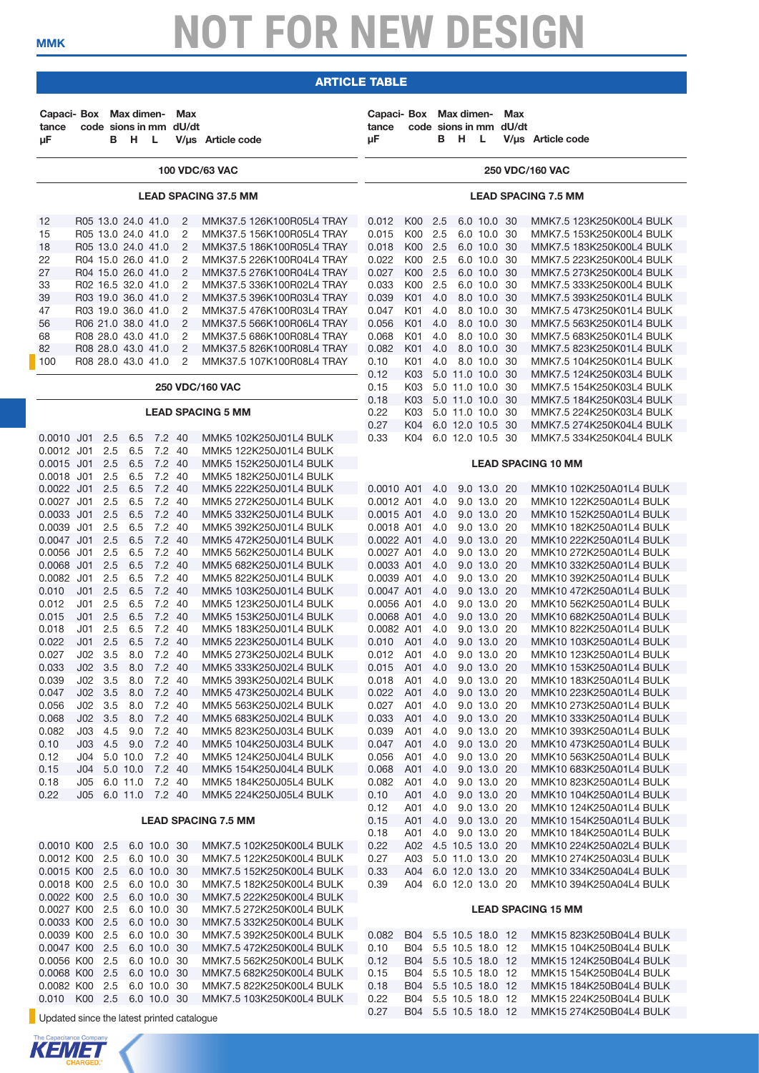### article table

| Capaci- Box Max dimen-<br>tance<br>μF                                |                                                       | в                        | н.                                                                                                         | - L                                                      | Max<br>code sions in mm dU/dt                                | V/µs Article code                                                                                                                             | Capaci- Box Max dimen-<br>tance<br>μF                |                                           | в                        | H                                                        | L.                                                                      | Max<br>code sions in mm dU/dt | V/us Article code                                                                                                                        |
|----------------------------------------------------------------------|-------------------------------------------------------|--------------------------|------------------------------------------------------------------------------------------------------------|----------------------------------------------------------|--------------------------------------------------------------|-----------------------------------------------------------------------------------------------------------------------------------------------|------------------------------------------------------|-------------------------------------------|--------------------------|----------------------------------------------------------|-------------------------------------------------------------------------|-------------------------------|------------------------------------------------------------------------------------------------------------------------------------------|
|                                                                      |                                                       |                          |                                                                                                            |                                                          |                                                              | <b>100 VDC/63 VAC</b>                                                                                                                         |                                                      |                                           |                          |                                                          |                                                                         |                               | <b>250 VDC/160 VAC</b>                                                                                                                   |
|                                                                      |                                                       |                          |                                                                                                            |                                                          |                                                              | <b>LEAD SPACING 37.5 MM</b>                                                                                                                   |                                                      |                                           |                          |                                                          |                                                                         |                               | <b>LEAD SPACING 7.5 MM</b>                                                                                                               |
| 12<br>15<br>18<br>22                                                 |                                                       |                          | R05 13.0 24.0 41.0<br>R05 13.0 24.0 41.0<br>R05 13.0 24.0 41.0<br>R04 15.0 26.0 41.0                       |                                                          | 2<br>2<br>$\overline{2}$<br>2                                | MMK37.5 126K100R05L4 TRAY<br>MMK37.5 156K100R05L4 TRAY<br>MMK37.5 186K100R05L4 TRAY<br>MMK37.5 226K100R04L4 TRAY                              | 0.012<br>0.015<br>0.018<br>0.022                     | K00 2.5<br>K00<br>K00<br>K00              | 2.5<br>2.5<br>2.5        |                                                          | 6.0 10.0 30<br>6.0 10.0 30<br>6.0 10.0 30<br>6.0 10.0 30                |                               | MMK7.5 123K250K00L4 BULK<br>MMK7.5 153K250K00L4 BULK<br>MMK7.5 183K250K00L4 BULK<br>MMK7.5 223K250K00L4 BULK                             |
| 27<br>33<br>39<br>47<br>56                                           |                                                       |                          | R04 15.0 26.0 41.0<br>R02 16.5 32.0 41.0<br>R03 19.0 36.0 41.0<br>R03 19.0 36.0 41.0<br>R06 21.0 38.0 41.0 |                                                          | $\overline{2}$<br>2<br>$\overline{2}$<br>2<br>$\overline{2}$ | MMK37.5 276K100R04L4 TRAY<br>MMK37.5 336K100R02L4 TRAY<br>MMK37.5 396K100R03L4 TRAY<br>MMK37.5 476K100R03L4 TRAY<br>MMK37.5 566K100R06L4 TRAY | 0.027<br>0.033<br>0.039<br>0.047<br>0.056            | K00 2.5<br>K00<br>K01<br>K01<br>K01       | 2.5<br>4.0<br>4.0<br>4.0 |                                                          | 6.0 10.0 30<br>6.0 10.0 30<br>8.0 10.0 30<br>8.0 10.0 30<br>8.0 10.0 30 |                               | MMK7.5 273K250K00L4 BULK<br>MMK7.5 333K250K00L4 BULK<br>MMK7.5 393K250K01L4 BULK<br>MMK7.5 473K250K01L4 BULK<br>MMK7.5 563K250K01L4 BULK |
| 68<br>82<br>100                                                      |                                                       |                          | R08 28.0 43.0 41.0<br>R08 28.0 43.0 41.0<br>R08 28.0 43.0 41.0                                             |                                                          | 2<br>$\overline{2}$<br>2                                     | MMK37.5 686K100R08L4 TRAY<br>MMK37.5 826K100R08L4 TRAY<br>MMK37.5 107K100R08L4 TRAY                                                           | 0.068<br>0.082<br>0.10<br>0.12                       | K01<br>K01<br>K01<br>K03                  | 4.0<br>4.0<br>4.0        | 5.0 11.0 10.0 30                                         | 8.0 10.0 30<br>8.0 10.0 30<br>8.0 10.0 30                               |                               | MMK7.5 683K250K01L4 BULK<br>MMK7.5 823K250K01L4 BULK<br>MMK7.5 104K250K01L4 BULK<br>MMK7.5 124K250K03L4 BULK                             |
|                                                                      |                                                       |                          |                                                                                                            |                                                          |                                                              | <b>250 VDC/160 VAC</b><br><b>LEAD SPACING 5 MM</b>                                                                                            | 0.15<br>0.18<br>0.22                                 | K03<br>K03<br>K03                         |                          | 5.0 11.0 10.0 30<br>5.0 11.0 10.0 30<br>5.0 11.0 10.0 30 |                                                                         |                               | MMK7.5 154K250K03L4 BULK<br>MMK7.5 184K250K03L4 BULK<br>MMK7.5 224K250K03L4 BULK                                                         |
| 0.0010 J01                                                           |                                                       | 2.5                      | 6.5                                                                                                        | 7.2 40                                                   |                                                              | MMK5 102K250J01L4 BULK                                                                                                                        | 0.27<br>0.33                                         | K04<br>K04                                |                          | 6.0 12.0 10.5 30<br>6.0 12.0 10.5 30                     |                                                                         |                               | MMK7.5 274K250K04L4 BULK<br>MMK7.5 334K250K04L4 BULK                                                                                     |
| 0.0012 J01<br>0.0015 J01<br>0.0018 J01                               |                                                       | 2.5<br>2.5<br>2.5        | 6.5<br>6.5<br>6.5                                                                                          | 7.2 40<br>7.2 40<br>7.2 40                               |                                                              | MMK5 122K250J01L4 BULK<br>MMK5 152K250J01L4 BULK<br>MMK5 182K250J01L4 BULK                                                                    |                                                      |                                           |                          |                                                          |                                                                         |                               | <b>LEAD SPACING 10 MM</b>                                                                                                                |
| $0.0022$ J01<br>$0.0027$ J01<br>0.0033 J01                           |                                                       | 2.5<br>2.5<br>2.5        | 6.5<br>6.5<br>6.5                                                                                          | 7.2 40<br>7.2 40<br>7.2 40                               |                                                              | MMK5 222K250J01L4 BULK<br>MMK5 272K250J01L4 BULK<br>MMK5 332K250J01L4 BULK                                                                    | 0.0010 A01<br>0.0012 A01<br>0.0015 A01               |                                           | 4.0<br>4.0<br>4.0        |                                                          | 9.0 13.0 20<br>9.0 13.0 20<br>9.0 13.0 20                               |                               | MMK10 102K250A01L4 BULK<br>MMK10 122K250A01L4 BULK<br>MMK10 152K250A01L4 BULK                                                            |
| 0.0039 J01<br>0.0047 J01<br>0.0056 J01                               |                                                       | 2.5<br>2.5<br>2.5        | 6.5<br>6.5<br>6.5                                                                                          | 7.2 40<br>7.2 40<br>7.2 40                               |                                                              | MMK5 392K250J01L4 BULK<br>MMK5 472K250J01L4 BULK<br>MMK5 562K250J01L4 BULK                                                                    | 0.0018 A01<br>0.0022 A01<br>0.0027 A01               |                                           | 4.0<br>4.0<br>4.0        |                                                          | 9.0 13.0 20<br>9.0 13.0 20<br>9.0 13.0 20                               |                               | MMK10 182K250A01L4 BULK<br>MMK10 222K250A01L4 BULK<br>MMK10 272K250A01L4 BULK                                                            |
| 0.0068 J01<br>0.0082 J01<br>0.010<br>0.012                           | J <sub>01</sub><br>J <sub>01</sub>                    | 2.5<br>2.5<br>2.5<br>2.5 | 6.5<br>6.5<br>6.5<br>6.5                                                                                   | 7.2 40<br>7.2 40<br>7.2 40<br>7.2 40                     |                                                              | MMK5 682K250J01L4 BULK<br>MMK5 822K250J01L4 BULK<br>MMK5 103K250J01L4 BULK<br>MMK5 123K250J01L4 BULK                                          | 0.0033 A01<br>0.0039 A01<br>0.0047 A01<br>0.0056 A01 |                                           | 4.0<br>4.0<br>4.0<br>4.0 |                                                          | 9.0 13.0 20<br>9.0 13.0 20<br>9.0 13.0 20<br>9.0 13.0 20                |                               | MMK10 332K250A01L4 BULK<br>MMK10 392K250A01L4 BULK<br>MMK10 472K250A01L4 BULK<br>MMK10 562K250A01L4 BULK                                 |
| 0.015<br>0.018<br>0.022                                              | J <sub>01</sub><br>J <sub>01</sub><br>J <sub>01</sub> | 2.5<br>2.5<br>2.5        | 6.5<br>6.5<br>6.5                                                                                          | 7.2 40<br>7.2 40<br>7.2 40                               |                                                              | MMK5 153K250J01L4 BULK<br>MMK5 183K250J01L4 BULK<br>MMK5 223K250J01L4 BULK                                                                    | 0.0068 A01<br>0.0082 A01<br>0.010                    | A01                                       | 4.0<br>4.0<br>4.0        |                                                          | 9.0 13.0 20<br>9.0 13.0 20<br>9.0 13.0 20                               |                               | MMK10 682K250A01L4 BULK<br>MMK10 822K250A01L4 BULK<br>MMK10 103K250A01L4 BULK                                                            |
| 0.027<br>0.033<br>0.039<br>0.047                                     | $J_{02}$<br>J02<br>JO2 3.5<br>JO2 3.5                 | 3.5<br>3.5               | 8.0<br>8.0<br>8.0<br>8.0                                                                                   | 7.2<br>7.2 40<br>7.2 40<br>7.2 40                        | -40                                                          | MMK5 273K250J02L4 BULK<br>MMK5 333K250J02L4 BULK<br>MMK5 393K250J02L4 BULK<br>MMK5 473K250J02L4 BULK                                          | 0.012<br>0.015<br>0.018<br>0.022                     | A01<br>A01<br>A01<br>A01                  | 4.0<br>4.0<br>4.0<br>4.0 |                                                          | 9.0 13.0 20<br>9.0 13.0 20<br>9.0 13.0 20<br>9.0 13.0 20                |                               | MMK10 123K250A01L4 BULK<br>MMK10 153K250A01L4 BULK<br>MMK10 183K250A01L4 BULK<br>MMK10 223K250A01L4 BULK                                 |
| 0.056<br>0.068<br>0.082                                              | JO2 3.5<br>JO2 3.5<br>JO3                             | 4.5                      | 8.0<br>8.0<br>9.0                                                                                          | 7.2 40<br>7.2 40<br>7.2 40                               |                                                              | MMK5 563K250J02L4 BULK<br>MMK5 683K250J02L4 BULK<br>MMK5 823K250J03L4 BULK                                                                    | 0.027<br>0.033<br>0.039                              | A01<br>A01<br>A01                         | 4.0<br>4.0<br>4.0        |                                                          | 9.0 13.0 20<br>9.0 13.0 20<br>9.0 13.0 20                               |                               | MMK10 273K250A01L4 BULK<br>MMK10 333K250A01L4 BULK<br>MMK10 393K250A01L4 BULK                                                            |
| 0.10<br>0.12<br>0.15<br>0.18                                         | J03<br>J04<br>J05                                     | 4.5                      | 9.0<br>5.0 10.0<br>J04 5.0 10.0<br>6.0 11.0                                                                | 7.2 40<br>7.2 40<br>7.2 40<br>7.2 40                     |                                                              | MMK5 104K250J03L4 BULK<br>MMK5 124K250J04L4 BULK<br>MMK5 154K250J04L4 BULK<br>MMK5 184K250J05L4 BULK                                          | 0.047<br>0.056<br>0.068<br>0.082                     | A01<br>A01<br>A01<br>A01                  | 4.0<br>4.0<br>4.0<br>4.0 |                                                          | 9.0 13.0 20<br>9.0 13.0 20<br>9.0 13.0 20<br>9.0 13.0 20                |                               | MMK10 473K250A01L4 BULK<br>MMK10 563K250A01L4 BULK<br>MMK10 683K250A01L4 BULK<br>MMK10 823K250A01L4 BULK                                 |
| 0.22                                                                 |                                                       |                          | J05 6.0 11.0 7.2 40                                                                                        |                                                          |                                                              | MMK5 224K250J05L4 BULK<br><b>LEAD SPACING 7.5 MM</b>                                                                                          | 0.10<br>0.12<br>0.15                                 | A01<br>A01<br>A01                         | 4.0<br>4.0<br>4.0        |                                                          | 9.0 13.0 20<br>9.0 13.0 20<br>9.0 13.0 20                               |                               | MMK10 104K250A01L4 BULK<br>MMK10 124K250A01L4 BULK<br>MMK10 154K250A01L4 BULK                                                            |
| 0.0010 K00 2.5<br>0.0012 K00 2.5<br>0.0015 K00 2.5                   |                                                       |                          |                                                                                                            | 6.0 10.0 30<br>6.0 10.0 30<br>6.0 10.0 30                |                                                              | MMK7.5 102K250K00L4 BULK<br>MMK7.5 122K250K00L4 BULK<br>MMK7.5 152K250K00L4 BULK                                                              | 0.18<br>0.22<br>0.27<br>0.33                         | A01<br>A02 4.5 10.5 13.0 20<br>A03<br>A04 | 4.0                      | 5.0 11.0 13.0 20<br>6.0 12.0 13.0 20                     | 9.0 13.0 20                                                             |                               | MMK10 184K250A01L4 BULK<br>MMK10 224K250A02L4 BULK<br>MMK10 274K250A03L4 BULK<br>MMK10 334K250A04L4 BULK                                 |
| 0.0018 K00 2.5<br>0.0022 K00 2.5<br>0.0027 K00 2.5                   |                                                       |                          |                                                                                                            | 6.0 10.0 30<br>6.0 10.0 30<br>6.0 10.0 30                |                                                              | MMK7.5 182K250K00L4 BULK<br>MMK7.5 222K250K00L4 BULK<br>MMK7.5 272K250K00L4 BULK                                                              | 0.39                                                 | A04 6.0 12.0 13.0 20                      |                          |                                                          |                                                                         |                               | MMK10 394K250A04L4 BULK<br><b>LEAD SPACING 15 MM</b>                                                                                     |
| 0.0033 K00 2.5<br>0.0039 K00 2.5                                     |                                                       |                          |                                                                                                            | 6.0 10.0 30<br>6.0 10.0 30                               |                                                              | MMK7.5 332K250K00L4 BULK<br>MMK7.5 392K250K00L4 BULK                                                                                          | 0.082                                                | B04<br><b>B04</b>                         |                          | 5.5 10.5 18.0 12                                         |                                                                         |                               | MMK15 823K250B04L4 BULK                                                                                                                  |
| 0.0047 K00 2.5<br>0.0056 K00 2.5<br>0.0068 K00 2.5<br>0.0082 K00 2.5 |                                                       |                          |                                                                                                            | 6.0 10.0 30<br>6.0 10.0 30<br>6.0 10.0 30<br>6.0 10.0 30 |                                                              | MMK7.5 472K250K00L4 BULK<br>MMK7.5 562K250K00L4 BULK<br>MMK7.5 682K250K00L4 BULK<br>MMK7.5 822K250K00L4 BULK                                  | 0.10<br>0.12<br>0.15<br>0.18                         | B04<br>B04<br>B04 5.5 10.5 18.0 12        |                          | 5.5 10.5 18.0 12<br>5.5 10.5 18.0 12<br>5.5 10.5 18.0 12 |                                                                         |                               | MMK15 104K250B04L4 BULK<br>MMK15 124K250B04L4 BULK<br>MMK15 154K250B04L4 BULK<br>MMK15 184K250B04L4 BULK                                 |
| 0.010 K00 2.5<br>Updated since the latest printed catalogue          |                                                       |                          |                                                                                                            | 6.0 10.0 30                                              |                                                              | MMK7.5 103K250K00L4 BULK                                                                                                                      | 0.22<br>0.27                                         | B04<br>B04 5.5 10.5 18.0 12               |                          | 5.5 10.5 18.0 12                                         |                                                                         |                               | MMK15 224K250B04L4 BULK<br>MMK15 274K250B04L4 BULK                                                                                       |

The Capacitance Company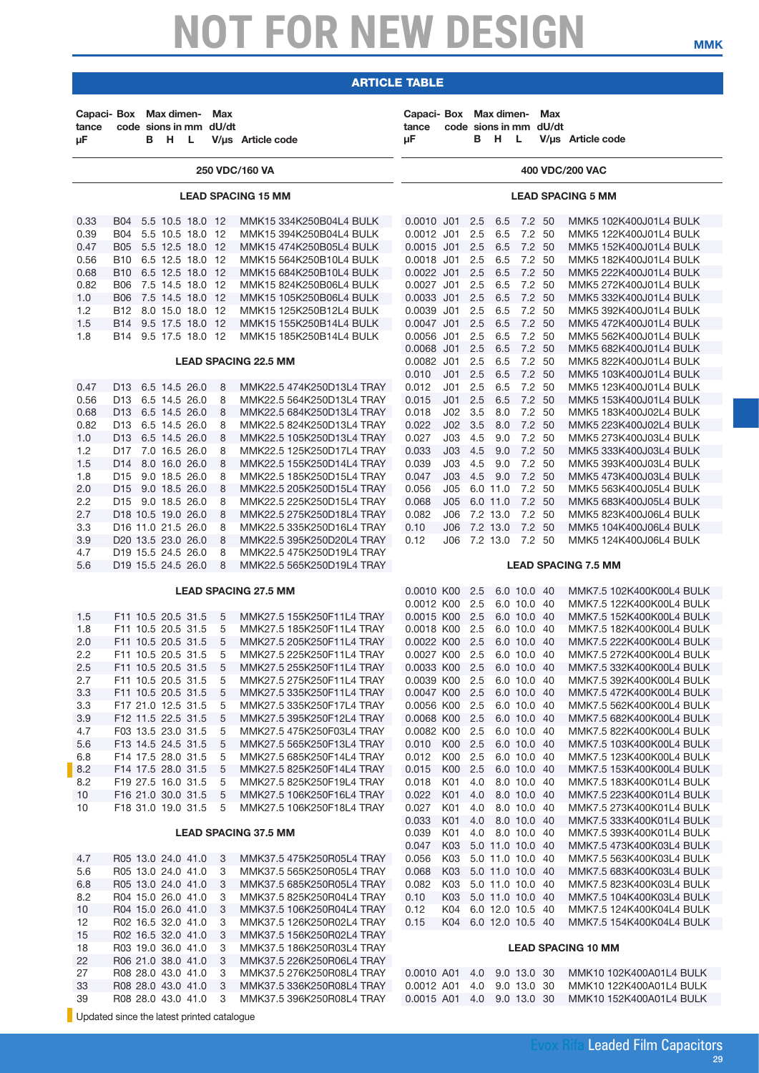| Capaci- Box Max dimen-<br>tance<br>μF      |                                          | B H                                      | $\mathsf{L}$ | Max<br>code sions in mm dU/dt | V/µs Article code                                      | Capaci- Box Max dimen-<br>tance<br>иF |                                              |            | в н                  | - L                        | Max<br>code sions in mm dU/dt | V/us Article code                                    |
|--------------------------------------------|------------------------------------------|------------------------------------------|--------------|-------------------------------|--------------------------------------------------------|---------------------------------------|----------------------------------------------|------------|----------------------|----------------------------|-------------------------------|------------------------------------------------------|
|                                            |                                          |                                          |              |                               | 250 VDC/160 VA                                         |                                       |                                              |            |                      |                            |                               | 400 VDC/200 VAC                                      |
|                                            |                                          |                                          |              |                               | <b>LEAD SPACING 15 MM</b>                              | <b>LEAD SPACING 5 MM</b>              |                                              |            |                      |                            |                               |                                                      |
| 0.33                                       | <b>B04</b>                               | 5.5 10.5 18.0 12                         |              |                               | MMK15 334K250B04L4 BULK                                | 0.0010 J01                            |                                              | 2.5        | 6.5                  | 7.2 50                     |                               | MMK5 102K400J01L4 BULK                               |
| 0.39<br>0.47                               | B04 5.5 10.5 18.0 12<br><b>B05</b>       | 5.5 12.5 18.0 12                         |              |                               | MMK15 394K250B04L4 BULK<br>MMK15 474K250B05L4 BULK     | 0.0012 J01<br>$0.0015$ J01            |                                              | 2.5<br>2.5 | 6.5<br>6.5           | 7.2 50                     | 7.2 50                        | MMK5 122K400J01L4 BULK<br>MMK5 152K400J01L4 BULK     |
| 0.56                                       | B10                                      | 6.5 12.5 18.0 12                         |              |                               | MMK15 564K250B10L4 BULK                                | 0.0018 J01                            |                                              | 2.5        | 6.5                  |                            | 7.2 50                        | MMK5 182K400J01L4 BULK                               |
| 0.68                                       | <b>B10</b>                               | 6.5 12.5 18.0 12                         |              |                               | MMK15 684K250B10L4 BULK                                | 0.0022 J01 2.5                        |                                              |            | 6.5                  | 7.2 50                     |                               | MMK5 222K400J01L4 BULK                               |
| 0.82                                       | <b>B06</b>                               | 7.5 14.5 18.0 12                         |              |                               | MMK15 824K250B06L4 BULK                                | 0.0027 J01                            |                                              | 2.5        | 6.5                  |                            | 7.2 50                        | MMK5 272K400J01L4 BULK                               |
| 1.0<br>1.2                                 | <b>B06</b><br>B12 8.0 15.0 18.0 12       | 7.5 14.5 18.0 12                         |              |                               | MMK15 105K250B06L4 BULK<br>MMK15 125K250B12L4 BULK     | 0.0033 J01<br>0.0039 J01              |                                              | 2.5<br>2.5 | 6.5<br>6.5           | 7.2 50                     | 7.2 50                        | MMK5 332K400J01L4 BULK<br>MMK5 392K400J01L4 BULK     |
| 1.5                                        | B14 9.5 17.5 18.0 12                     |                                          |              |                               | MMK15 155K250B14L4 BULK                                | 0.0047 J01                            |                                              | 2.5        | 6.5                  | 7.2 50                     |                               | MMK5 472K400J01L4 BULK                               |
| 1.8                                        | B14 9.5 17.5 18.0 12                     |                                          |              |                               | MMK15 185K250B14L4 BULK                                | 0.0056 J01                            |                                              | 2.5        | 6.5                  |                            | 7.2 50                        | MMK5 562K400J01L4 BULK                               |
|                                            |                                          |                                          |              |                               |                                                        | 0.0068 J01 2.5                        |                                              |            | 6.5                  | 7.2 50                     |                               | MMK5 682K400J01L4 BULK                               |
|                                            |                                          |                                          |              |                               | <b>LEAD SPACING 22.5 MM</b>                            | 0.0082 J01<br>0.010                   | J <sub>01</sub>                              | 2.5<br>2.5 | 6.5<br>6.5           | 7.2 50                     | 7.2 50                        | MMK5 822K400J01L4 BULK<br>MMK5 103K400J01L4 BULK     |
| 0.47                                       | D13 6.5 14.5 26.0                        |                                          |              | 8                             | MMK22.5 474K250D13L4 TRAY                              | 0.012                                 | J01                                          | 2.5        | 6.5                  |                            | 7.2 50                        | MMK5 123K400J01L4 BULK                               |
| 0.56                                       | D13 6.5 14.5 26.0                        |                                          |              | 8                             | MMK22.5 564K250D13L4 TRAY                              | 0.015                                 | J <sub>01</sub>                              | 2.5        | 6.5                  | 7.2 50                     |                               | MMK5 153K400J01L4 BULK                               |
| 0.68                                       | D13 6.5 14.5 26.0                        |                                          |              | 8                             | MMK22.5 684K250D13L4 TRAY                              | 0.018                                 | J <sub>02</sub>                              | 3.5        | 8.0                  |                            | 7.2 50                        | MMK5 183K400J02L4 BULK                               |
| 0.82                                       | D13                                      | 6.5 14.5 26.0                            |              | 8                             | MMK22.5 824K250D13L4 TRAY                              | 0.022                                 | JO2 3.5                                      |            | 8.0                  | 7.2 50                     |                               | MMK5 223K400J02L4 BULK                               |
| 1.0                                        | D13 6.5 14.5 26.0                        |                                          |              | 8                             | MMK22.5 105K250D13L4 TRAY                              | 0.027                                 | J03                                          | 4.5        | 9.0                  |                            | 7.2 50                        | MMK5 273K400J03L4 BULK                               |
| 1.2<br>1.5                                 | D17 7.0 16.5 26.0<br>D14 8.0 16.0 26.0   |                                          |              | 8<br>8                        | MMK22.5 125K250D17L4 TRAY<br>MMK22.5 155K250D14L4 TRAY | 0.033<br>0.039                        | J <sub>03</sub><br>J03                       | 4.5<br>4.5 | 9.0<br>9.0           |                            | 7.2 50<br>7.2 50              | MMK5 333K400J03L4 BULK<br>MMK5 393K400J03L4 BULK     |
| 1.8                                        | D15 9.0 18.5 26.0                        |                                          |              | 8                             | MMK22.5 185K250D15L4 TRAY                              | 0.047                                 | $J03$ 4.5                                    |            | 9.0                  | 7.2 50                     |                               | MMK5 473K400J03L4 BULK                               |
| 2.0                                        | D15 9.0 18.5 26.0                        |                                          |              | 8                             | MMK22.5 205K250D15L4 TRAY                              | 0.056                                 | J05                                          |            | 6.0 11.0             |                            | 7.2 50                        | MMK5 563K400J05L4 BULK                               |
| 2.2                                        | D <sub>15</sub> 9.0 18.5 26.0            |                                          |              | 8                             | MMK22.5 225K250D15L4 TRAY                              | 0.068                                 | J05                                          |            | 6.0 11.0             | 7.2 50                     |                               | MMK5 683K400J05L4 BULK                               |
| 2.7                                        | D18 10.5 19.0 26.0                       |                                          |              | 8                             | MMK22.5 275K250D18L4 TRAY                              | 0.082                                 | J06                                          |            | 7.2 13.0             |                            | 7.2 50                        | MMK5 823K400J06L4 BULK                               |
| 3.3<br>3.9                                 | D16 11.0 21.5 26.0<br>D20 13.5 23.0 26.0 |                                          |              | 8<br>8                        | MMK22.5 335K250D16L4 TRAY<br>MMK22.5 395K250D20L4 TRAY | 0.10<br>0.12                          | J06<br>J06                                   |            | 7.2 13.0<br>7.2 13.0 | 7.2 50<br>7.2 50           |                               | MMK5 104K400J06L4 BULK<br>MMK5 124K400J06L4 BULK     |
| 4.7                                        | D19 15.5 24.5 26.0                       |                                          |              | 8                             | MMK22.5 475K250D19L4 TRAY                              |                                       |                                              |            |                      |                            |                               |                                                      |
| 5.6                                        | D19 15.5 24.5 26.0                       |                                          |              | 8                             | MMK22.5 565K250D19L4 TRAY                              |                                       |                                              |            |                      |                            |                               | <b>LEAD SPACING 7.5 MM</b>                           |
|                                            |                                          |                                          |              |                               | <b>LEAD SPACING 27.5 MM</b>                            | 0.0010 K00 2.5                        |                                              |            |                      | 6.0 10.0 40                |                               | MMK7.5 102K400K00L4 BULK                             |
|                                            |                                          |                                          |              |                               |                                                        | 0.0012 K00                            |                                              | 2.5        |                      | 6.0 10.0 40                |                               | MMK7.5 122K400K00L4 BULK                             |
| 1.5<br>1.8                                 |                                          | F11 10.5 20.5 31.5<br>F11 10.5 20.5 31.5 |              | 5<br>5                        | MMK27.5 155K250F11L4 TRAY<br>MMK27.5 185K250F11L4 TRAY | 0.0015 K00 2.5<br>0.0018 K00 2.5      |                                              |            |                      | 6.0 10.0 40<br>6.0 10.0 40 |                               | MMK7.5 152K400K00L4 BULK<br>MMK7.5 182K400K00L4 BULK |
| 2.0                                        | F11 10.5 20.5 31.5                       |                                          |              | 5                             | MMK27.5 205K250F11L4 TRAY                              | 0.0022 K00                            |                                              | 2.5        |                      | 6.0 10.0 40                |                               | MMK7.5 222K400K00L4 BULK                             |
| 2.2                                        |                                          | F11 10.5 20.5 31.5                       |              | 5                             | MMK27.5 225K250F11L4 TRAY                              | 0.0027 K00 2.5 6.0 10.0 40            |                                              |            |                      |                            |                               | MMK7.5 272K400K00L4 BULK                             |
| $2.5\,$                                    | F11 10.5 20.5 31.5                       |                                          |              | $5^{\circ}$                   | MMK27.5 255K250F11L4 TRAY                              | 0.0033 K00 2.5 6.0 10.0 40            |                                              |            |                      |                            |                               | MMK7.5 332K400K00L4 BULK                             |
| 2.7                                        | F11 10.5 20.5 31.5                       |                                          |              | 5                             | MMK27.5 275K250F11L4 TRAY                              | 0.0039 K00 2.5                        |                                              |            |                      | 6.0 10.0 40                |                               | MMK7.5 392K400K00L4 BULK                             |
| 3.3<br>3.3                                 | F11 10.5 20.5 31.5<br>F17 21.0 12.5 31.5 |                                          |              | 5<br>5                        | MMK27.5 335K250F11L4 TRAY<br>MMK27.5 335K250F17L4 TRAY | 0.0047 K00 2.5<br>0.0056 K00 2.5      |                                              |            |                      | 6.0 10.0 40<br>6.0 10.0 40 |                               | MMK7.5 472K400K00L4 BULK<br>MMK7.5 562K400K00L4 BULK |
| 3.9                                        | F12 11.5 22.5 31.5                       |                                          |              | 5                             | MMK27.5 395K250F12L4 TRAY                              | 0.0068 K00 2.5                        |                                              |            |                      | 6.0 10.0 40                |                               | MMK7.5 682K400K00L4 BULK                             |
| 4.7                                        | F03 13.5 23.0 31.5                       |                                          |              | 5                             | MMK27.5 475K250F03L4 TRAY                              | 0.0082 K00 2.5                        |                                              |            |                      | 6.0 10.0 40                |                               | MMK7.5 822K400K00L4 BULK                             |
| 5.6                                        | F13 14.5 24.5 31.5                       |                                          |              | 5                             | MMK27.5 565K250F13L4 TRAY                              | 0.010 K00 2.5                         |                                              |            |                      | 6.0 10.0 40                |                               | MMK7.5 103K400K00L4 BULK                             |
| 6.8                                        | F14 17.5 28.0 31.5                       |                                          |              | 5                             | MMK27.5 685K250F14L4 TRAY                              | 0.012                                 | K00 2.5                                      |            |                      | 6.0 10.0 40                |                               | MMK7.5 123K400K00L4 BULK                             |
| 8.2<br>8.2                                 | F14 17.5 28.0 31.5<br>F19 27.5 16.0 31.5 |                                          |              | 5<br>5                        | MMK27.5 825K250F14L4 TRAY<br>MMK27.5 825K250F19L4 TRAY | 0.015<br>0.018                        | K00 2.5<br>K01 4.0                           |            |                      | 6.0 10.0 40<br>8.0 10.0 40 |                               | MMK7.5 153K400K00L4 BULK<br>MMK7.5 183K400K01L4 BULK |
| 10                                         | F16 21.0 30.0 31.5                       |                                          |              | 5                             | MMK27.5 106K250F16L4 TRAY                              | 0.022                                 | K01 4.0                                      |            |                      | 8.0 10.0 40                |                               | MMK7.5 223K400K01L4 BULK                             |
| 10                                         |                                          | F18 31.0 19.0 31.5                       |              | 5                             | MMK27.5 106K250F18L4 TRAY                              | 0.027                                 | K01 4.0                                      |            |                      | 8.0 10.0 40                |                               | MMK7.5 273K400K01L4 BULK                             |
|                                            |                                          |                                          |              |                               |                                                        | 0.033                                 | K01 4.0                                      |            |                      | 8.0 10.0 40                |                               | MMK7.5 333K400K01L4 BULK                             |
|                                            |                                          |                                          |              |                               | <b>LEAD SPACING 37.5 MM</b>                            | 0.039                                 | K01                                          | 4.0        | 8.0 10.0 40          |                            |                               | MMK7.5 393K400K01L4 BULK                             |
|                                            | R05 13.0 24.0 41.0                       |                                          |              |                               |                                                        | 0.047<br>0.056                        | K03 5.0 11.0 10.0 40<br>K03 5.0 11.0 10.0 40 |            |                      |                            |                               | MMK7.5 473K400K03L4 BULK<br>MMK7.5 563K400K03L4 BULK |
| 4.7<br>5.6                                 | R05 13.0 24.0 41.0                       |                                          |              | 3<br>3                        | MMK37.5 475K250R05L4 TRAY<br>MMK37.5 565K250R05L4 TRAY | 0.068                                 | K03                                          |            | 5.0 11.0 10.0 40     |                            |                               | MMK7.5 683K400K03L4 BULK                             |
| 6.8                                        | R05 13.0 24.0 41.0                       |                                          |              | 3                             | MMK37.5 685K250R05L4 TRAY                              | 0.082                                 | K03 5.0 11.0 10.0 40                         |            |                      |                            |                               | MMK7.5 823K400K03L4 BULK                             |
| 8.2                                        | R04 15.0 26.0 41.0                       |                                          |              | 3                             | MMK37.5 825K250R04L4 TRAY                              | 0.10                                  | K03 5.0 11.0 10.0 40                         |            |                      |                            |                               | MMK7.5 104K400K03L4 BULK                             |
| 10                                         | R04 15.0 26.0 41.0                       |                                          |              | 3                             | MMK37.5 106K250R04L4 TRAY                              | 0.12                                  | K04                                          |            | 6.0 12.0 10.5 40     |                            |                               | MMK7.5 124K400K04L4 BULK                             |
| 12                                         | R02 16.5 32.0 41.0                       |                                          |              | 3                             | MMK37.5 126K250R02L4 TRAY                              | 0.15                                  | K04 6.0 12.0 10.5 40                         |            |                      |                            |                               | MMK7.5 154K400K04L4 BULK                             |
| 15<br>18                                   | R02 16.5 32.0 41.0<br>R03 19.0 36.0 41.0 |                                          |              | 3<br>3                        | MMK37.5 156K250R02L4 TRAY<br>MMK37.5 186K250R03L4 TRAY |                                       |                                              |            |                      |                            |                               | <b>LEAD SPACING 10 MM</b>                            |
| 22                                         | R06 21.0 38.0 41.0                       |                                          |              | 3                             | MMK37.5 226K250R06L4 TRAY                              |                                       |                                              |            |                      |                            |                               |                                                      |
| 27                                         | R08 28.0 43.0 41.0                       |                                          |              | 3                             | MMK37.5 276K250R08L4 TRAY                              | 0.0010 A01 4.0 9.0 13.0 30            |                                              |            |                      |                            |                               | MMK10 102K400A01L4 BULK                              |
| 33                                         | R08 28.0 43.0 41.0                       |                                          |              | 3                             | MMK37.5 336K250R08L4 TRAY                              | 0.0012 A01                            |                                              | 4.0        |                      | 9.0 13.0 30                |                               | MMK10 122K400A01L4 BULK                              |
| 39                                         | R08 28.0 43.0 41.0                       |                                          |              | 3                             | MMK37.5 396K250R08L4 TRAY                              | 0.0015 A01 4.0 9.0 13.0 30            |                                              |            |                      |                            |                               | MMK10 152K400A01L4 BULK                              |
| Updated since the latest printed catalogue |                                          |                                          |              |                               |                                                        |                                       |                                              |            |                      |                            |                               |                                                      |

**mmk**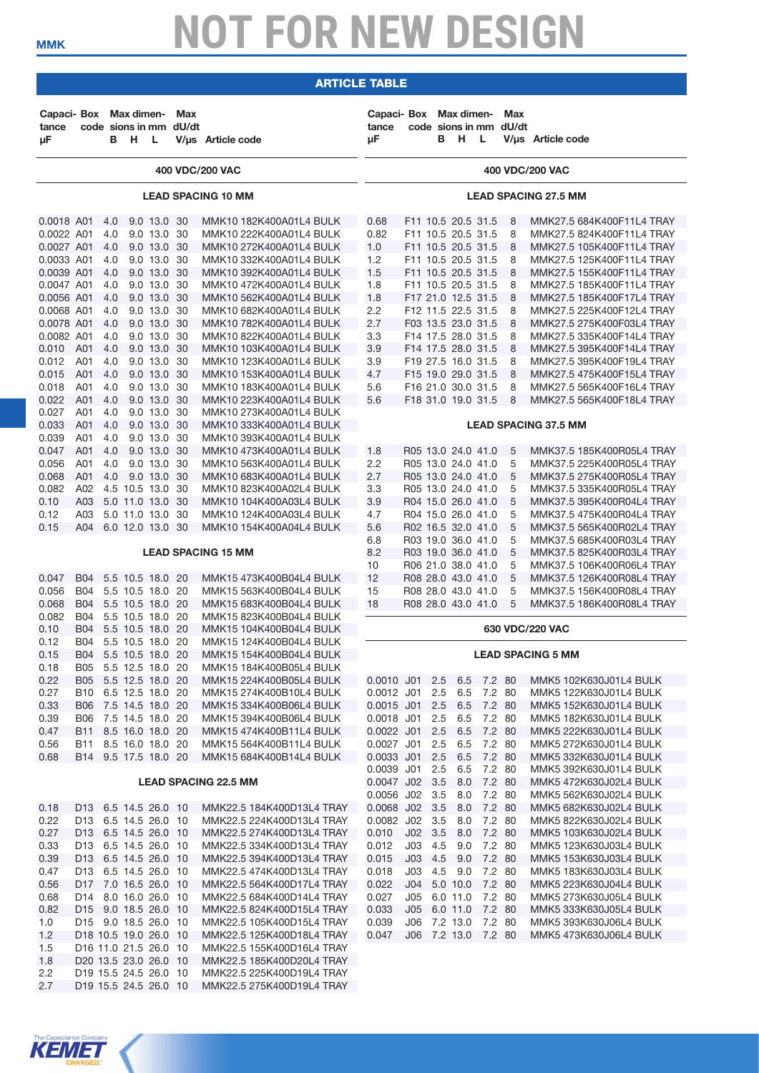### article table

| Capaci- Box Max dimen-<br>tance<br>μF |            | B          | н                                            | - L                        | Max<br>code sions in mm dU/dt | V/µs Article code                                      | Capaci- Box Max dimen-<br>tance<br>иF |              | code sions in mm dU/dt<br>B H L          |                  | Max    | V/us Article code                                      |
|---------------------------------------|------------|------------|----------------------------------------------|----------------------------|-------------------------------|--------------------------------------------------------|---------------------------------------|--------------|------------------------------------------|------------------|--------|--------------------------------------------------------|
|                                       |            |            |                                              |                            |                               | 400 VDC/200 VAC                                        |                                       |              |                                          |                  |        | 400 VDC/200 VAC                                        |
|                                       |            |            |                                              |                            |                               | <b>LEAD SPACING 10 MM</b>                              |                                       |              |                                          |                  |        | <b>LEAD SPACING 27.5 MM</b>                            |
| 0.0018 A01<br>0.0022 A01              |            | 4.0<br>4.0 |                                              | 9.0 13.0 30<br>9.0 13.0 30 |                               | MMK10 182K400A01L4 BULK<br>MMK10 222K400A01L4 BULK     | 0.68<br>0.82                          |              | F11 10.5 20.5 31.5<br>F11 10.5 20.5 31.5 |                  | 8<br>8 | MMK27.5 684K400F11L4 TRAY<br>MMK27.5 824K400F11L4 TRAY |
| 0.0027 A01                            |            | 4.0        |                                              | 9.0 13.0 30                |                               | MMK10 272K400A01L4 BULK                                | 1.0                                   |              | F11 10.5 20.5 31.5                       |                  | 8      | MMK27.5 105K400F11L4 TRAY                              |
| 0.0033 A01                            |            | 4.0        |                                              | 9.0 13.0 30                |                               | MMK10 332K400A01L4 BULK                                | 1.2                                   |              | F11 10.5 20.5 31.5                       |                  | 8      | MMK27.5 125K400F11L4 TRAY                              |
| 0.0039 A01                            |            | 4.0        |                                              | 9.0 13.0 30                |                               | MMK10 392K400A01L4 BULK                                | 1.5                                   |              | F11 10.5 20.5 31.5                       |                  | 8      | MMK27.5 155K400F11L4 TRAY                              |
| 0.0047 A01<br>0.0056 A01              |            | 4.0<br>4.0 |                                              | 9.0 13.0 30<br>9.0 13.0 30 |                               | MMK10 472K400A01L4 BULK<br>MMK10 562K400A01L4 BULK     | 1.8<br>1.8                            |              | F11 10.5 20.5 31.5<br>F17 21.0 12.5 31.5 |                  | 8<br>8 | MMK27.5 185K400F11L4 TRAY<br>MMK27.5 185K400F17L4 TRAY |
| 0.0068 A01                            |            | 4.0        |                                              | 9.0 13.0 30                |                               | MMK10 682K400A01L4 BULK                                | 2.2                                   |              | F12 11.5 22.5 31.5                       |                  | 8      | MMK27.5 225K400F12L4 TRAY                              |
| 0.0078 A01                            |            | 4.0        |                                              | 9.0 13.0 30                |                               | MMK10 782K400A01L4 BULK                                | 2.7                                   |              | F03 13.5 23.0 31.5                       |                  | 8      | MMK27.5 275K400F03L4 TRAY                              |
| 0.0082 A01                            |            | 4.0        |                                              | 9.0 13.0 30                |                               | MMK10 822K400A01L4 BULK                                | 3.3                                   |              | F14 17.5 28.0 31.5                       |                  | 8      | MMK27.5 335K400F14L4 TRAY                              |
| 0.010                                 | A01        | 4.0        |                                              | 9.0 13.0 30                |                               | MMK10 103K400A01L4 BULK                                | 3.9                                   |              | F14 17.5 28.0 31.5                       |                  | 8      | MMK27.5 395K400F14L4 TRAY                              |
| 0.012                                 | A01        | 4.0        |                                              | 9.0 13.0 30                |                               | MMK10 123K400A01L4 BULK                                | 3.9                                   |              | F19 27.5 16.0 31.5                       |                  | 8      | MMK27.5 395K400F19L4 TRAY                              |
| 0.015                                 | A01        | 4.0        |                                              | 9.0 13.0 30                |                               | MMK10 153K400A01L4 BULK                                | 4.7                                   |              | F15 19.0 29.0 31.5                       |                  | 8      | MMK27.5 475K400F15L4 TRAY                              |
| 0.018                                 | A01        | 4.0        |                                              | 9.0 13.0 30                |                               | MMK10 183K400A01L4 BULK                                | 5.6                                   |              | F16 21.0 30.0 31.5                       |                  | 8      | MMK27.5 565K400F16L4 TRAY                              |
| 0.022                                 | A01        | 4.0        |                                              | 9.0 13.0 30                |                               | MMK10 223K400A01L4 BULK                                | 5.6                                   |              | F18 31.0 19.0 31.5                       |                  | 8      | MMK27.5 565K400F18L4 TRAY                              |
| 0.027                                 | A01        | 4.0        |                                              | 9.0 13.0 30<br>9.0 13.0 30 |                               | MMK10 273K400A01L4 BULK                                |                                       |              |                                          |                  |        | <b>LEAD SPACING 37.5 MM</b>                            |
| 0.033<br>0.039                        | A01<br>A01 | 4.0<br>4.0 |                                              | 9.0 13.0 30                |                               | MMK10 333K400A01L4 BULK<br>MMK10 393K400A01L4 BULK     |                                       |              |                                          |                  |        |                                                        |
| 0.047                                 | A01        | 4.0        |                                              | 9.0 13.0 30                |                               | MMK10 473K400A01L4 BULK                                | 1.8                                   |              | R05 13.0 24.0 41.0                       |                  | 5      | MMK37.5 185K400R05L4 TRAY                              |
| 0.056                                 | A01        | 4.0        |                                              | 9.0 13.0 30                |                               | MMK10 563K400A01L4 BULK                                | 2.2                                   |              | R05 13.0 24.0 41.0                       |                  | 5      | MMK37.5 225K400R05L4 TRAY                              |
| 0.068                                 | A01        | 4.0        |                                              | 9.0 13.0 30                |                               | MMK10 683K400A01L4 BULK                                | 2.7                                   |              | R05 13.0 24.0 41.0                       |                  | 5      | MMK37.5 275K400R05L4 TRAY                              |
| 0.082                                 | A02        |            | 4.5 10.5 13.0 30                             |                            |                               | MMK10 823K400A02L4 BULK                                | 3.3                                   |              | R05 13.0 24.0 41.0                       |                  | 5      | MMK37.5 335K400R05L4 TRAY                              |
| 0.10                                  | A03        |            | 5.0 11.0 13.0 30                             |                            |                               | MMK10 104K400A03L4 BULK                                | 3.9                                   |              | R04 15.0 26.0 41.0                       |                  | 5      | MMK37.5 395K400R04L4 TRAY                              |
| 0.12                                  | A03        |            | 5.0 11.0 13.0 30                             |                            |                               | MMK10 124K400A03L4 BULK                                | 4.7                                   |              | R04 15.0 26.0 41.0                       |                  | 5      | MMK37.5 475K400R04L4 TRAY                              |
| 0.15                                  |            |            | A04 6.0 12.0 13.0 30                         |                            |                               | MMK10 154K400A04L4 BULK                                | 5.6                                   |              | R02 16.5 32.0 41.0                       |                  | 5      | MMK37.5 565K400R02L4 TRAY                              |
|                                       |            |            |                                              |                            |                               |                                                        | 6.8                                   |              | R03 19.0 36.0 41.0                       |                  | 5      | MMK37.5 685K400R03L4 TRAY                              |
|                                       |            |            |                                              |                            |                               | <b>LEAD SPACING 15 MM</b>                              | 8.2<br>10                             |              | R03 19.0 36.0 41.0<br>R06 21.0 38.0 41.0 |                  | 5<br>5 | MMK37.5 825K400R03L4 TRAY<br>MMK37.5 106K400R06L4 TRAY |
| 0.047                                 |            |            | B04 5.5 10.5 18.0 20                         |                            |                               | MMK15 473K400B04L4 BULK                                | 12                                    |              | R08 28.0 43.0 41.0                       |                  | 5      | MMK37.5 126K400R08L4 TRAY                              |
| 0.056                                 | <b>B04</b> |            | 5.5 10.5 18.0 20                             |                            |                               | MMK15 563K400B04L4 BULK                                | 15                                    |              | R08 28.0 43.0 41.0                       |                  | 5      | MMK37.5 156K400R08L4 TRAY                              |
| 0.068                                 | <b>B04</b> |            | 5.5 10.5 18.0 20                             |                            |                               | MMK15 683K400B04L4 BULK                                | 18                                    |              | R08 28.0 43.0 41.0                       |                  | 5      | MMK37.5 186K400R08L4 TRAY                              |
| 0.082                                 | B04        |            | 5.5 10.5 18.0 20                             |                            |                               | MMK15 823K400B04L4 BULK                                |                                       |              |                                          |                  |        |                                                        |
| 0.10                                  | <b>B04</b> |            | 5.5 10.5 18.0 20                             |                            |                               | MMK15 104K400B04L4 BULK                                |                                       |              |                                          |                  |        | 630 VDC/220 VAC                                        |
| 0.12                                  | B04        |            | 5.5 10.5 18.0 20                             |                            |                               | MMK15 124K400B04L4 BULK                                |                                       |              |                                          |                  |        |                                                        |
| 0.15<br>0.18                          | B04        |            | 5.5 10.5 18.0 20<br>B05 5.5 12.5 18.0 20     |                            |                               | MMK15 154K400B04L4 BULK<br>MMK15 184K400B05L4 BULK     |                                       |              |                                          |                  |        | <b>LEAD SPACING 5 MM</b>                               |
| 0.22                                  |            |            | B05 5.5 12.5 18.0 20                         |                            |                               | MMK15 224K400B05L4 BULK                                | 0.0010 J01 2.5                        |              | 6.5                                      | 7.2 80           |        | MMK5 102K630J01L4 BULK                                 |
| 0.27                                  |            |            | B10 6.5 12.5 18.0 20                         |                            |                               | MMK15 274K400B10L4 BULK                                | 0.0012 J01 2.5                        |              | 6.5                                      | 7.2 80           |        | MMK5 122K630J01L4 BULK                                 |
| 0.33                                  |            |            | B06 7.5 14.5 18.0 20                         |                            |                               | MMK15 334K400B06L4 BULK                                | 0.0015 J01 2.5                        |              | 6.5                                      | 7.2 80           |        | MMK5 152K630J01L4 BULK                                 |
| 0.39                                  |            |            | B06 7.5 14.5 18.0 20                         |                            |                               | MMK15 394K400B06L4 BULK                                | 0.0018 J01 2.5                        |              | 6.5                                      | 7.2 80           |        | MMK5 182K630J01L4 BULK                                 |
| 0.47                                  |            |            | B11 8.5 16.0 18.0 20                         |                            |                               | MMK15 474K400B11L4 BULK                                | 0.0022 J01 2.5                        |              | 6.5                                      | 7.2 80           |        | MMK5 222K630J01L4 BULK                                 |
| 0.56                                  |            |            | B11 8.5 16.0 18.0 20                         |                            |                               | MMK15 564K400B11L4 BULK                                | 0.0027 J01 2.5                        |              | 6.5                                      | 7.2 80           |        | MMK5 272K630J01L4 BULK                                 |
| 0.68                                  |            |            | B14 9.5 17.5 18.0 20                         |                            |                               | MMK15 684K400B14L4 BULK                                | 0.0033 J01 2.5<br>0.0039 J01 2.5      |              | 6.5<br>6.5                               | 7.2 80<br>7.2 80 |        | MMK5 332K630J01L4 BULK                                 |
|                                       |            |            |                                              |                            |                               | <b>LEAD SPACING 22.5 MM</b>                            | 0.0047 J02 3.5                        |              | 8.0                                      | 7.2 80           |        | MMK5 392K630J01L4 BULK<br>MMK5 472K630J02L4 BULK       |
|                                       |            |            |                                              |                            |                               |                                                        | 0.0056 J02 3.5                        |              | 8.0                                      | 7.2 80           |        | MMK5 562K630J02L4 BULK                                 |
| 0.18                                  |            |            | D13 6.5 14.5 26.0 10                         |                            |                               | MMK22.5 184K400D13L4 TRAY                              | 0.0068 J02 3.5                        |              | 8.0                                      | 7.2 80           |        | MMK5 682K630J02L4 BULK                                 |
| 0.22                                  |            |            | D13 6.5 14.5 26.0 10                         |                            |                               | MMK22.5 224K400D13L4 TRAY                              | 0.0082 J02 3.5                        |              | 8.0                                      | 7.2 80           |        | MMK5 822K630J02L4 BULK                                 |
| 0.27                                  |            |            | D13 6.5 14.5 26.0 10                         |                            |                               | MMK22.5 274K400D13L4 TRAY                              | 0.010                                 | JO2 3.5      | 8.0                                      | 7.2 80           |        | MMK5 103K630J02L4 BULK                                 |
| 0.33                                  |            |            | D13 6.5 14.5 26.0 10                         |                            |                               | MMK22.5 334K400D13L4 TRAY                              | 0.012                                 | $J03$ 4.5    | 9.0                                      | 7.2 80           |        | MMK5 123K630J03L4 BULK                                 |
| 0.39                                  |            |            | D13 6.5 14.5 26.0 10                         |                            |                               | MMK22.5 394K400D13L4 TRAY                              | 0.015                                 | $J03$ 4.5    | 9.0                                      | 7.2 80           |        | MMK5 153K630J03L4 BULK                                 |
| 0.47                                  |            |            | D13 6.5 14.5 26.0 10<br>D17 7.0 16.5 26.0 10 |                            |                               | MMK22.5 474K400D13L4 TRAY                              | 0.018                                 | J03          | 4.5 9.0                                  | 7.2 80           |        | MMK5 183K630J03L4 BULK                                 |
| 0.56<br>0.68                          |            |            | D14 8.0 16.0 26.0 10                         |                            |                               | MMK22.5 564K400D17L4 TRAY<br>MMK22.5 684K400D14L4 TRAY | 0.022<br>0.027                        | J05 6.0 11.0 | J04 5.0 10.0                             | 7.2 80<br>7.2 80 |        | MMK5 223K630J04L4 BULK<br>MMK5 273K630J05L4 BULK       |
| 0.82                                  |            |            | D15 9.0 18.5 26.0 10                         |                            |                               | MMK22.5 824K400D15L4 TRAY                              | 0.033                                 |              | J05 6.0 11.0                             | 7.2 80           |        | MMK5 333K630J05L4 BULK                                 |
| 1.0                                   |            |            | D15 9.0 18.5 26.0 10                         |                            |                               | MMK22.5 105K400D15L4 TRAY                              | 0.039                                 |              | J06 7.2 13.0                             | 7.2 80           |        | MMK5 393K630J06L4 BULK                                 |
| 1.2                                   |            |            | D18 10.5 19.0 26.0 10                        |                            |                               | MMK22.5 125K400D18L4 TRAY                              | 0.047                                 | J06          | 7.2 13.0                                 | 7.2 80           |        | MMK5 473K630J06L4 BULK                                 |
| 1.5                                   |            |            | D16 11.0 21.5 26.0 10                        |                            |                               | MMK22.5 155K400D16L4 TRAY                              |                                       |              |                                          |                  |        |                                                        |
| 1.8                                   |            |            | D20 13.5 23.0 26.0 10                        |                            |                               | MMK22.5 185K400D20L4 TRAY                              |                                       |              |                                          |                  |        |                                                        |
| 2.2                                   |            |            | D19 15.5 24.5 26.0 10                        |                            |                               | MMK22.5 225K400D19L4 TRAY                              |                                       |              |                                          |                  |        |                                                        |
| 2.7                                   |            |            | D19 15.5 24.5 26.0 10                        |                            |                               | MMK22.5 275K400D19L4 TRAY                              |                                       |              |                                          |                  |        |                                                        |

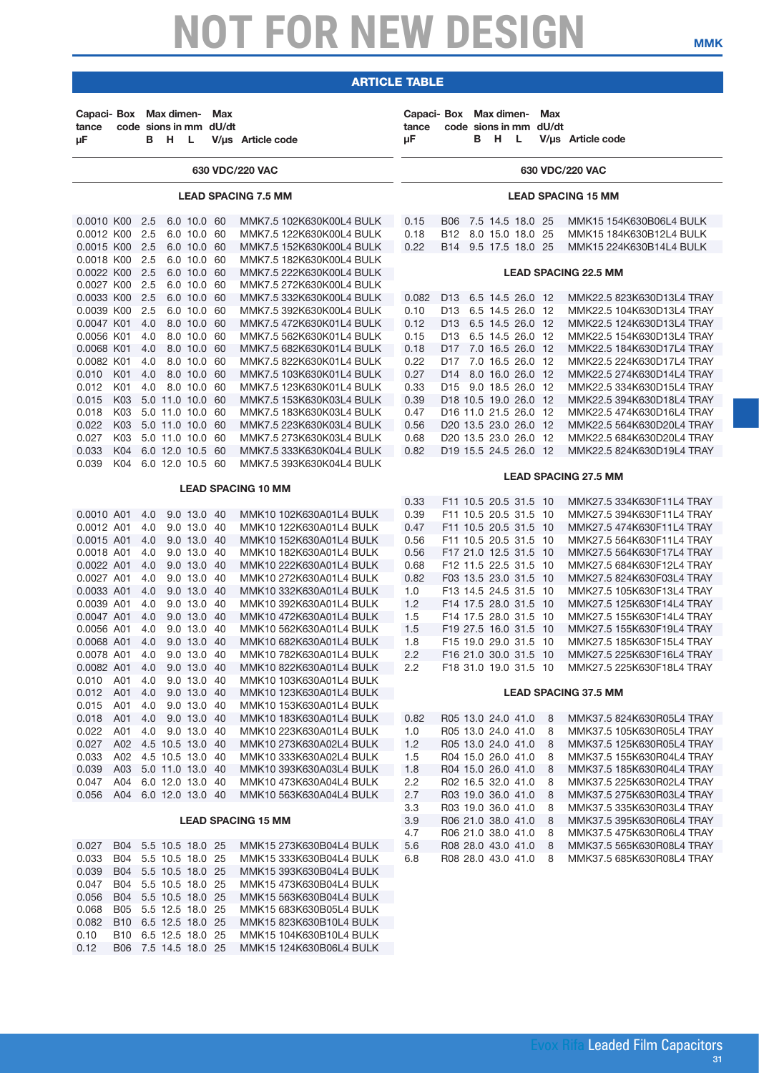### article table

| Capaci- Box Max dimen-<br>tance<br>μF |                                    |            | в н | - L                        | Max<br>code sions in mm dU/dt | V/us Article code                                    | Capaci- Box Max dimen-<br>tance<br>μF |                                         | в | - H              | <b>L</b> | Max<br>code sions in mm dU/dt | V/us Article code                                      |
|---------------------------------------|------------------------------------|------------|-----|----------------------------|-------------------------------|------------------------------------------------------|---------------------------------------|-----------------------------------------|---|------------------|----------|-------------------------------|--------------------------------------------------------|
|                                       |                                    |            |     |                            |                               | 630 VDC/220 VAC                                      |                                       |                                         |   |                  |          |                               | 630 VDC/220 VAC                                        |
|                                       |                                    |            |     |                            |                               | <b>LEAD SPACING 7.5 MM</b>                           |                                       |                                         |   |                  |          |                               | <b>LEAD SPACING 15 MM</b>                              |
| 0.0010 K00                            |                                    | 2.5        |     | 6.0 10.0 60                |                               | MMK7.5 102K630K00L4 BULK                             | 0.15                                  | <b>B06</b>                              |   | 7.5 14.5 18.0 25 |          |                               | MMK15 154K630B06L4 BULK                                |
| 0.0012 K00                            |                                    | 2.5        |     | 6.0 10.0 60                |                               | MMK7.5 122K630K00L4 BULK                             | 0.18                                  | B12 8.0 15.0 18.0 25                    |   |                  |          |                               | MMK15 184K630B12L4 BULK                                |
| 0.0015 K00                            |                                    | 2.5        |     | 6.0 10.0 60                |                               | MMK7.5 152K630K00L4 BULK                             | 0.22                                  | B14 9.5 17.5 18.0 25                    |   |                  |          |                               | MMK15 224K630B14L4 BULK                                |
| 0.0018 K00                            |                                    | 2.5        |     | 6.0 10.0 60                |                               | MMK7.5 182K630K00L4 BULK                             |                                       |                                         |   |                  |          |                               |                                                        |
| 0.0022 K00                            |                                    | 2.5        |     | 6.0 10.0 60                |                               | MMK7.5 222K630K00L4 BULK                             |                                       |                                         |   |                  |          |                               | <b>LEAD SPACING 22.5 MM</b>                            |
| 0.0027 K00                            |                                    | 2.5        |     | 6.0 10.0 60                |                               | MMK7.5 272K630K00L4 BULK                             |                                       |                                         |   |                  |          |                               |                                                        |
| 0.0033 K00<br>0.0039 K00              |                                    | 2.5<br>2.5 |     | 6.0 10.0 60<br>6.0 10.0 60 |                               | MMK7.5 332K630K00L4 BULK                             | 0.082                                 | D <sub>13</sub><br>D13 6.5 14.5 26.0 12 |   | 6.5 14.5 26.0 12 |          |                               | MMK22.5 823K630D13L4 TRAY                              |
| 0.0047 K01                            |                                    | 4.0        |     | 8.0 10.0 60                |                               | MMK7.5 392K630K00L4 BULK<br>MMK7.5 472K630K01L4 BULK | 0.10<br>0.12                          | D13 6.5 14.5 26.0 12                    |   |                  |          |                               | MMK22.5 104K630D13L4 TRAY<br>MMK22.5 124K630D13L4 TRAY |
| 0.0056 K01                            |                                    | 4.0        |     | 8.0 10.0 60                |                               | MMK7.5 562K630K01L4 BULK                             | 0.15                                  | D13 6.5 14.5 26.0 12                    |   |                  |          |                               | MMK22.5 154K630D13L4 TRAY                              |
| 0.0068 K01                            |                                    | 4.0        |     | 8.0 10.0 60                |                               | MMK7.5 682K630K01L4 BULK                             | 0.18                                  | D17                                     |   | 7.0 16.5 26.0 12 |          |                               | MMK22.5 184K630D17L4 TRAY                              |
| 0.0082 K01                            |                                    | 4.0        |     | 8.0 10.0 60                |                               | MMK7.5 822K630K01L4 BULK                             | 0.22                                  | D17                                     |   | 7.0 16.5 26.0 12 |          |                               | MMK22.5 224K630D17L4 TRAY                              |
| 0.010                                 | K01                                | 4.0        |     | 8.0 10.0 60                |                               | MMK7.5 103K630K01L4 BULK                             | 0.27                                  | D14 8.0 16.0 26.0 12                    |   |                  |          |                               | MMK22.5 274K630D14L4 TRAY                              |
| 0.012                                 | K01                                | 4.0        |     | 8.0 10.0 60                |                               | MMK7.5 123K630K01L4 BULK                             | 0.33                                  | D <sub>15</sub> 9.0 18.5 26.0 12        |   |                  |          |                               | MMK22.5 334K630D15L4 TRAY                              |
| 0.015                                 | K03                                |            |     | 5.0 11.0 10.0 60           |                               | MMK7.5 153K630K03L4 BULK                             | 0.39                                  | D18 10.5 19.0 26.0 12                   |   |                  |          |                               | MMK22.5 394K630D18L4 TRAY                              |
| 0.018                                 | K03                                |            |     | 5.0 11.0 10.0 60           |                               | MMK7.5 183K630K03L4 BULK                             | 0.47                                  | D16 11.0 21.5 26.0 12                   |   |                  |          |                               | MMK22.5 474K630D16L4 TRAY                              |
| 0.022                                 | K03                                |            |     | 5.0 11.0 10.0 60           |                               | MMK7.5 223K630K03L4 BULK                             | 0.56                                  | D20 13.5 23.0 26.0 12                   |   |                  |          |                               | MMK22.5 564K630D20L4 TRAY                              |
| 0.027                                 | K03                                |            |     | 5.0 11.0 10.0 60           |                               | MMK7.5 273K630K03L4 BULK                             | 0.68                                  | D20 13.5 23.0 26.0 12                   |   |                  |          |                               | MMK22.5 684K630D20L4 TRAY                              |
| 0.033                                 | K04                                |            |     | 6.0 12.0 10.5 60           |                               | MMK7.5 333K630K04L4 BULK                             | 0.82                                  | D19 15.5 24.5 26.0 12                   |   |                  |          |                               | MMK22.5 824K630D19L4 TRAY                              |
| 0.039                                 | K04                                |            |     | 6.0 12.0 10.5 60           |                               | MMK7.5 393K630K04L4 BULK                             |                                       |                                         |   |                  |          |                               |                                                        |
|                                       |                                    |            |     |                            |                               |                                                      |                                       |                                         |   |                  |          |                               | <b>LEAD SPACING 27.5 MM</b>                            |
|                                       |                                    |            |     |                            |                               | <b>LEAD SPACING 10 MM</b>                            |                                       | F11 10.5 20.5 31.5 10                   |   |                  |          |                               |                                                        |
| 0.0010 A01                            |                                    | 4.0        |     | 9.0 13.0 40                |                               | MMK10 102K630A01L4 BULK                              | 0.33<br>0.39                          | F11 10.5 20.5 31.5 10                   |   |                  |          |                               | MMK27.5 334K630F11L4 TRAY<br>MMK27.5 394K630F11L4 TRAY |
| 0.0012 A01                            |                                    | 4.0        |     | 9.0 13.0 40                |                               | MMK10 122K630A01L4 BULK                              | 0.47                                  | F11 10.5 20.5 31.5 10                   |   |                  |          |                               | MMK27.5 474K630F11L4 TRAY                              |
| 0.0015 A01                            |                                    | 4.0        |     | 9.0 13.0 40                |                               | MMK10 152K630A01L4 BULK                              | 0.56                                  | F11 10.5 20.5 31.5 10                   |   |                  |          |                               | MMK27.5 564K630F11L4 TRAY                              |
| 0.0018 A01                            |                                    | 4.0        |     | 9.0 13.0 40                |                               | MMK10 182K630A01L4 BULK                              | 0.56                                  | F17 21.0 12.5 31.5 10                   |   |                  |          |                               | MMK27.5 564K630F17L4 TRAY                              |
| 0.0022 A01                            |                                    | 4.0        |     | 9.0 13.0 40                |                               | MMK10 222K630A01L4 BULK                              | 0.68                                  | F12 11.5 22.5 31.5 10                   |   |                  |          |                               | MMK27.5 684K630F12L4 TRAY                              |
| 0.0027 A01                            |                                    | 4.0        |     | 9.0 13.0 40                |                               | MMK10 272K630A01L4 BULK                              | 0.82                                  | F03 13.5 23.0 31.5 10                   |   |                  |          |                               | MMK27.5 824K630F03L4 TRAY                              |
| 0.0033 A01                            |                                    | 4.0        |     | 9.0 13.0 40                |                               | MMK10 332K630A01L4 BULK                              | 1.0                                   | F13 14.5 24.5 31.5 10                   |   |                  |          |                               | MMK27.5 105K630F13L4 TRAY                              |
| 0.0039 A01                            |                                    | 4.0        |     | 9.0 13.0 40                |                               | MMK10 392K630A01L4 BULK                              | 1.2                                   | F14 17.5 28.0 31.5 10                   |   |                  |          |                               | MMK27.5 125K630F14L4 TRAY                              |
| 0.0047 A01                            |                                    | 4.0        |     | 9.0 13.0 40                |                               | MMK10 472K630A01L4 BULK                              | 1.5                                   | F14 17.5 28.0 31.5 10                   |   |                  |          |                               | MMK27.5 155K630F14L4 TRAY                              |
| 0.0056 A01                            |                                    | 4.0        |     | 9.0 13.0 40                |                               | MMK10 562K630A01L4 BULK                              | 1.5                                   | F19 27.5 16.0 31.5 10                   |   |                  |          |                               | MMK27.5 155K630F19L4 TRAY                              |
| 0.0068 A01                            |                                    | 4.0        |     | 9.0 13.0 40                |                               | MMK10 682K630A01L4 BULK                              | 1.8                                   | F15 19.0 29.0 31.5 10                   |   |                  |          |                               | MMK27.5 185K630F15L4 TRAY                              |
| 0.0078 A01                            |                                    | 4.0        |     | 9.0 13.0 40                |                               | MMK10 782K630A01L4 BULK                              | 2.2                                   | F16 21.0 30.0 31.5                      |   |                  |          | 10                            | MMK27.5 225K630F16L4 TRAY                              |
| 0.0082 A01                            |                                    | 4.0        |     | 9.0 13.0 40                |                               | MMK10 822K630A01L4 BULK                              | 2.2                                   | F18 31.0 19.0 31.5 10                   |   |                  |          |                               | MMK27.5 225K630F18L4 TRAY                              |
| 0.010                                 | A01                                | 4.0        |     | 9.0 13.0 40<br>9.0 13.0 40 |                               | MMK10 103K630A01L4 BULK<br>MMK10 123K630A01L4 BULK   |                                       |                                         |   |                  |          |                               | <b>LEAD SPACING 37.5 MM</b>                            |
| 0.012<br>0.015                        | A01<br>A01                         | 4.0<br>4.0 |     | 9.0 13.0 40                |                               | MMK10 153K630A01L4 BULK                              |                                       |                                         |   |                  |          |                               |                                                        |
| 0.018                                 | A01                                | 4.0        |     | 9.0 13.0 40                |                               | MMK10 183K630A01L4 BULK                              | 0.82                                  | R05 13.0 24.0 41.0                      |   |                  |          | 8                             | MMK37.5 824K630R05L4 TRAY                              |
| 0.022                                 | A01                                | 4.0        |     | 9.0 13.0 40                |                               | MMK10 223K630A01L4 BULK                              | 1.0                                   | R05 13.0 24.0 41.0                      |   |                  |          | 8                             | MMK37.5 105K630R05L4 TRAY                              |
| 0.027                                 | A02 4.5 10.5 13.0 40               |            |     |                            |                               | MMK10 273K630A02L4 BULK                              | 1.2                                   | R05 13.0 24.0 41.0                      |   |                  |          | 8                             | MMK37.5 125K630R05L4 TRAY                              |
| 0.033                                 | A02                                |            |     | 4.5 10.5 13.0 40           |                               | MMK10 333K630A02L4 BULK                              | 1.5                                   | R04 15.0 26.0 41.0                      |   |                  |          | 8                             | MMK37.5 155K630R04L4 TRAY                              |
| 0.039                                 | A03                                |            |     | 5.0 11.0 13.0 40           |                               | MMK10 393K630A03L4 BULK                              | 1.8                                   | R04 15.0 26.0 41.0                      |   |                  |          | 8                             | MMK37.5 185K630R04L4 TRAY                              |
| 0.047                                 | A04                                |            |     | 6.0 12.0 13.0 40           |                               | MMK10 473K630A04L4 BULK                              | 2.2                                   | R02 16.5 32.0 41.0                      |   |                  |          | 8                             | MMK37.5 225K630R02L4 TRAY                              |
| 0.056                                 | A04 6.0 12.0 13.0 40               |            |     |                            |                               | MMK10 563K630A04L4 BULK                              | 2.7                                   | R03 19.0 36.0 41.0                      |   |                  |          | 8                             | MMK37.5 275K630R03L4 TRAY                              |
|                                       |                                    |            |     |                            |                               |                                                      | 3.3                                   | R03 19.0 36.0 41.0                      |   |                  |          | 8                             | MMK37.5 335K630R03L4 TRAY                              |
|                                       |                                    |            |     |                            |                               | <b>LEAD SPACING 15 MM</b>                            | 3.9                                   | R06 21.0 38.0 41.0                      |   |                  |          | 8                             | MMK37.5 395K630R06L4 TRAY                              |
|                                       |                                    |            |     |                            |                               |                                                      | 4.7                                   | R06 21.0 38.0 41.0                      |   |                  |          | 8                             | MMK37.5 475K630R06L4 TRAY                              |
| 0.027                                 | B04 5.5 10.5 18.0 25               |            |     |                            |                               | MMK15 273K630B04L4 BULK                              | 5.6                                   | R08 28.0 43.0 41.0                      |   |                  |          | 8                             | MMK37.5 565K630R08L4 TRAY                              |
| 0.033                                 | B04                                |            |     | 5.5 10.5 18.0 25           |                               | MMK15 333K630B04L4 BULK                              | 6.8                                   | R08 28.0 43.0 41.0                      |   |                  |          | 8                             | MMK37.5 685K630R08L4 TRAY                              |
| 0.039                                 | B04                                |            |     | 5.5 10.5 18.0 25           |                               | MMK15 393K630B04L4 BULK                              |                                       |                                         |   |                  |          |                               |                                                        |
| 0.047                                 | <b>B04</b>                         |            |     | 5.5 10.5 18.0 25           |                               | MMK15 473K630B04L4 BULK                              |                                       |                                         |   |                  |          |                               |                                                        |
| 0.056<br>0.068                        | B04 5.5 10.5 18.0 25<br><b>B05</b> |            |     | 5.5 12.5 18.0 25           |                               | MMK15 563K630B04L4 BULK                              |                                       |                                         |   |                  |          |                               |                                                        |
| 0.082                                 | B10 6.5 12.5 18.0 25               |            |     |                            |                               | MMK15 683K630B05L4 BULK<br>MMK15 823K630B10L4 BULK   |                                       |                                         |   |                  |          |                               |                                                        |
| 0.10                                  | B10 6.5 12.5 18.0 25               |            |     |                            |                               | MMK15 104K630B10L4 BULK                              |                                       |                                         |   |                  |          |                               |                                                        |

0.12 B06 7.5 14.5 18.0 25 MMK15 124K630B06L4 BULK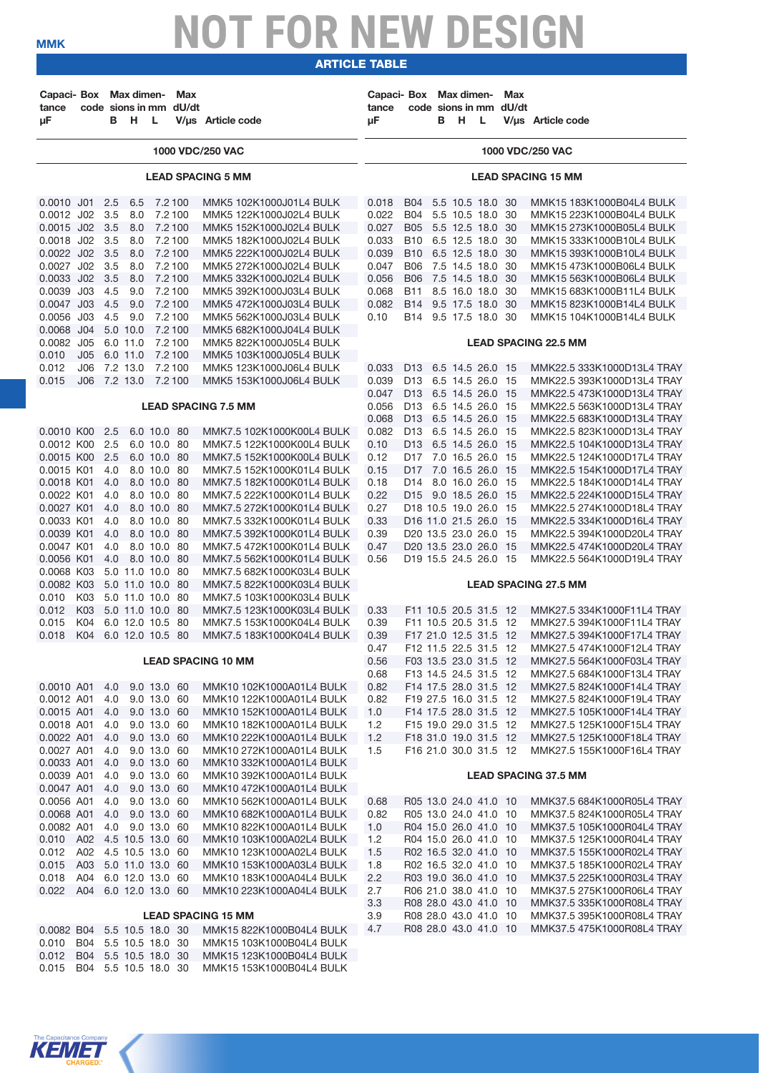article table

| Capaci- Box Max dimen-<br>tance<br>μF |                      |            | в н              | L.                         | Max<br>code sions in mm dU/dt | V/us Article code                                      | Capaci- Box Max dimen-<br>tance<br>μF |                                                          | B H | L.               | <b>Max</b><br>code sions in mm dU/dt | V/us Article code                                        |
|---------------------------------------|----------------------|------------|------------------|----------------------------|-------------------------------|--------------------------------------------------------|---------------------------------------|----------------------------------------------------------|-----|------------------|--------------------------------------|----------------------------------------------------------|
|                                       |                      |            |                  |                            |                               | 1000 VDC/250 VAC                                       |                                       |                                                          |     |                  |                                      | 1000 VDC/250 VAC                                         |
|                                       |                      |            |                  |                            |                               | <b>LEAD SPACING 5 MM</b>                               |                                       |                                                          |     |                  |                                      | <b>LEAD SPACING 15 MM</b>                                |
| $0.0010$ J01                          |                      | 2.5        | 6.5              | 7.2 100                    |                               | MMK5 102K1000J01L4 BULK                                | 0.018                                 | <b>B04</b>                                               |     | 5.5 10.5 18.0 30 |                                      | MMK15 183K1000B04L4 BULK                                 |
| 0.0012 J02                            |                      | 3.5        | 8.0              | 7.2 100                    |                               | MMK5 122K1000J02L4 BULK                                | 0.022                                 | <b>B04</b>                                               |     | 5.5 10.5 18.0 30 |                                      | MMK15 223K1000B04L4 BULK                                 |
| 0.0015 J02 3.5<br>0.0018 J02          |                      | 3.5        | 8.0<br>8.0       | 7.2 100<br>7.2 100         |                               | MMK5 152K1000J02L4 BULK<br>MMK5 182K1000J02L4 BULK     | 0.027<br>0.033                        | B05 5.5 12.5 18.0 30<br>B10                              |     | 6.5 12.5 18.0 30 |                                      | MMK15 273K1000B05L4 BULK<br>MMK15 333K1000B10L4 BULK     |
| 0.0022 J02 3.5                        |                      |            | 8.0              | 7.2 100                    |                               | MMK5 222K1000J02L4 BULK                                | 0.039                                 | B10 6.5 12.5 18.0 30                                     |     |                  |                                      | MMK15 393K1000B10L4 BULK                                 |
| 0.0027 J02 3.5                        |                      |            | 8.0              | 7.2 100                    |                               | MMK5 272K1000J02L4 BULK                                | 0.047                                 | <b>B06</b>                                               |     | 7.5 14.5 18.0 30 |                                      | MMK15 473K1000B06L4 BULK                                 |
| 0.0033 J02                            |                      | 3.5        | 8.0              | 7.2 100                    |                               | MMK5 332K1000J02L4 BULK                                | 0.056                                 | <b>B06</b>                                               |     | 7.5 14.5 18.0 30 |                                      | MMK15 563K1000B06L4 BULK                                 |
| 0.0039 J03                            |                      | 4.5        | 9.0              | 7.2 100                    |                               | MMK5 392K1000J03L4 BULK                                | 0.068                                 | <b>B11</b>                                               |     | 8.5 16.0 18.0 30 |                                      | MMK15 683K1000B11L4 BULK                                 |
| 0.0047 J03<br>0.0056 J03              |                      | 4.5<br>4.5 | 9.0<br>9.0       | 7.2 100<br>7.2 100         |                               | MMK5 472K1000J03L4 BULK<br>MMK5 562K1000J03L4 BULK     | 0.082<br>0.10                         | B14 9.5 17.5 18.0 30<br>B14 9.5 17.5 18.0 30             |     |                  |                                      | MMK15 823K1000B14L4 BULK<br>MMK15 104K1000B14L4 BULK     |
| 0.0068 J04                            |                      |            | 5.0 10.0         | 7.2 100                    |                               | MMK5 682K1000J04L4 BULK                                |                                       |                                                          |     |                  |                                      |                                                          |
| 0.0082 J05                            |                      |            | 6.0 11.0         | 7.2 100                    |                               | MMK5 822K1000J05L4 BULK                                |                                       |                                                          |     |                  |                                      | <b>LEAD SPACING 22.5 MM</b>                              |
| 0.010                                 | J05                  |            | 6.0 11.0         | 7.2 100                    |                               | MMK5 103K1000J05L4 BULK                                |                                       |                                                          |     |                  |                                      |                                                          |
| 0.012                                 | J06                  |            | 7.2 13.0         | 7.2 100                    |                               | MMK5 123K1000J06L4 BULK                                | 0.033                                 | D13 6.5 14.5 26.0 15                                     |     |                  |                                      | MMK22.5 333K1000D13L4 TRAY                               |
| 0.015                                 | J06                  |            | 7.2 13.0         | 7.2 100                    |                               | MMK5 153K1000J06L4 BULK                                | 0.039                                 | D13 6.5 14.5 26.0 15                                     |     |                  |                                      | MMK22.5 393K1000D13L4 TRAY                               |
|                                       |                      |            |                  |                            |                               | <b>LEAD SPACING 7.5 MM</b>                             | 0.047<br>0.056                        | D13 6.5 14.5 26.0 15<br>D <sub>13</sub> 6.5 14.5 26.0 15 |     |                  |                                      | MMK22.5 473K1000D13L4 TRAY<br>MMK22.5 563K1000D13L4 TRAY |
|                                       |                      |            |                  |                            |                               |                                                        | 0.068                                 | D13 6.5 14.5 26.0 15                                     |     |                  |                                      | MMK22.5 683K1000D13L4 TRAY                               |
| 0.0010 KOO                            |                      | 2.5        |                  | 6.0 10.0 80                |                               | MMK7.5 102K1000K00L4 BULK                              | 0.082                                 | D13 6.5 14.5 26.0 15                                     |     |                  |                                      | MMK22.5 823K1000D13L4 TRAY                               |
| 0.0012 K00                            |                      | 2.5        |                  | 6.0 10.0 80                |                               | MMK7.5 122K1000K00L4 BULK                              | 0.10                                  | D13 6.5 14.5 26.0 15                                     |     |                  |                                      | MMK22.5 104K1000D13L4 TRAY                               |
| 0.0015 K00                            |                      | 2.5        |                  | 6.0 10.0 80                |                               | MMK7.5 152K1000K00L4 BULK                              | 0.12                                  | D17 7.0 16.5 26.0 15                                     |     |                  |                                      | MMK22.5 124K1000D17L4 TRAY                               |
| 0.0015 K01                            |                      | 4.0        |                  | 8.0 10.0 80                |                               | MMK7.5 152K1000K01L4 BULK                              | 0.15                                  | D17 7.0 16.5 26.0 15                                     |     |                  |                                      | MMK22.5 154K1000D17L4 TRAY                               |
| 0.0018 K01<br>0.0022 K01              |                      | 4.0<br>4.0 |                  | 8.0 10.0 80<br>8.0 10.0 80 |                               | MMK7.5 182K1000K01L4 BULK<br>MMK7.5 222K1000K01L4 BULK | 0.18<br>0.22                          | D <sub>14</sub> 8.0 16.0 26.0 15<br>D15 9.0 18.5 26.0 15 |     |                  |                                      | MMK22.5 184K1000D14L4 TRAY<br>MMK22.5 224K1000D15L4 TRAY |
| 0.0027 K01                            |                      | 4.0        |                  | 8.0 10.0 80                |                               | MMK7.5 272K1000K01L4 BULK                              | 0.27                                  | D18 10.5 19.0 26.0 15                                    |     |                  |                                      | MMK22.5 274K1000D18L4 TRAY                               |
| 0.0033 K01                            |                      | 4.0        |                  | 8.0 10.0 80                |                               | MMK7.5 332K1000K01L4 BULK                              | 0.33                                  | D16 11.0 21.5 26.0 15                                    |     |                  |                                      | MMK22.5 334K1000D16L4 TRAY                               |
| 0.0039 K01                            |                      | 4.0        |                  | 8.0 10.0 80                |                               | MMK7.5 392K1000K01L4 BULK                              | 0.39                                  | D20 13.5 23.0 26.0 15                                    |     |                  |                                      | MMK22.5 394K1000D20L4 TRAY                               |
| 0.0047 K01                            |                      | 4.0        |                  | 8.0 10.0 80                |                               | MMK7.5 472K1000K01L4 BULK                              | 0.47                                  | D20 13.5 23.0 26.0 15                                    |     |                  |                                      | MMK22.5 474K1000D20L4 TRAY                               |
| 0.0056 K01<br>0.0068 K03              |                      | 4.0        | 5.0 11.0 10.0 80 | 8.0 10.0 80                |                               | MMK7.5 562K1000K01L4 BULK<br>MMK7.5 682K1000K03L4 BULK | 0.56                                  | D <sub>19</sub> 15.5 24.5 26.0 15                        |     |                  |                                      | MMK22.5 564K1000D19L4 TRAY                               |
| 0.0082 K03                            |                      |            | 5.0 11.0 10.0 80 |                            |                               | MMK7.5 822K1000K03L4 BULK                              |                                       |                                                          |     |                  |                                      | <b>LEAD SPACING 27.5 MM</b>                              |
| 0.010                                 | K03                  |            | 5.0 11.0 10.0 80 |                            |                               | MMK7.5 103K1000K03L4 BULK                              |                                       |                                                          |     |                  |                                      |                                                          |
| 0.012                                 | K03                  |            | 5.0 11.0 10.0 80 |                            |                               | MMK7.5 123K1000K03L4 BULK                              | 0.33                                  | F11 10.5 20.5 31.5 12                                    |     |                  |                                      | MMK27.5 334K1000F11L4 TRAY                               |
| 0.015                                 | K04                  |            | 6.0 12.0 10.5 80 |                            |                               | MMK7.5 153K1000K04L4 BULK                              | 0.39                                  | F11 10.5 20.5 31.5 12                                    |     |                  |                                      | MMK27.5 394K1000F11L4 TRAY                               |
| 0.018                                 | K04                  |            | 6.0 12.0 10.5 80 |                            |                               | MMK7.5 183K1000K04L4 BULK                              | 0.39                                  | F17 21.0 12.5 31.5 12                                    |     |                  |                                      | MMK27.5 394K1000F17L4 TRAY                               |
|                                       |                      |            |                  |                            |                               | <b>LEAD SPACING 10 MM</b>                              | 0.47<br>0.56                          | F12 11.5 22.5 31.5 12<br>F03 13.5 23.0 31.5 12           |     |                  |                                      | MMK27.5 474K1000F12L4 TRAY<br>MMK27.5 564K1000F03L4 TRAY |
|                                       |                      |            |                  |                            |                               |                                                        | 0.68                                  | F13 14.5 24.5 31.5 12                                    |     |                  |                                      | MMK27.5 684K1000F13L4 TRAY                               |
| 0.0010 A01                            |                      | 4.0        |                  | 9.0 13.0 60                |                               | MMK10 102K1000A01L4 BULK                               | 0.82                                  | F14 17.5 28.0 31.5 12                                    |     |                  |                                      | MMK27.5 824K1000F14L4 TRAY                               |
| 0.0012 A01                            |                      | 4.0        |                  | 9.0 13.0 60                |                               | MMK10 122K1000A01L4 BULK                               | 0.82                                  | F19 27.5 16.0 31.5 12                                    |     |                  |                                      | MMK27.5 824K1000F19L4 TRAY                               |
| 0.0015 A01                            |                      | 4.0        |                  | 9.0 13.0 60                |                               | MMK10 152K1000A01L4 BULK                               | 1.0                                   | F14 17.5 28.0 31.5 12                                    |     |                  |                                      | MMK27.5 105K1000F14L4 TRAY                               |
| 0.0018 A01<br>0.0022 A01              |                      | 4.0<br>4.0 |                  | 9.0 13.0 60<br>9.0 13.0 60 |                               | MMK10 182K1000A01L4 BULK<br>MMK10 222K1000A01L4 BULK   | 1.2<br>1.2                            | F15 19.0 29.0 31.5 12<br>F18 31.0 19.0 31.5 12           |     |                  |                                      | MMK27.5 125K1000F15L4 TRAY<br>MMK27.5 125K1000F18L4 TRAY |
| 0.0027 A01                            |                      | 4.0        |                  | 9.0 13.0 60                |                               | MMK10 272K1000A01L4 BULK                               | 1.5                                   | F16 21.0 30.0 31.5 12                                    |     |                  |                                      | MMK27.5 155K1000F16L4 TRAY                               |
| 0.0033 A01                            |                      | 4.0        |                  | 9.0 13.0 60                |                               | MMK10 332K1000A01L4 BULK                               |                                       |                                                          |     |                  |                                      |                                                          |
| 0.0039 A01                            |                      | 4.0        |                  | 9.0 13.0 60                |                               | MMK10 392K1000A01L4 BULK                               |                                       |                                                          |     |                  |                                      | <b>LEAD SPACING 37.5 MM</b>                              |
| 0.0047 A01                            |                      | 4.0        |                  | 9.0 13.0 60                |                               | MMK10 472K1000A01L4 BULK                               |                                       |                                                          |     |                  |                                      |                                                          |
| 0.0056 A01<br>0.0068 A01              |                      | 4.0<br>4.0 |                  | 9.0 13.0 60<br>9.0 13.0 60 |                               | MMK10 562K1000A01L4 BULK<br>MMK10 682K1000A01L4 BULK   | 0.68<br>0.82                          | R05 13.0 24.0 41.0 10<br>R05 13.0 24.0 41.0 10           |     |                  |                                      | MMK37.5 684K1000R05L4 TRAY<br>MMK37.5 824K1000R05L4 TRAY |
| 0.0082 A01                            |                      | 4.0        |                  | 9.0 13.0 60                |                               | MMK10 822K1000A01L4 BULK                               | 1.0                                   | R04 15.0 26.0 41.0 10                                    |     |                  |                                      | MMK37.5 105K1000R04L4 TRAY                               |
| 0.010 A02 4.5 10.5 13.0 60            |                      |            |                  |                            |                               | MMK10 103K1000A02L4 BULK                               | 1.2                                   | R04 15.0 26.0 41.0 10                                    |     |                  |                                      | MMK37.5 125K1000R04L4 TRAY                               |
| 0.012                                 | A02                  |            | 4.5 10.5 13.0 60 |                            |                               | MMK10 123K1000A02L4 BULK                               | 1.5                                   | R02 16.5 32.0 41.0 10                                    |     |                  |                                      | MMK37.5 155K1000R02L4 TRAY                               |
| 0.015                                 | A03                  |            | 5.0 11.0 13.0 60 |                            |                               | MMK10 153K1000A03L4 BULK                               | 1.8                                   | R02 16.5 32.0 41.0 10                                    |     |                  |                                      | MMK37.5 185K1000R02L4 TRAY                               |
| 0.018                                 | A04                  |            | 6.0 12.0 13.0 60 |                            |                               | MMK10 183K1000A04L4 BULK                               | 2.2                                   | R03 19.0 36.0 41.0 10                                    |     |                  |                                      | MMK37.5 225K1000R03L4 TRAY                               |
| 0.022                                 | A04 6.0 12.0 13.0 60 |            |                  |                            |                               | MMK10 223K1000A04L4 BULK                               | 2.7<br>3.3                            | R06 21.0 38.0 41.0 10<br>R08 28.0 43.0 41.0 10           |     |                  |                                      | MMK37.5 275K1000R06L4 TRAY<br>MMK37.5 335K1000R08L4 TRAY |
|                                       |                      |            |                  |                            |                               | <b>LEAD SPACING 15 MM</b>                              | 3.9                                   | R08 28.0 43.0 41.0 10                                    |     |                  |                                      | MMK37.5 395K1000R08L4 TRAY                               |
| 0.0082 B04                            |                      |            | 5.5 10.5 18.0 30 |                            |                               | MMK15 822K1000B04L4 BULK                               | 4.7                                   | R08 28.0 43.0 41.0 10                                    |     |                  |                                      | MMK37.5 475K1000R08L4 TRAY                               |
| 0.010 B04 5.5 10.5 18.0 30            |                      |            |                  |                            |                               | MMK15 103K1000B04L4 BULK                               |                                       |                                                          |     |                  |                                      |                                                          |
| 0.012                                 | B04 5.5 10.5 18.0 30 |            |                  |                            |                               | MMK15 123K1000B04L4 BULK                               |                                       |                                                          |     |                  |                                      |                                                          |
| 0.015                                 | B04 5.5 10.5 18.0 30 |            |                  |                            |                               | MMK15 153K1000B04L4 BULK                               |                                       |                                                          |     |                  |                                      |                                                          |

The Capacitance Company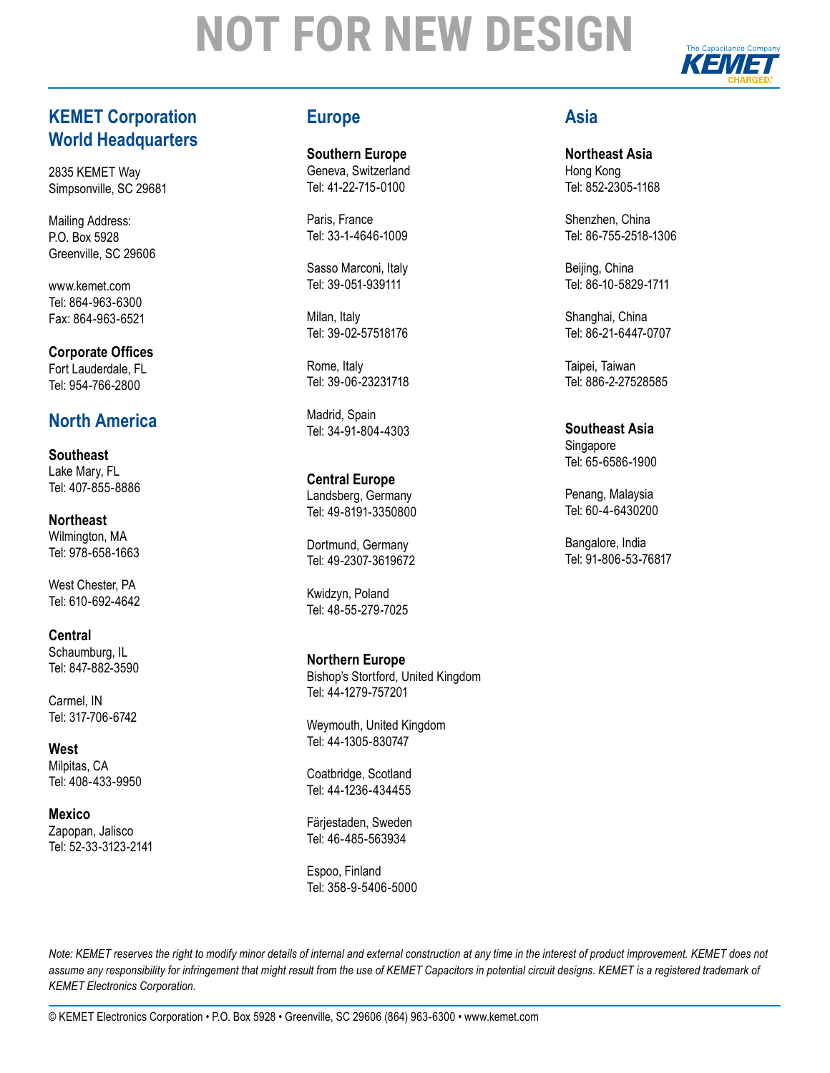

## **KEMET Corporation World Headquarters**

2835 KEMET Way Simpsonville, SC 29681

Mailing Address: P.O. Box 5928 Greenville, SC 29606

www.kemet.com Tel: 864-963-6300 Fax: 864-963-6521

**Corporate Offices** Fort Lauderdale, FL Tel: 954-766-2800

## **North America**

**Southeast** Lake Mary, FL Tel: 407-855-8886

**Northeast** Wilmington, MA Tel: 978-658-1663

West Chester, PA Tel: 610-692-4642

**Central** Schaumburg, IL Tel: 847-882-3590

Carmel, IN Tel: 317-706-6742

**West** Milpitas, CA Tel: 408-433-9950

**Mexico**  Zapopan, Jalisco Tel: 52-33-3123-2141

### **Europe**

**Southern Europe** Geneva, Switzerland Tel: 41-22-715-0100

Paris, France Tel: 33-1-4646-1009

Sasso Marconi, Italy Tel: 39-051-939111

Milan, Italy Tel: 39-02-57518176

Rome, Italy Tel: 39-06-23231718

Madrid, Spain Tel: 34-91-804-4303

**Central Europe** Landsberg, Germany Tel: 49-8191-3350800

Dortmund, Germany Tel: 49-2307-3619672

Kwidzyn, Poland Tel: 48-55-279-7025

**Northern Europe** Bishop's Stortford, United Kingdom Tel: 44-1279-757201

Weymouth, United Kingdom Tel: 44-1305-830747

Coatbridge, Scotland Tel: 44-1236-434455

Färjestaden, Sweden Tel: 46-485-563934

Espoo, Finland Tel: 358-9-5406-5000

### **Asia**

**Northeast Asia** Hong Kong Tel: 852-2305-1168

Shenzhen, China Tel: 86-755-2518-1306

Beijing, China Tel: 86-10-5829-1711

Shanghai, China Tel: 86-21-6447-0707

Taipei, Taiwan Tel: 886-2-27528585

**Southeast Asia** Singapore Tel: 65-6586-1900

Penang, Malaysia Tel: 60-4-6430200

Bangalore, India Tel: 91-806-53-76817

*Note: KEMET reserves the right to modify minor details of internal and external construction at any time in the interest of product improvement. KEMET does not* assume any responsibility for infringement that might result from the use of KEMET Capacitors in potential circuit designs. KEMET is a registered trademark of *KEMET Electronics Corporation.*